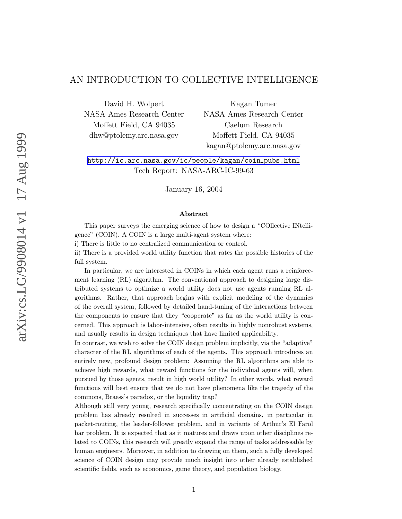# AN INTRODUCTION TO COLLECTIVE INTELLIGENCE

David H. Wolpert

NASA Ames Research Center Moffett Field, CA 94035 dhw@ptolemy.arc.nasa.gov

Kagan Tumer NASA Ames Research Center Caelum Research Moffett Field, CA 94035 kagan@ptolemy.arc.nasa.gov

[http://ic.arc.nasa.gov/ic/people/kagan/coin](http://ic.arc.nasa.gov/ic/people/kagan/coin_pubs.html) pubs.html Tech Report: NASA-ARC-IC-99-63

January 16, 2004

#### Abstract

This paper surveys the emerging science of how to design a "COllective INtelligence" (COIN). A COIN is a large multi-agent system where:

i) There is little to no centralized communication or control.

ii) There is a provided world utility function that rates the possible histories of the full system.

In particular, we are interested in COINs in which each agent runs a reinforcement learning (RL) algorithm. The conventional approach to designing large distributed systems to optimize a world utility does not use agents running RL algorithms. Rather, that approach begins with explicit modeling of the dynamics of the overall system, followed by detailed hand-tuning of the interactions between the components to ensure that they "cooperate" as far as the world utility is concerned. This approach is labor-intensive, often results in highly nonrobust systems, and usually results in design techniques that have limited applicability.

In contrast, we wish to solve the COIN design problem implicitly, via the "adaptive" character of the RL algorithms of each of the agents. This approach introduces an entirely new, profound design problem: Assuming the RL algorithms are able to achieve high rewards, what reward functions for the individual agents will, when pursued by those agents, result in high world utility? In other words, what reward functions will best ensure that we do not have phenomena like the tragedy of the commons, Braess's paradox, or the liquidity trap?

Although still very young, research specifically concentrating on the COIN design problem has already resulted in successes in artificial domains, in particular in packet-routing, the leader-follower problem, and in variants of Arthur's El Farol bar problem. It is expected that as it matures and draws upon other disciplines related to COINs, this research will greatly expand the range of tasks addressable by human engineers. Moreover, in addition to drawing on them, such a fully developed science of COIN design may provide much insight into other already established scientific fields, such as economics, game theory, and population biology.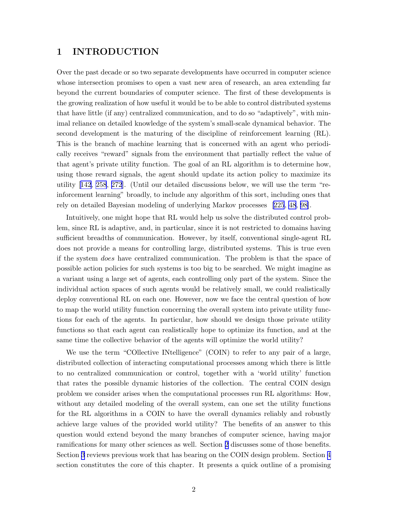# 1 INTRODUCTION

Over the past decade or so two separate developments have occurred in computer science whose intersection promises to open a vast new area of research, an area extending far beyond the current boundaries of computer science. The first of these developments is the growing realization of how useful it would be to be able to control distributed systems that have little (if any) centralized communication, and to do so "adaptively", with minimal reliance on detailed knowledge of the system's small-scale dynamical behavior. The second development is the maturing of the discipline of reinforcement learning (RL). This is the branch of machine learning that is concerned with an agent who periodically receives "reward" signals from the environment that partially reflect the value of that agent's private utility function. The goal of an RL algorithm is to determine how, using those reward signals, the agent should update its action policy to maximize its utility [[142,](#page-77-0) [258](#page-85-0), [272](#page-86-0)]. (Until our detailed discussions below, we will use the term "reinforcement learning" broadly, to include any algorithm of this sort, including ones that rely on detailed Bayesian modeling of underlying Markov processes [\[225](#page-83-0), [48](#page-71-0), [98\]](#page-74-0).

Intuitively, one might hope that RL would help us solve the distributed control problem, since RL is adaptive, and, in particular, since it is not restricted to domains having sufficient breadths of communication. However, by itself, conventional single-agent RL does not provide a means for controlling large, distributed systems. This is true even if the system does have centralized communication. The problem is that the space of possible action policies for such systems is too big to be searched. We might imagine as a variant using a large set of agents, each controlling only part of the system. Since the individual action spaces of such agents would be relatively small, we could realistically deploy conventional RL on each one. However, now we face the central question of how to map the world utility function concerning the overall system into private utility functions for each of the agents. In particular, how should we design those private utility functions so that each agent can realistically hope to optimize its function, and at the same time the collective behavior of the agents will optimize the world utility?

We use the term "COllective INtelligence" (COIN) to refer to any pair of a large, distributed collection of interacting computational processes among which there is little to no centralized communication or control, together with a 'world utility' function that rates the possible dynamic histories of the collection. The central COIN design problem we consider arises when the computational processes run RL algorithms: How, without any detailed modeling of the overall system, can one set the utility functions for the RL algorithms in a COIN to have the overall dynamics reliably and robustly achieve large values of the provided world utility? The benefits of an answer to this question would extend beyond the many branches of computer science, having major ramifications for many other sciences as well. Section [2](#page-2-0) discusses some of those benefits. Section [3](#page-5-0) reviews previous work that has bearing on the COIN design problem. Section [4](#page-30-0) section constitutes the core of this chapter. It presents a quick outline of a promising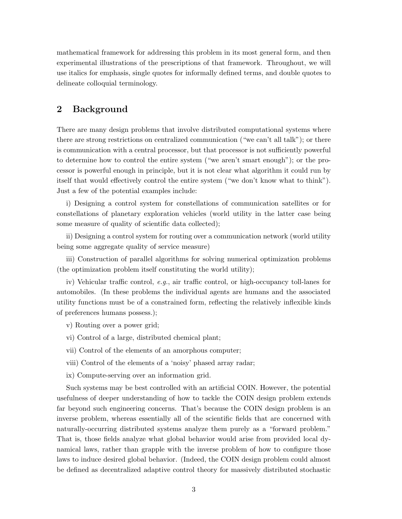<span id="page-2-0"></span>mathematical framework for addressing this problem in its most general form, and then experimental illustrations of the prescriptions of that framework. Throughout, we will use italics for emphasis, single quotes for informally defined terms, and double quotes to delineate colloquial terminology.

# 2 Background

There are many design problems that involve distributed computational systems where there are strong restrictions on centralized communication ("we can't all talk"); or there is communication with a central processor, but that processor is not sufficiently powerful to determine how to control the entire system ("we aren't smart enough"); or the processor is powerful enough in principle, but it is not clear what algorithm it could run by itself that would effectively control the entire system ("we don't know what to think"). Just a few of the potential examples include:

i) Designing a control system for constellations of communication satellites or for constellations of planetary exploration vehicles (world utility in the latter case being some measure of quality of scientific data collected);

ii) Designing a control system for routing over a communication network (world utility being some aggregate quality of service measure)

iii) Construction of parallel algorithms for solving numerical optimization problems (the optimization problem itself constituting the world utility);

iv) Vehicular traffic control, e.g., air traffic control, or high-occupancy toll-lanes for automobiles. (In these problems the individual agents are humans and the associated utility functions must be of a constrained form, reflecting the relatively inflexible kinds of preferences humans possess.);

- v) Routing over a power grid;
- vi) Control of a large, distributed chemical plant;
- vii) Control of the elements of an amorphous computer;
- viii) Control of the elements of a 'noisy' phased array radar;
- ix) Compute-serving over an information grid.

Such systems may be best controlled with an artificial COIN. However, the potential usefulness of deeper understanding of how to tackle the COIN design problem extends far beyond such engineering concerns. That's because the COIN design problem is an inverse problem, whereas essentially all of the scientific fields that are concerned with naturally-occurring distributed systems analyze them purely as a "forward problem." That is, those fields analyze what global behavior would arise from provided local dynamical laws, rather than grapple with the inverse problem of how to configure those laws to induce desired global behavior. (Indeed, the COIN design problem could almost be defined as decentralized adaptive control theory for massively distributed stochastic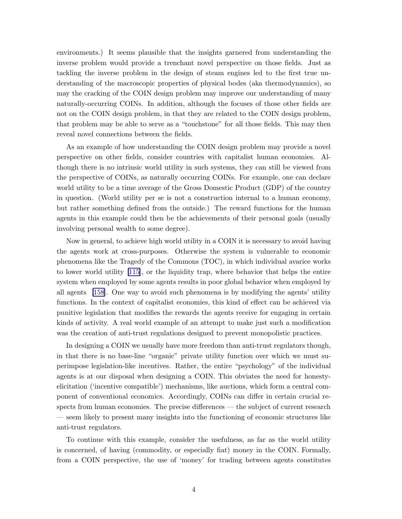environments.) It seems plausible that the insights garnered from understanding the inverse problem would provide a trenchant novel perspective on those fields. Just as tackling the inverse problem in the design of steam engines led to the first true understanding of the macroscopic properties of physical bodes (aka thermodynamics), so may the cracking of the COIN design problem may improve our understanding of many naturally-occurring COINs. In addition, although the focuses of those other fields are not on the COIN design problem, in that they are related to the COIN design problem, that problem may be able to serve as a "touchstone" for all those fields. This may then reveal novel connections between the fields.

As an example of how understanding the COIN design problem may provide a novel perspective on other fields, consider countries with capitalist human economies. Although there is no intrinsic world utility in such systems, they can still be viewed from the perspective of COINs, as naturally occurring COINs. For example, one can declare world utility to be a time average of the Gross Domestic Product (GDP) of the country in question. (World utility per se is not a construction internal to a human economy, but rather something defined from the outside.) The reward functions for the human agents in this example could then be the achievements of their personal goals (usually involving personal wealth to some degree).

Now in general, to achieve high world utility in a COIN it is necessary to avoid having the agents work at cross-purposes. Otherwise the system is vulnerable to economic phenomena like the Tragedy of the Commons (TOC), in which individual avarice works to lower world utility [\[115\]](#page-75-0), or the liquidity trap, where behavior that helps the entire system when employed by some agents results in poor global behavior when employed by all agents [\[158\]](#page-78-0). One way to avoid such phenomena is by modifying the agents' utility functions. In the context of capitalist economies, this kind of effect can be achieved via punitive legislation that modifies the rewards the agents receive for engaging in certain kinds of activity. A real world example of an attempt to make just such a modification was the creation of anti-trust regulations designed to prevent monopolistic practices.

In designing a COIN we usually have more freedom than anti-trust regulators though, in that there is no base-line "organic" private utility function over which we must superimpose legislation-like incentives. Rather, the entire "psychology" of the individual agents is at our disposal when designing a COIN. This obviates the need for honestyelicitation ('incentive compatible') mechanisms, like auctions, which form a central component of conventional economics. Accordingly, COINs can differ in certain crucial respects from human economies. The precise differences — the subject of current research — seem likely to present many insights into the functioning of economic structures like anti-trust regulators.

To continue with this example, consider the usefulness, as far as the world utility is concerned, of having (commodity, or especially fiat) money in the COIN. Formally, from a COIN perspective, the use of 'money' for trading between agents constitutes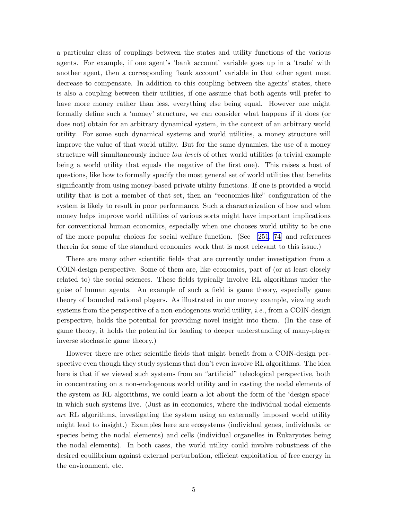a particular class of couplings between the states and utility functions of the various agents. For example, if one agent's 'bank account' variable goes up in a 'trade' with another agent, then a corresponding 'bank account' variable in that other agent must decrease to compensate. In addition to this coupling between the agents' states, there is also a coupling between their utilities, if one assume that both agents will prefer to have more money rather than less, everything else being equal. However one might formally define such a 'money' structure, we can consider what happens if it does (or does not) obtain for an arbitrary dynamical system, in the context of an arbitrary world utility. For some such dynamical systems and world utilities, a money structure will improve the value of that world utility. But for the same dynamics, the use of a money structure will simultaneously induce low levels of other world utilities (a trivial example being a world utility that equals the negative of the first one). This raises a host of questions, like how to formally specify the most general set of world utilities that benefits significantly from using money-based private utility functions. If one is provided a world utility that is not a member of that set, then an "economics-like" configuration of the system is likely to result in poor performance. Such a characterization of how and when money helps improve world utilities of various sorts might have important implications for conventional human economics, especially when one chooses world utility to be one of the more popular choices for social welfare function. (See [\[251](#page-84-0), [74](#page-73-0)] and references therein for some of the standard economics work that is most relevant to this issue.)

There are many other scientific fields that are currently under investigation from a COIN-design perspective. Some of them are, like economics, part of (or at least closely related to) the social sciences. These fields typically involve RL algorithms under the guise of human agents. An example of such a field is game theory, especially game theory of bounded rational players. As illustrated in our money example, viewing such systems from the perspective of a non-endogenous world utility, *i.e.*, from a COIN-design perspective, holds the potential for providing novel insight into them. (In the case of game theory, it holds the potential for leading to deeper understanding of many-player inverse stochastic game theory.)

However there are other scientific fields that might benefit from a COIN-design perspective even though they study systems that don't even involve RL algorithms. The idea here is that if we viewed such systems from an "artificial" teleological perspective, both in concentrating on a non-endogenous world utility and in casting the nodal elements of the system as RL algorithms, we could learn a lot about the form of the 'design space' in which such systems live. (Just as in economics, where the individual nodal elements are RL algorithms, investigating the system using an externally imposed world utility might lead to insight.) Examples here are ecosystems (individual genes, individuals, or species being the nodal elements) and cells (individual organelles in Eukaryotes being the nodal elements). In both cases, the world utility could involve robustness of the desired equilibrium against external perturbation, efficient exploitation of free energy in the environment, etc.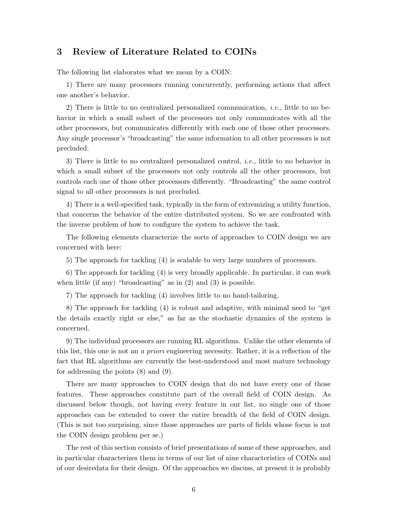# <span id="page-5-0"></span>3 Review of Literature Related to COINs

The following list elaborates what we mean by a COIN:

1) There are many processors running concurrently, performing actions that affect one another's behavior.

2) There is little to no centralized personalized communication, *i.e.*, little to no behavior in which a small subset of the processors not only communicates with all the other processors, but communicates differently with each one of those other processors. Any single processor's "broadcasting" the same information to all other processors is not precluded.

3) There is little to no centralized personalized control, i.e., little to no behavior in which a small subset of the processors not only controls all the other processors, but controls each one of those other processors differently. "Broadcasting" the same control signal to all other processors is not precluded.

4) There is a well-specified task, typically in the form of extremizing a utility function, that concerns the behavior of the entire distributed system. So we are confronted with the inverse problem of how to configure the system to achieve the task.

The following elements characterize the sorts of approaches to COIN design we are concerned with here:

5) The approach for tackling (4) is scalable to very large numbers of processors.

6) The approach for tackling (4) is very broadly applicable. In particular, it can work when little (if any) "broadcasting" as in  $(2)$  and  $(3)$  is possible.

7) The approach for tackling (4) involves little to no hand-tailoring.

8) The approach for tackling (4) is robust and adaptive, with minimal need to "get the details exactly right or else," as far as the stochastic dynamics of the system is concerned.

9) The individual processors are running RL algorithms. Unlike the other elements of this list, this one is not an a priori engineering necessity. Rather, it is a reflection of the fact that RL algorithms are currently the best-understood and most mature technology for addressing the points (8) and (9).

There are many approaches to COIN design that do not have every one of those features. These approaches constitute part of the overall field of COIN design. As discussed below though, not having every feature in our list, no single one of those approaches can be extended to cover the entire breadth of the field of COIN design. (This is not too surprising, since those approaches are parts of fields whose focus is not the COIN design problem per se.)

The rest of this section consists of brief presentations of some of these approaches, and in particular characterizes them in terms of our list of nine characteristics of COINs and of our desiredata for their design. Of the approaches we discuss, at present it is probably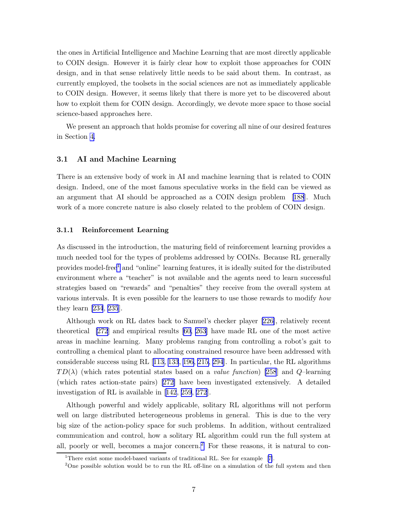<span id="page-6-0"></span>the ones in Artificial Intelligence and Machine Learning that are most directly applicable to COIN design. However it is fairly clear how to exploit those approaches for COIN design, and in that sense relatively little needs to be said about them. In contrast, as currently employed, the toolsets in the social sciences are not as immediately applicable to COIN design. However, it seems likely that there is more yet to be discovered about how to exploit them for COIN design. Accordingly, we devote more space to those social science-based approaches here.

We present an approach that holds promise for covering all nine of our desired features in Section [4.](#page-30-0)

# 3.1 AI and Machine Learning

There is an extensive body of work in AI and machine learning that is related to COIN design. Indeed, one of the most famous speculative works in the field can be viewed as an argument that AI should be approached as a COIN design problem [\[188](#page-80-0)]. Much work of a more concrete nature is also closely related to the problem of COIN design.

#### 3.1.1 Reinforcement Learning

As discussed in the introduction, the maturing field of reinforcement learning provides a much needed tool for the types of problems addressed by COINs. Because RL generally provides model-free<sup>1</sup> and "online" learning features, it is ideally suited for the distributed environment where a "teacher" is not available and the agents need to learn successful strategies based on "rewards" and "penalties" they receive from the overall system at various intervals. It is even possible for the learners to use those rewards to modify how they learn [\[234](#page-83-0), [235](#page-83-0)].

Although work on RL dates back to Samuel's checker player [\[226\]](#page-83-0), relatively recent theoretical [\[272](#page-86-0)] and empirical results [[60,](#page-72-0) [263](#page-85-0)] have made RL one of the most active areas in machine learning. Many problems ranging from controlling a robot's gait to controlling a chemical plant to allocating constrained resource have been addressed with considerable success using RL [[113](#page-75-0), [133](#page-77-0), [196](#page-81-0), [215,](#page-82-0) [294](#page-87-0)]. In particular, the RL algorithms  $TD(\lambda)$  (which rates potential states based on a *value function*) [\[258](#page-85-0)] and Q-learning (which rates action-state pairs) [\[272\]](#page-86-0) have been investigated extensively. A detailed investigation of RL is available in [[142](#page-77-0), [259](#page-85-0), [272](#page-86-0)].

Although powerful and widely applicable, solitary RL algorithms will not perform well on large distributed heterogeneous problems in general. This is due to the very big size of the action-policy space for such problems. In addition, without centralized communication and control, how a solitary RL algorithm could run the full system at all, poorly or well, becomes a major concern.<sup>2</sup> For these reasons, it is natural to con-

<sup>&</sup>lt;sup>1</sup>There exist some model-based variants of traditional RL. See for example [[7\]](#page-68-0).

<sup>&</sup>lt;sup>2</sup>One possible solution would be to run the RL off-line on a simulation of the full system and then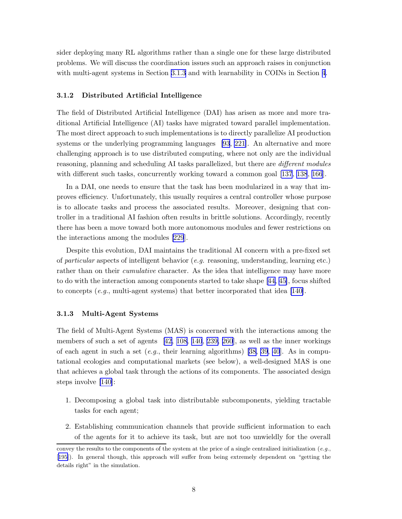sider deploying many RL algorithms rather than a single one for these large distributed problems. We will discuss the coordination issues such an approach raises in conjunction with multi-agent systems in Section 3.1.3 and with learnability in COINs in Section [4.](#page-30-0)

### 3.1.2 Distributed Artificial Intelligence

The field of Distributed Artificial Intelligence (DAI) has arisen as more and more traditional Artificial Intelligence (AI) tasks have migrated toward parallel implementation. The most direct approach to such implementations is to directly parallelize AI production systems or the underlying programming languages [\[93](#page-74-0), [221\]](#page-82-0). An alternative and more challenging approach is to use distributed computing, where not only are the individual reasoning, planning and scheduling AI tasks parallelized, but there are *different modules* with different such tasks, concurrently working toward a common goal [\[137](#page-77-0), [138](#page-77-0), [166](#page-79-0)].

In a DAI, one needs to ensure that the task has been modularized in a way that improves efficiency. Unfortunately, this usually requires a central controller whose purpose is to allocate tasks and process the associated results. Moreover, designing that controller in a traditional AI fashion often results in brittle solutions. Accordingly, recently there has been a move toward both more autonomous modules and fewer restrictions on the interactions among the modules [\[229](#page-83-0)].

Despite this evolution, DAI maintains the traditional AI concern with a pre-fixed set of particular aspects of intelligent behavior (e.g. reasoning, understanding, learning etc.) rather than on their *cumulative* character. As the idea that intelligence may have more to do with the interaction among components started to take shape [\[44](#page-71-0), [45\]](#page-71-0), focus shifted to concepts  $(e.g.,$  multi-agent systems) that better incorporated that idea [\[140\]](#page-77-0).

#### 3.1.3 Multi-Agent Systems

The field of Multi-Agent Systems (MAS) is concerned with the interactions among the members of such a set of agents [[42,](#page-71-0) [108,](#page-75-0) [140](#page-77-0), [239,](#page-84-0) [260\]](#page-85-0), as well as the inner workings of each agent in such a set (e.g., their learning algorithms) [\[38](#page-70-0), [39](#page-70-0), [40](#page-70-0)]. As in computational ecologies and computational markets (see below), a well-designed MAS is one that achieves a global task through the actions of its components. The associated design steps involve [\[140\]](#page-77-0):

- 1. Decomposing a global task into distributable subcomponents, yielding tractable tasks for each agent;
- 2. Establishing communication channels that provide sufficient information to each of the agents for it to achieve its task, but are not too unwieldly for the overall

convey the results to the components of the system at the price of a single centralized initialization (e.g., [[195\]](#page-81-0)). In general though, this approach will suffer from being extremely dependent on "getting the details right" in the simulation.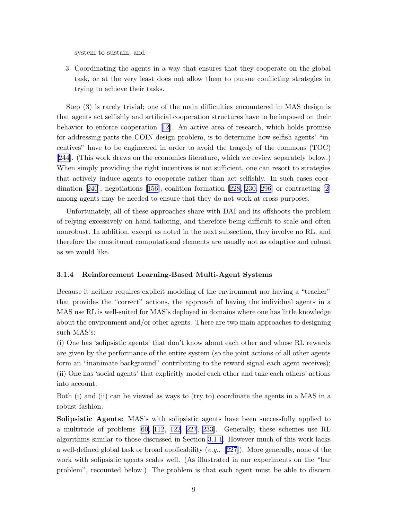system to sustain; and

3. Coordinating the agents in a way that ensures that they cooperate on the global task, or at the very least does not allow them to pursue conflicting strategies in trying to achieve their tasks.

Step (3) is rarely trivial; one of the main difficulties encountered in MAS design is that agents act selfishly and artificial cooperation structures have to be imposed on their behavior to enforce cooperation [\[12\]](#page-69-0). An active area of research, which holds promise for addressing parts the COIN design problem, is to determine how selfish agents' "incentives" have to be engineered in order to avoid the tragedy of the commons (TOC) [\[244\]](#page-84-0). (This work draws on the economics literature, which we review separately below.) When simply providing the right incentives is not sufficient, one can resort to strategies that actively induce agents to cooperate rather than act selfishly. In such cases coordination [\[240](#page-84-0)], negotiations [[156](#page-78-0)], coalition formation [[228](#page-83-0), [230,](#page-83-0) [296](#page-87-0)] or contracting [\[2](#page-68-0)] among agents may be needed to ensure that they do not work at cross purposes.

Unfortunately, all of these approaches share with DAI and its offshoots the problem of relying excessively on hand-tailoring, and therefore being difficult to scale and often nonrobust. In addition, except as noted in the next subsection, they involve no RL, and therefore the constituent computational elements are usually not as adaptive and robust as we would like.

### 3.1.4 Reinforcement Learning-Based Multi-Agent Systems

Because it neither requires explicit modeling of the environment nor having a "teacher" that provides the "correct" actions, the approach of having the individual agents in a MAS use RL is well-suited for MAS's deployed in domains where one has little knowledge about the environment and/or other agents. There are two main approaches to designing such MAS's:

(i) One has 'solipsistic agents' that don't know about each other and whose RL rewards are given by the performance of the entire system (so the joint actions of all other agents form an "inanimate background" contributing to the reward signal each agent receives); (ii) One has 'social agents' that explicitly model each other and take each others' actions into account.

Both (i) and (ii) can be viewed as ways to (try to) coordinate the agents in a MAS in a robust fashion.

Solipsistic Agents: MAS's with solipsistic agents have been successfully applied to a multitude of problems [[60,](#page-72-0) [112](#page-75-0), [122](#page-76-0), [227](#page-83-0), [233](#page-83-0)]. Generally, these schemes use RL algorithms similar to those discussed in Section [3.1.1](#page-6-0). However much of this work lacks a well-defined global task or broad applicability  $(e.g., [227])$  $(e.g., [227])$  $(e.g., [227])$ . More generally, none of the work with solipsistic agents scales well. (As illustrated in our experiments on the "bar problem", recounted below.) The problem is that each agent must be able to discern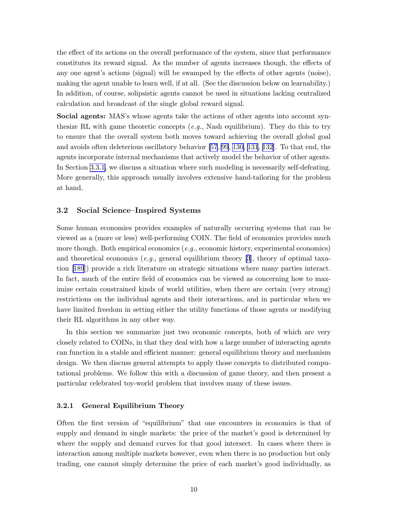the effect of its actions on the overall performance of the system, since that performance constitutes its reward signal. As the number of agents increases though, the effects of any one agent's actions (signal) will be swamped by the effects of other agents (noise), making the agent unable to learn well, if at all. (See the discussion below on learnability.) In addition, of course, solipsistic agents cannot be used in situations lacking centralized calculation and broadcast of the single global reward signal.

Social agents: MAS's whose agents take the actions of other agents into account synthesize RL with game theoretic concepts  $(e.g.,$  Nash equilibrium). They do this to try to ensure that the overall system both moves toward achieving the overall global goal and avoids often deleterious oscillatory behavior [\[57](#page-72-0), [99](#page-74-0), [130, 131](#page-76-0), [132](#page-77-0)]. To that end, the agents incorporate internal mechanisms that actively model the behavior of other agents. In Section [3.3.1,](#page-18-0) we discuss a situation where such modeling is necessarily self-defeating. More generally, this approach usually involves extensive hand-tailoring for the problem at hand.

# 3.2 Social Science–Inspired Systems

Some human economies provides examples of naturally occurring systems that can be viewed as a (more or less) well-performing COIN. The field of economics provides much more though. Both empirical economics ( $e.g.,$  economic history, experimental economics) and theoretical economics (e.g., general equilibrium theory [\[3](#page-68-0)], theory of optimal taxation [[189](#page-80-0)]) provide a rich literature on strategic situations where many parties interact. In fact, much of the entire field of economics can be viewed as concerning how to maximize certain constrained kinds of world utilities, when there are certain (very strong) restrictions on the individual agents and their interactions, and in particular when we have limited freedom in setting either the utility functions of those agents or modifying their RL algorithms in any other way.

In this section we summarize just two economic concepts, both of which are very closely related to COINs, in that they deal with how a large number of interacting agents can function in a stable and efficient manner: general equilibrium theory and mechanism design. We then discuss general attempts to apply those concepts to distributed computational problems. We follow this with a discussion of game theory, and then present a particular celebrated toy-world problem that involves many of these issues.

### 3.2.1 General Equilibrium Theory

Often the first version of "equilibrium" that one encounters in economics is that of supply and demand in single markets: the price of the market's good is determined by where the supply and demand curves for that good intersect. In cases where there is interaction among multiple markets however, even when there is no production but only trading, one cannot simply determine the price of each market's good individually, as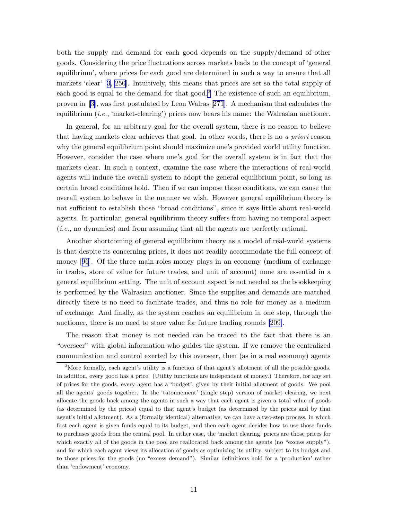both the supply and demand for each good depends on the supply/demand of other goods. Considering the price fluctuations across markets leads to the concept of 'general equilibrium', where prices for each good are determined in such a way to ensure that all markets 'clear' [[3](#page-68-0), [250](#page-84-0)]. Intuitively, this means that prices are set so the total supply of each good is equal to the demand for that good.<sup>3</sup> The existence of such an equilibrium, proven in [\[3\]](#page-68-0), was first postulated by Leon Walras [[271](#page-86-0)]. A mechanism that calculates the equilibrium  $(i.e., 'market-clearing')$  prices now bears his name: the Walrasian auctioner.

In general, for an arbitrary goal for the overall system, there is no reason to believe that having markets clear achieves that goal. In other words, there is no a priori reason why the general equilibrium point should maximize one's provided world utility function. However, consider the case where one's goal for the overall system is in fact that the markets clear. In such a context, examine the case where the interactions of real-world agents will induce the overall system to adopt the general equilibrium point, so long as certain broad conditions hold. Then if we can impose those conditions, we can cause the overall system to behave in the manner we wish. However general equilibrium theory is not sufficient to establish those "broad conditions", since it says little about real-world agents. In particular, general equilibrium theory suffers from having no temporal aspect (i.e., no dynamics) and from assuming that all the agents are perfectly rational.

Another shortcoming of general equilibrium theory as a model of real-world systems is that despite its concerning prices, it does not readily accommodate the full concept of money [[96](#page-74-0)]. Of the three main roles money plays in an economy (medium of exchange in trades, store of value for future trades, and unit of account) none are essential in a general equilibrium setting. The unit of account aspect is not needed as the bookkeeping is performed by the Walrasian auctioner. Since the supplies and demands are matched directly there is no need to facilitate trades, and thus no role for money as a medium of exchange. And finally, as the system reaches an equilibrium in one step, through the auctioner, there is no need to store value for future trading rounds [\[209\]](#page-82-0).

The reason that money is not needed can be traced to the fact that there is an "overseer" with global information who guides the system. If we remove the centralized communication and control exerted by this overseer, then (as in a real economy) agents

<sup>3</sup>More formally, each agent's utility is a function of that agent's allotment of all the possible goods. In addition, every good has a price. (Utility functions are independent of money.) Therefore, for any set of prices for the goods, every agent has a 'budget', given by their initial allotment of goods. We pool all the agents' goods together. In the 'tatonnement' (single step) version of market clearing, we next allocate the goods back among the agents in such a way that each agent is given a total value of goods (as determined by the prices) equal to that agent's budget (as determined by the prices and by that agent's initial allotment). As a (formally identical) alternative, we can have a two-step process, in which first each agent is given funds equal to its budget, and then each agent decides how to use those funds to purchases goods from the central pool. In either case, the 'market clearing' prices are those prices for which exactly all of the goods in the pool are reallocated back among the agents (no "excess supply"), and for which each agent views its allocation of goods as optimizing its utility, subject to its budget and to those prices for the goods (no "excess demand"). Similar definitions hold for a 'production' rather than 'endowment' economy.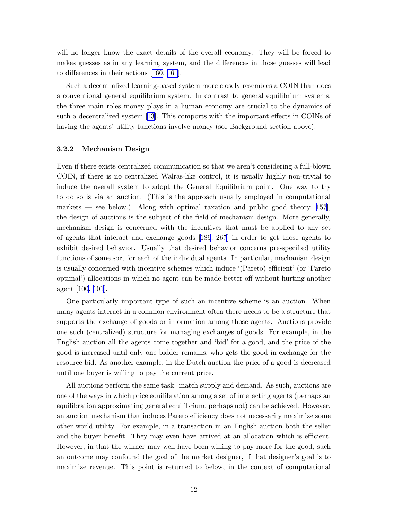will no longer know the exact details of the overall economy. They will be forced to makes guesses as in any learning system, and the differences in those guesses will lead to differences in their actions [[160](#page-78-0), [161](#page-78-0)].

Such a decentralized learning-based system more closely resembles a COIN than does a conventional general equilibrium system. In contrast to general equilibrium systems, the three main roles money plays in a human economy are crucial to the dynamics of such a decentralized system [[13](#page-69-0)]. This comports with the important effects in COINs of having the agents' utility functions involve money (see Background section above).

## 3.2.2 Mechanism Design

Even if there exists centralized communication so that we aren't considering a full-blown COIN, if there is no centralized Walras-like control, it is usually highly non-trivial to induce the overall system to adopt the General Equilibrium point. One way to try to do so is via an auction. (This is the approach usually employed in computational markets — see below.) Along with optimal taxation and public good theory  $[157]$  $[157]$ , the design of auctions is the subject of the field of mechanism design. More generally, mechanism design is concerned with the incentives that must be applied to any set of agents that interact and exchange goods [\[189](#page-80-0), [267](#page-85-0)] in order to get those agents to exhibit desired behavior. Usually that desired behavior concerns pre-specified utility functions of some sort for each of the individual agents. In particular, mechanism design is usually concerned with incentive schemes which induce '(Pareto) efficient' (or 'Pareto optimal') allocations in which no agent can be made better off without hurting another agent [[100](#page-75-0), [101](#page-75-0)].

One particularly important type of such an incentive scheme is an auction. When many agents interact in a common environment often there needs to be a structure that supports the exchange of goods or information among those agents. Auctions provide one such (centralized) structure for managing exchanges of goods. For example, in the English auction all the agents come together and 'bid' for a good, and the price of the good is increased until only one bidder remains, who gets the good in exchange for the resource bid. As another example, in the Dutch auction the price of a good is decreased until one buyer is willing to pay the current price.

All auctions perform the same task: match supply and demand. As such, auctions are one of the ways in which price equilibration among a set of interacting agents (perhaps an equilibration approximating general equilibrium, perhaps not) can be achieved. However, an auction mechanism that induces Pareto efficiency does not necessarily maximize some other world utility. For example, in a transaction in an English auction both the seller and the buyer benefit. They may even have arrived at an allocation which is efficient. However, in that the winner may well have been willing to pay more for the good, such an outcome may confound the goal of the market designer, if that designer's goal is to maximize revenue. This point is returned to below, in the context of computational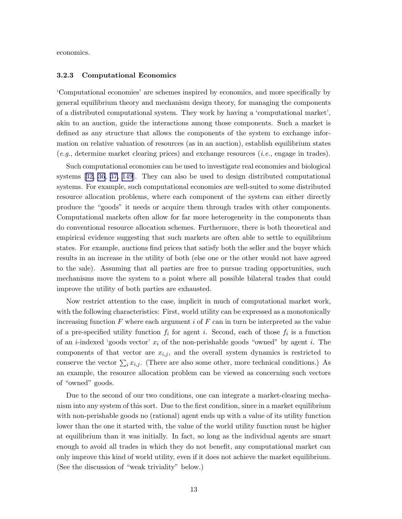economics.

### 3.2.3 Computational Economics

'Computational economies' are schemes inspired by economics, and more specifically by general equilibrium theory and mechanism design theory, for managing the components of a distributed computational system. They work by having a 'computational market', akin to an auction, guide the interactions among those components. Such a market is defined as any structure that allows the components of the system to exchange information on relative valuation of resources (as in an auction), establish equilibrium states (e.g., determine market clearing prices) and exchange resources (i.e., engage in trades).

Such computational economies can be used to investigate real economies and biological systems [[32, 36](#page-70-0), [37,](#page-70-0) [149](#page-78-0)]. They can also be used to design distributed computational systems. For example, such computational economies are well-suited to some distributed resource allocation problems, where each component of the system can either directly produce the "goods" it needs or acquire them through trades with other components. Computational markets often allow for far more heterogeneity in the components than do conventional resource allocation schemes. Furthermore, there is both theoretical and empirical evidence suggesting that such markets are often able to settle to equilibrium states. For example, auctions find prices that satisfy both the seller and the buyer which results in an increase in the utility of both (else one or the other would not have agreed to the sale). Assuming that all parties are free to pursue trading opportunities, such mechanisms move the system to a point where all possible bilateral trades that could improve the utility of both parties are exhausted.

Now restrict attention to the case, implicit in much of computational market work, with the following characteristics: First, world utility can be expressed as a monotonically increasing function F where each argument i of  $F$  can in turn be interpreted as the value of a pre-specified utility function  $f_i$  for agent i. Second, each of those  $f_i$  is a function of an *i*-indexed 'goods vector'  $x_i$  of the non-perishable goods "owned" by agent *i*. The components of that vector are  $x_{i,j}$ , and the overall system dynamics is restricted to conserve the vector  $\sum_i x_{i,j}$ . (There are also some other, more technical conditions.) As an example, the resource allocation problem can be viewed as concerning such vectors of "owned" goods.

Due to the second of our two conditions, one can integrate a market-clearing mechanism into any system of this sort. Due to the first condition, since in a market equilibrium with non-perishable goods no (rational) agent ends up with a value of its utility function lower than the one it started with, the value of the world utility function must be higher at equilibrium than it was initially. In fact, so long as the individual agents are smart enough to avoid all trades in which they do not benefit, any computational market can only improve this kind of world utility, even if it does not achieve the market equilibrium. (See the discussion of "weak triviality" below.)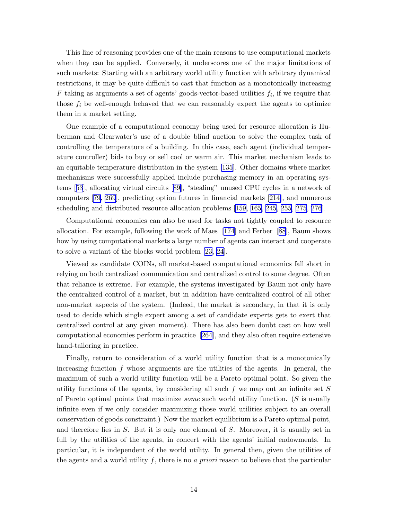This line of reasoning provides one of the main reasons to use computational markets when they can be applied. Conversely, it underscores one of the major limitations of such markets: Starting with an arbitrary world utility function with arbitrary dynamical restrictions, it may be quite difficult to cast that function as a monotonically increasing  $F$  taking as arguments a set of agents' goods-vector-based utilities  $f_i$ , if we require that those  $f_i$  be well-enough behaved that we can reasonably expect the agents to optimize them in a market setting.

One example of a computational economy being used for resource allocation is Huberman and Clearwater's use of a double–blind auction to solve the complex task of controlling the temperature of a building. In this case, each agent (individual temperature controller) bids to buy or sell cool or warm air. This market mechanism leads to an equitable temperature distribution in the system [\[135\]](#page-77-0). Other domains where market mechanisms were successfully applied include purchasing memory in an operating systems [[53](#page-71-0)], allocating virtual circuits [[89\]](#page-74-0), "stealing" unused CPU cycles in a network of computers [\[79](#page-73-0), [269](#page-86-0)], predicting option futures in financial markets [\[214\]](#page-82-0), and numerous scheduling and distributed resource allocation problems [[159](#page-78-0), [165](#page-79-0), [245](#page-84-0), [255](#page-85-0), [275](#page-86-0), [276](#page-86-0)].

Computational economics can also be used for tasks not tightly coupled to resource allocation. For example, following the work of Maes [\[174](#page-79-0)] and Ferber [[88](#page-74-0)], Baum shows how by using computational markets a large number of agents can interact and cooperate to solve a variant of the blocks world problem [\[23](#page-69-0), [24\]](#page-69-0).

Viewed as candidate COINs, all market-based computational economics fall short in relying on both centralized communication and centralized control to some degree. Often that reliance is extreme. For example, the systems investigated by Baum not only have the centralized control of a market, but in addition have centralized control of all other non-market aspects of the system. (Indeed, the market is secondary, in that it is only used to decide which single expert among a set of candidate experts gets to exert that centralized control at any given moment). There has also been doubt cast on how well computational economies perform in practice [\[264](#page-85-0)], and they also often require extensive hand-tailoring in practice.

Finally, return to consideration of a world utility function that is a monotonically increasing function  $f$  whose arguments are the utilities of the agents. In general, the maximum of such a world utility function will be a Pareto optimal point. So given the utility functions of the agents, by considering all such  $f$  we map out an infinite set  $S$ of Pareto optimal points that maximize *some* such world utility function. ( $S$  is usually infinite even if we only consider maximizing those world utilities subject to an overall conservation of goods constraint.) Now the market equilibrium is a Pareto optimal point, and therefore lies in S. But it is only one element of S. Moreover, it is usually set in full by the utilities of the agents, in concert with the agents' initial endowments. In particular, it is independent of the world utility. In general then, given the utilities of the agents and a world utility f, there is no a priori reason to believe that the particular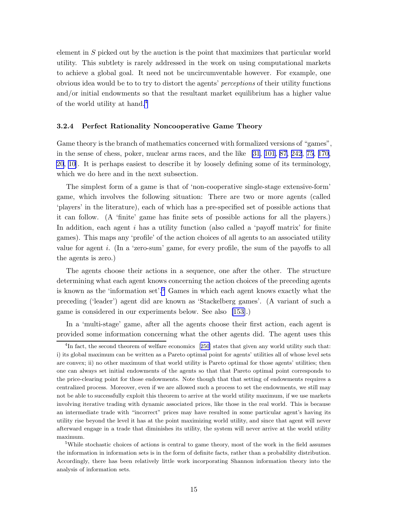element in S picked out by the auction is the point that maximizes that particular world utility. This subtlety is rarely addressed in the work on using computational markets to achieve a global goal. It need not be uncircumventable however. For example, one obvious idea would be to to try to distort the agents' perceptions of their utility functions and/or initial endowments so that the resultant market equilibrium has a higher value of the world utility at hand.<sup>4</sup>

## 3.2.4 Perfect Rationality Noncooperative Game Theory

Game theory is the branch of mathematics concerned with formalized versions of "games", in the sense of chess, poker, nuclear arms races, and the like [\[31](#page-70-0), [101](#page-75-0), [87](#page-74-0), [242](#page-84-0), [75,](#page-73-0) [170](#page-79-0), [20](#page-69-0), [10](#page-69-0)]. It is perhaps easiest to describe it by loosely defining some of its terminology, which we do here and in the next subsection.

The simplest form of a game is that of 'non-cooperative single-stage extensive-form' game, which involves the following situation: There are two or more agents (called 'players' in the literature), each of which has a pre-specified set of possible actions that it can follow. (A 'finite' game has finite sets of possible actions for all the players.) In addition, each agent  $i$  has a utility function (also called a 'payoff matrix' for finite games). This maps any 'profile' of the action choices of all agents to an associated utility value for agent i. (In a 'zero-sum' game, for every profile, the sum of the payoffs to all the agents is zero.)

The agents choose their actions in a sequence, one after the other. The structure determining what each agent knows concerning the action choices of the preceding agents is known as the 'information set'.<sup>5</sup> Games in which each agent knows exactly what the preceding ('leader') agent did are known as 'Stackelberg games'. (A variant of such a game is considered in our experiments below. See also [\[153\]](#page-78-0).)

In a 'multi-stage' game, after all the agents choose their first action, each agent is provided some information concerning what the other agents did. The agent uses this

<sup>&</sup>lt;sup>4</sup>In fact, the second theorem of welfare economics [[250](#page-84-0)] states that given any world utility such that: i) its global maximum can be written as a Pareto optimal point for agents' utilities all of whose level sets are convex; ii) no other maximum of that world utility is Pareto optimal for those agents' utilities; then one can always set initial endowments of the agents so that that Pareto optimal point corresponds to the price-clearing point for those endowments. Note though that that setting of endowments requires a centralized process. Moreover, even if we are allowed such a process to set the endowments, we still may not be able to successfully exploit this theorem to arrive at the world utility maximum, if we use markets involving iterative trading with dynamic associated prices, like those in the real world. This is because an intermediate trade with "incorrect" prices may have resulted in some particular agent's having its utility rise beyond the level it has at the point maximizing world utility, and since that agent will never afterward engage in a trade that diminishes its utility, the system will never arrive at the world utility maximum.

<sup>5</sup>While stochastic choices of actions is central to game theory, most of the work in the field assumes the information in information sets is in the form of definite facts, rather than a probability distribution. Accordingly, there has been relatively little work incorporating Shannon information theory into the analysis of information sets.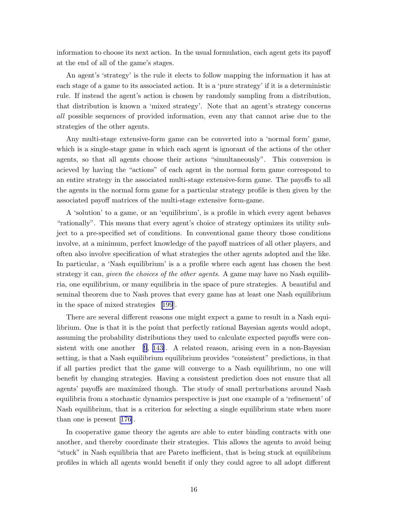information to choose its next action. In the usual formulation, each agent gets its payoff at the end of all of the game's stages.

An agent's 'strategy' is the rule it elects to follow mapping the information it has at each stage of a game to its associated action. It is a 'pure strategy' if it is a deterministic rule. If instead the agent's action is chosen by randomly sampling from a distribution, that distribution is known a 'mixed strategy'. Note that an agent's strategy concerns all possible sequences of provided information, even any that cannot arise due to the strategies of the other agents.

Any multi-stage extensive-form game can be converted into a 'normal form' game, which is a single-stage game in which each agent is ignorant of the actions of the other agents, so that all agents choose their actions "simultaneously". This conversion is acieved by having the "actions" of each agent in the normal form game correspond to an entire strategy in the associated multi-stage extensive-form game. The payoffs to all the agents in the normal form game for a particular strategy profile is then given by the associated payoff matrices of the multi-stage extensive form-game.

A 'solution' to a game, or an 'equilibrium', is a profile in which every agent behaves "rationally". This means that every agent's choice of strategy optimizes its utility subject to a pre-specified set of conditions. In conventional game theory those conditions involve, at a minimum, perfect knowledge of the payoff matrices of all other players, and often also involve specification of what strategies the other agents adopted and the like. In particular, a 'Nash equilibrium' is a a profile where each agent has chosen the best strategy it can, *given the choices of the other agents*. A game may have no Nash equilibria, one equilibrium, or many equilibria in the space of pure strategies. A beautiful and seminal theorem due to Nash proves that every game has at least one Nash equilibrium in the space of mixed strategies [\[199](#page-81-0)].

There are several different reasons one might expect a game to result in a Nash equilibrium. One is that it is the point that perfectly rational Bayesian agents would adopt, assuming the probability distributions they used to calculate expected payoffs were consistent with one another [\[9](#page-69-0), [143\]](#page-77-0). A related reason, arising even in a non-Bayesian setting, is that a Nash equilibrium equilibrium provides "consistent" predictions, in that if all parties predict that the game will converge to a Nash equilibrium, no one will benefit by changing strategies. Having a consistent prediction does not ensure that all agents' payoffs are maximized though. The study of small perturbations around Nash equilibria from a stochastic dynamics perspective is just one example of a 'refinement' of Nash equilibrium, that is a criterion for selecting a single equilibrium state when more than one is present [[176](#page-79-0)].

In cooperative game theory the agents are able to enter binding contracts with one another, and thereby coordinate their strategies. This allows the agents to avoid being "stuck" in Nash equilibria that are Pareto inefficient, that is being stuck at equilibrium profiles in which all agents would benefit if only they could agree to all adopt different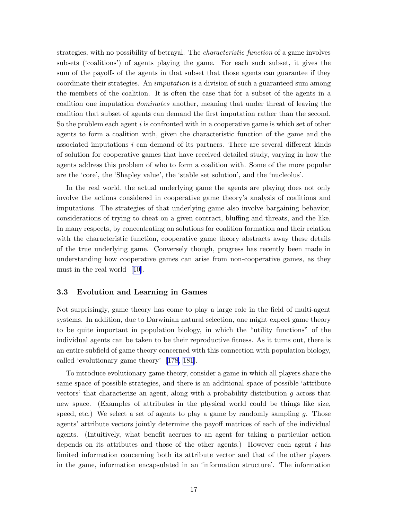strategies, with no possibility of betrayal. The characteristic function of a game involves subsets ('coalitions') of agents playing the game. For each such subset, it gives the sum of the payoffs of the agents in that subset that those agents can guarantee if they coordinate their strategies. An imputation is a division of such a guaranteed sum among the members of the coalition. It is often the case that for a subset of the agents in a coalition one imputation dominates another, meaning that under threat of leaving the coalition that subset of agents can demand the first imputation rather than the second. So the problem each agent i is confronted with in a cooperative game is which set of other agents to form a coalition with, given the characteristic function of the game and the associated imputations i can demand of its partners. There are several different kinds of solution for cooperative games that have received detailed study, varying in how the agents address this problem of who to form a coalition with. Some of the more popular are the 'core', the 'Shapley value', the 'stable set solution', and the 'nucleolus'.

In the real world, the actual underlying game the agents are playing does not only involve the actions considered in cooperative game theory's analysis of coalitions and imputations. The strategies of that underlying game also involve bargaining behavior, considerations of trying to cheat on a given contract, bluffing and threats, and the like. In many respects, by concentrating on solutions for coalition formation and their relation with the characteristic function, cooperative game theory abstracts away these details of the true underlying game. Conversely though, progress has recently been made in understanding how cooperative games can arise from non-cooperative games, as they must in the real world [[10\]](#page-69-0).

# 3.3 Evolution and Learning in Games

Not surprisingly, game theory has come to play a large role in the field of multi-agent systems. In addition, due to Darwinian natural selection, one might expect game theory to be quite important in population biology, in which the "utility functions" of the individual agents can be taken to be their reproductive fitness. As it turns out, there is an entire subfield of game theory concerned with this connection with population biology, called 'evolutionary game theory' [\[178, 181\]](#page-80-0).

To introduce evolutionary game theory, consider a game in which all players share the same space of possible strategies, and there is an additional space of possible 'attribute vectors' that characterize an agent, along with a probability distribution  $q$  across that new space. (Examples of attributes in the physical world could be things like size, speed, etc.) We select a set of agents to play a game by randomly sampling  $g$ . Those agents' attribute vectors jointly determine the payoff matrices of each of the individual agents. (Intuitively, what benefit accrues to an agent for taking a particular action depends on its attributes and those of the other agents.) However each agent  $i$  has limited information concerning both its attribute vector and that of the other players in the game, information encapsulated in an 'information structure'. The information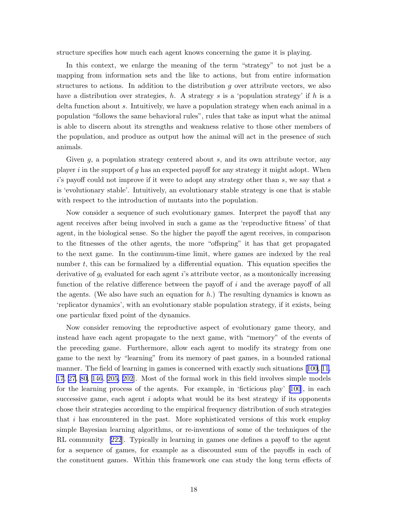structure specifies how much each agent knows concerning the game it is playing.

In this context, we enlarge the meaning of the term "strategy" to not just be a mapping from information sets and the like to actions, but from entire information structures to actions. In addition to the distribution  $g$  over attribute vectors, we also have a distribution over strategies,  $h$ . A strategy s is a 'population strategy' if h is a delta function about s. Intuitively, we have a population strategy when each animal in a population "follows the same behavioral rules", rules that take as input what the animal is able to discern about its strengths and weakness relative to those other members of the population, and produce as output how the animal will act in the presence of such animals.

Given  $g$ , a population strategy centered about  $s$ , and its own attribute vector, any player  $i$  in the support of  $g$  has an expected payoff for any strategy it might adopt. When  $i$ 's payoff could not improve if it were to adopt any strategy other than  $s$ , we say that  $s$ is 'evolutionary stable'. Intuitively, an evolutionary stable strategy is one that is stable with respect to the introduction of mutants into the population.

Now consider a sequence of such evolutionary games. Interpret the payoff that any agent receives after being involved in such a game as the 'reproductive fitness' of that agent, in the biological sense. So the higher the payoff the agent receives, in comparison to the fitnesses of the other agents, the more "offspring" it has that get propagated to the next game. In the continuum-time limit, where games are indexed by the real number t, this can be formalized by a differential equation. This equation specifies the derivative of  $g_t$  evaluated for each agent i's attribute vector, as a montonically increasing function of the relative difference between the payoff of  $i$  and the average payoff of all the agents. (We also have such an equation for  $h$ .) The resulting dynamics is known as 'replicator dynamics', with an evolutionary stable population strategy, if it exists, being one particular fixed point of the dynamics.

Now consider removing the reproductive aspect of evolutionary game theory, and instead have each agent propagate to the next game, with "memory" of the events of the preceding game. Furthermore, allow each agent to modify its strategy from one game to the next by "learning" from its memory of past games, in a bounded rational manner. The field of learning in games is concerned with exactly such situations [[100](#page-75-0), [11](#page-69-0), [17](#page-69-0), [27](#page-70-0), [80](#page-73-0), [146](#page-77-0), [205, 202](#page-81-0)]. Most of the formal work in this field involves simple models for the learning process of the agents. For example, in 'ficticious play' [[100](#page-75-0)], in each successive game, each agent  $i$  adopts what would be its best strategy if its opponents chose their strategies according to the empirical frequency distribution of such strategies that  $i$  has encountered in the past. More sophisticated versions of this work employ simple Bayesian learning algorithms, or re-inventions of some of the techniques of the RL community [\[222](#page-82-0)]. Typically in learning in games one defines a payoff to the agent for a sequence of games, for example as a discounted sum of the payoffs in each of the constituent games. Within this framework one can study the long term effects of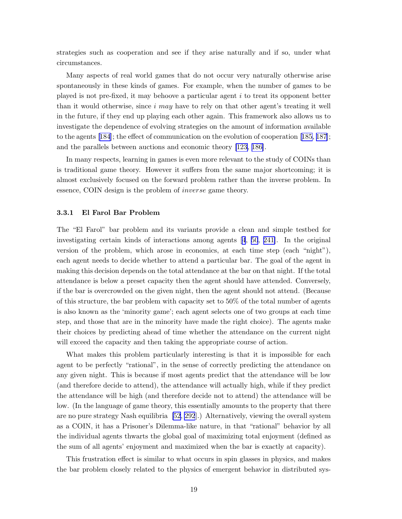<span id="page-18-0"></span>strategies such as cooperation and see if they arise naturally and if so, under what circumstances.

Many aspects of real world games that do not occur very naturally otherwise arise spontaneously in these kinds of games. For example, when the number of games to be played is not pre-fixed, it may behoove a particular agent i to treat its opponent better than it would otherwise, since  $i$  may have to rely on that other agent's treating it well in the future, if they end up playing each other again. This framework also allows us to investigate the dependence of evolving strategies on the amount of information available to the agents [[184](#page-80-0)]; the effect of communication on the evolution of cooperation [[185](#page-80-0), [187\]](#page-80-0); and the parallels between auctions and economic theory [\[123,](#page-76-0) [186\]](#page-80-0).

In many respects, learning in games is even more relevant to the study of COINs than is traditional game theory. However it suffers from the same major shortcoming; it is almost exclusively focused on the forward problem rather than the inverse problem. In essence, COIN design is the problem of inverse game theory.

#### 3.3.1 El Farol Bar Problem

The "El Farol" bar problem and its variants provide a clean and simple testbed for investigating certain kinds of interactions among agents [\[4](#page-68-0), [50](#page-71-0), [241\]](#page-84-0). In the original version of the problem, which arose in economics, at each time step (each "night"), each agent needs to decide whether to attend a particular bar. The goal of the agent in making this decision depends on the total attendance at the bar on that night. If the total attendance is below a preset capacity then the agent should have attended. Conversely, if the bar is overcrowded on the given night, then the agent should not attend. (Because of this structure, the bar problem with capacity set to 50% of the total number of agents is also known as the 'minority game'; each agent selects one of two groups at each time step, and those that are in the minority have made the right choice). The agents make their choices by predicting ahead of time whether the attendance on the current night will exceed the capacity and then taking the appropriate course of action.

What makes this problem particularly interesting is that it is impossible for each agent to be perfectly "rational", in the sense of correctly predicting the attendance on any given night. This is because if most agents predict that the attendance will be low (and therefore decide to attend), the attendance will actually high, while if they predict the attendance will be high (and therefore decide not to attend) the attendance will be low. (In the language of game theory, this essentially amounts to the property that there are no pure strategy Nash equilibria [\[52](#page-71-0), [292](#page-87-0)].) Alternatively, viewing the overall system as a COIN, it has a Prisoner's Dilemma-like nature, in that "rational" behavior by all the individual agents thwarts the global goal of maximizing total enjoyment (defined as the sum of all agents' enjoyment and maximized when the bar is exactly at capacity).

This frustration effect is similar to what occurs in spin glasses in physics, and makes the bar problem closely related to the physics of emergent behavior in distributed sys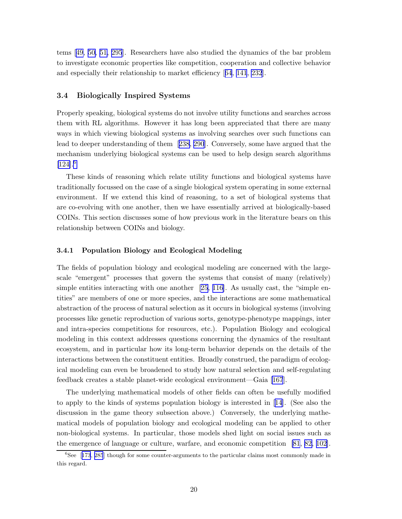tems [[49, 50, 51,](#page-71-0) [295](#page-87-0)]. Researchers have also studied the dynamics of the bar problem to investigate economic properties like competition, cooperation and collective behavior and especially their relationship to market efficiency [[64](#page-72-0), [141](#page-77-0), [232](#page-83-0)].

# 3.4 Biologically Inspired Systems

Properly speaking, biological systems do not involve utility functions and searches across them with RL algorithms. However it has long been appreciated that there are many ways in which viewing biological systems as involving searches over such functions can lead to deeper understanding of them [[238,](#page-83-0) [290](#page-87-0)]. Conversely, some have argued that the mechanism underlying biological systems can be used to help design search algorithms  $[124]$ <sup>6</sup>

These kinds of reasoning which relate utility functions and biological systems have traditionally focussed on the case of a single biological system operating in some external environment. If we extend this kind of reasoning, to a set of biological systems that are co-evolving with one another, then we have essentially arrived at biologically-based COINs. This section discusses some of how previous work in the literature bears on this relationship between COINs and biology.

### 3.4.1 Population Biology and Ecological Modeling

The fields of population biology and ecological modeling are concerned with the largescale "emergent" processes that govern the systems that consist of many (relatively) simple entities interacting with one another  $[25, 116]$  $[25, 116]$  $[25, 116]$ . As usually cast, the "simple entities" are members of one or more species, and the interactions are some mathematical abstraction of the process of natural selection as it occurs in biological systems (involving processes like genetic reproduction of various sorts, genotype-phenotype mappings, inter and intra-species competitions for resources, etc.). Population Biology and ecological modeling in this context addresses questions concerning the dynamics of the resultant ecosystem, and in particular how its long-term behavior depends on the details of the interactions between the constituent entities. Broadly construed, the paradigm of ecological modeling can even be broadened to study how natural selection and self-regulating feedback creates a stable planet-wide ecological environment—Gaia [\[167](#page-79-0)].

The underlying mathematical models of other fields can often be usefully modified to apply to the kinds of systems population biology is interested in [\[14\]](#page-69-0). (See also the discussion in the game theory subsection above.) Conversely, the underlying mathematical models of population biology and ecological modeling can be applied to other non-biological systems. In particular, those models shed light on social issues such as the emergence of language or culture, warfare, and economic competition [\[81](#page-73-0), [82,](#page-73-0) [102\]](#page-75-0).

<sup>&</sup>lt;sup>6</sup>See [[173](#page-79-0), [285](#page-87-0)] though for some counter-arguments to the particular claims most commonly made in this regard.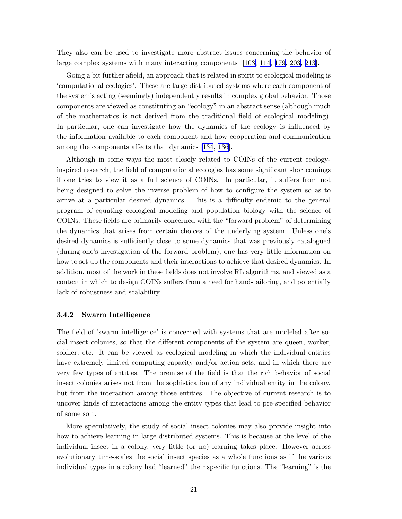They also can be used to investigate more abstract issues concerning the behavior of large complex systems with many interacting components [\[103, 114,](#page-75-0) [179,](#page-80-0) [203,](#page-81-0) [213\]](#page-82-0).

Going a bit further afield, an approach that is related in spirit to ecological modeling is 'computational ecologies'. These are large distributed systems where each component of the system's acting (seemingly) independently results in complex global behavior. Those components are viewed as constituting an "ecology" in an abstract sense (although much of the mathematics is not derived from the traditional field of ecological modeling). In particular, one can investigate how the dynamics of the ecology is influenced by the information available to each component and how cooperation and communication among the components affects that dynamics [\[134](#page-77-0), [136](#page-77-0)].

Although in some ways the most closely related to COINs of the current ecologyinspired research, the field of computational ecologies has some significant shortcomings if one tries to view it as a full science of COINs. In particular, it suffers from not being designed to solve the inverse problem of how to configure the system so as to arrive at a particular desired dynamics. This is a difficulty endemic to the general program of equating ecological modeling and population biology with the science of COINs. These fields are primarily concerned with the "forward problem" of determining the dynamics that arises from certain choices of the underlying system. Unless one's desired dynamics is sufficiently close to some dynamics that was previously catalogued (during one's investigation of the forward problem), one has very little information on how to set up the components and their interactions to achieve that desired dynamics. In addition, most of the work in these fields does not involve RL algorithms, and viewed as a context in which to design COINs suffers from a need for hand-tailoring, and potentially lack of robustness and scalability.

## 3.4.2 Swarm Intelligence

The field of 'swarm intelligence' is concerned with systems that are modeled after social insect colonies, so that the different components of the system are queen, worker, soldier, etc. It can be viewed as ecological modeling in which the individual entities have extremely limited computing capacity and/or action sets, and in which there are very few types of entities. The premise of the field is that the rich behavior of social insect colonies arises not from the sophistication of any individual entity in the colony, but from the interaction among those entities. The objective of current research is to uncover kinds of interactions among the entity types that lead to pre-specified behavior of some sort.

More speculatively, the study of social insect colonies may also provide insight into how to achieve learning in large distributed systems. This is because at the level of the individual insect in a colony, very little (or no) learning takes place. However across evolutionary time-scales the social insect species as a whole functions as if the various individual types in a colony had "learned" their specific functions. The "learning" is the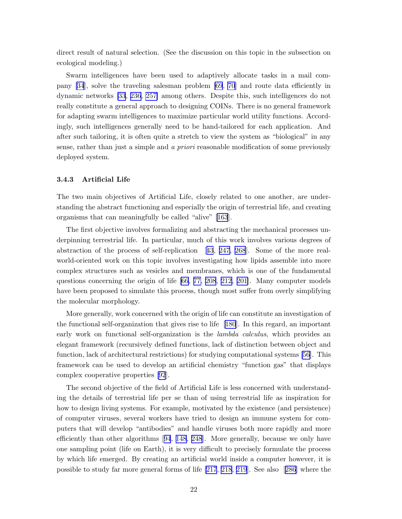direct result of natural selection. (See the discussion on this topic in the subsection on ecological modeling.)

Swarm intelligences have been used to adaptively allocate tasks in a mail company [\[34](#page-70-0)], solve the traveling salesman problem [\[69](#page-73-0), [70](#page-73-0)] and route data efficiently in dynamic networks [\[33](#page-70-0), [236](#page-83-0), [257\]](#page-85-0) among others. Despite this, such intelligences do not really constitute a general approach to designing COINs. There is no general framework for adapting swarm intelligences to maximize particular world utility functions. Accordingly, such intelligences generally need to be hand-tailored for each application. And after such tailoring, it is often quite a stretch to view the system as "biological" in any sense, rather than just a simple and a priori reasonable modification of some previously deployed system.

## 3.4.3 Artificial Life

The two main objectives of Artificial Life, closely related to one another, are understanding the abstract functioning and especially the origin of terrestrial life, and creating organisms that can meaningfully be called "alive" [\[163](#page-79-0)].

The first objective involves formalizing and abstracting the mechanical processes underpinning terrestrial life. In particular, much of this work involves various degrees of abstraction of the process of self-replication [[43](#page-71-0), [247](#page-84-0), [268](#page-85-0)]. Some of the more realworld-oriented work on this topic involves investigating how lipids assemble into more complex structures such as vesicles and membranes, which is one of the fundamental questions concerning the origin of life [\[66](#page-72-0), [77,](#page-73-0) [208](#page-81-0), [212](#page-82-0), [201](#page-81-0)]. Many computer models have been proposed to simulate this process, though most suffer from overly simplifying the molecular morphology.

More generally, work concerned with the origin of life can constitute an investigation of the functional self-organization that gives rise to life [\[180](#page-80-0)]. In this regard, an important early work on functional self-organization is the *lambda calculus*, which provides an elegant framework (recursively defined functions, lack of distinction between object and function, lack of architectural restrictions) for studying computational systems [\[56](#page-72-0)]. This framework can be used to develop an artificial chemistry "function gas" that displays complex cooperative properties [[92](#page-74-0)].

The second objective of the field of Artificial Life is less concerned with understanding the details of terrestrial life per se than of using terrestrial life as inspiration for how to design living systems. For example, motivated by the existence (and persistence) of computer viruses, several workers have tried to design an immune system for computers that will develop "antibodies" and handle viruses both more rapidly and more efficiently than other algorithms [[94](#page-74-0), [148](#page-78-0), [248](#page-84-0)]. More generally, because we only have one sampling point (life on Earth), it is very difficult to precisely formulate the process by which life emerged. By creating an artificial world inside a computer however, it is possible to study far more general forms of life [\[217](#page-82-0), [218](#page-82-0), [219](#page-82-0)]. See also [[286\]](#page-87-0) where the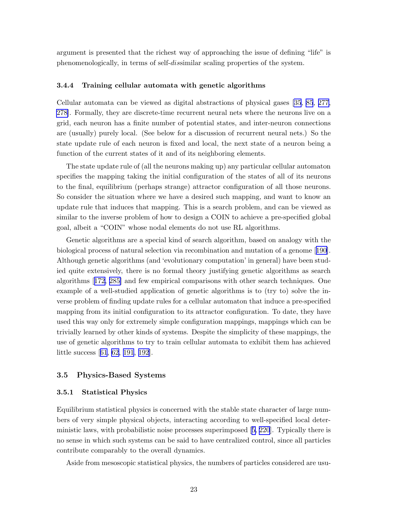argument is presented that the richest way of approaching the issue of defining "life" is phenomenologically, in terms of self-dissimilar scaling properties of the system.

#### 3.4.4 Training cellular automata with genetic algorithms

Cellular automata can be viewed as digital abstractions of physical gases [\[35](#page-70-0), [85](#page-74-0), [277,](#page-86-0) [278\]](#page-86-0). Formally, they are discrete-time recurrent neural nets where the neurons live on a grid, each neuron has a finite number of potential states, and inter-neuron connections are (usually) purely local. (See below for a discussion of recurrent neural nets.) So the state update rule of each neuron is fixed and local, the next state of a neuron being a function of the current states of it and of its neighboring elements.

The state update rule of (all the neurons making up) any particular cellular automaton specifies the mapping taking the initial configuration of the states of all of its neurons to the final, equilibrium (perhaps strange) attractor configuration of all those neurons. So consider the situation where we have a desired such mapping, and want to know an update rule that induces that mapping. This is a search problem, and can be viewed as similar to the inverse problem of how to design a COIN to achieve a pre-specified global goal, albeit a "COIN" whose nodal elements do not use RL algorithms.

Genetic algorithms are a special kind of search algorithm, based on analogy with the biological process of natural selection via recombination and mutation of a genome [[190\]](#page-80-0). Although genetic algorithms (and 'evolutionary computation' in general) have been studied quite extensively, there is no formal theory justifying genetic algorithms as search algorithms [[172,](#page-79-0) [285](#page-87-0)] and few empirical comparisons with other search techniques. One example of a well-studied application of genetic algorithms is to (try to) solve the inverse problem of finding update rules for a cellular automaton that induce a pre-specified mapping from its initial configuration to its attractor configuration. To date, they have used this way only for extremely simple configuration mappings, mappings which can be trivially learned by other kinds of systems. Despite the simplicity of these mappings, the use of genetic algorithms to try to train cellular automata to exhibit them has achieved little success [[61](#page-72-0), [62](#page-72-0), [191](#page-80-0), [192](#page-80-0)].

### 3.5 Physics-Based Systems

## 3.5.1 Statistical Physics

Equilibrium statistical physics is concerned with the stable state character of large numbers of very simple physical objects, interacting according to well-specified local deterministic laws, with probabilistic noise processes superimposed [[5,](#page-68-0) [220](#page-82-0)]. Typically there is no sense in which such systems can be said to have centralized control, since all particles contribute comparably to the overall dynamics.

Aside from mesoscopic statistical physics, the numbers of particles considered are usu-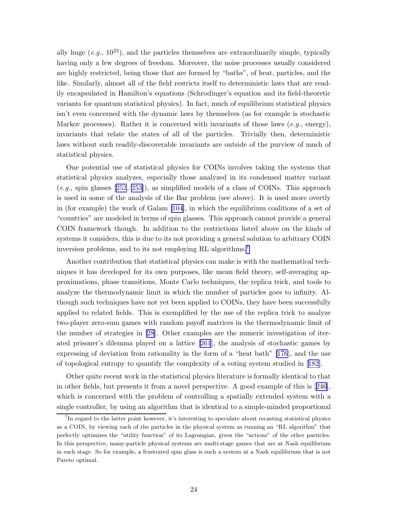ally huge  $(e.g., 10^{23})$ , and the particles themselves are extraordinarily simple, typically having only a few degrees of freedom. Moreover, the noise processes usually considered are highly restricted, being those that are formed by "baths", of heat, particles, and the like. Similarly, almost all of the field restricts itself to deterministic laws that are readily encapsulated in Hamilton's equations (Schrodinger's equation and its field-theoretic variants for quantum statistical physics). In fact, much of equilibrium statistical physics isn't even concerned with the dynamic laws by themselves (as for example is stochastic Markov processes). Rather it is concerned with invariants of those laws  $(e.g.,$  energy), invariants that relate the states of all of the particles. Trivially then, deterministic laws without such readily-discoverable invariants are outside of the purview of much of statistical physics.

One potential use of statistical physics for COINs involves taking the systems that statistical physics analyzes, especially those analyzed in its condensed matter variant  $(e.g., \text{spin glasses} [252, 253])$  $(e.g., \text{spin glasses} [252, 253])$  $(e.g., \text{spin glasses} [252, 253])$  $(e.g., \text{spin glasses} [252, 253])$  $(e.g., \text{spin glasses} [252, 253])$ , as simplified models of a class of COINs. This approach is used in some of the analysis of the Bar problem (see above). It is used more overtly in (for example) the work of Galam [\[104\]](#page-75-0), in which the equilibrium coalitions of a set of "countries" are modeled in terms of spin glasses. This approach cannot provide a general COIN framework though. In addition to the restrictions listed above on the kinds of systems it considers, this is due to its not providing a general solution to arbitrary COIN inversion problems, and to its not employing RL algorithms.<sup>7</sup>

Another contribution that statistical physics can make is with the mathematical techniques it has developed for its own purposes, like mean field theory, self-averaging approximations, phase transitions, Monte Carlo techniques, the replica trick, and tools to analyze the thermodynamic limit in which the number of particles goes to infinity. Although such techniques have not yet been applied to COINs, they have been successfully applied to related fields. This is exemplified by the use of the replica trick to analyze two-player zero-sum games with random payoff matrices in the thermodynamic limit of the number of strategies in [\[28\]](#page-70-0). Other examples are the numeric investigation of iterated prisoner's dilemma played on a lattice [\[261](#page-85-0)], the analysis of stochastic games by expressing of deviation from rationality in the form of a "heat bath" [\[176](#page-79-0)], and the use of topological entropy to quantify the complexity of a voting system studied in [[182\]](#page-80-0).

Other quite recent work in the statistical physics literature is formally identical to that in other fields, but presents it from a novel perspective. A good example of this is [[246\]](#page-84-0), which is concerned with the problem of controlling a spatially extended system with a single controller, by using an algorithm that is identical to a simple-minded proportional

<sup>&</sup>lt;sup>7</sup>In regard to the latter point however, it's interesting to speculate about recasting statistical physics as a COIN, by viewing each of the particles in the physical system as running an "RL algorithm" that perfectly optimizes the "utility function" of its Lagrangian, given the "actions" of the other particles. In this perspective, many-particle physical systems are multi-stage games that are at Nash equilibrium in each stage. So for example, a frustrated spin glass is such a system at a Nash equilibrium that is not Pareto optimal.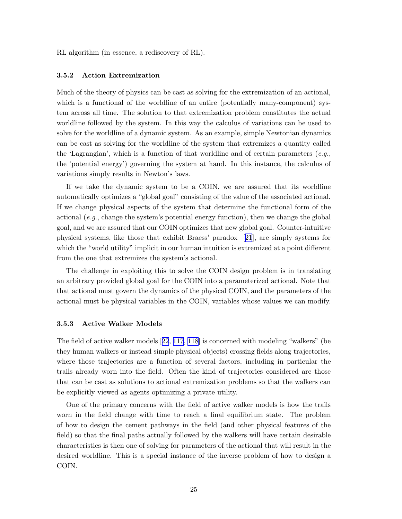RL algorithm (in essence, a rediscovery of RL).

## 3.5.2 Action Extremization

Much of the theory of physics can be cast as solving for the extremization of an actional, which is a functional of the worldline of an entire (potentially many-component) system across all time. The solution to that extremization problem constitutes the actual worldline followed by the system. In this way the calculus of variations can be used to solve for the worldline of a dynamic system. As an example, simple Newtonian dynamics can be cast as solving for the worldline of the system that extremizes a quantity called the 'Lagrangian', which is a function of that worldline and of certain parameters  $(e.g.,)$ the 'potential energy') governing the system at hand. In this instance, the calculus of variations simply results in Newton's laws.

If we take the dynamic system to be a COIN, we are assured that its worldline automatically optimizes a "global goal" consisting of the value of the associated actional. If we change physical aspects of the system that determine the functional form of the actional (e.g., change the system's potential energy function), then we change the global goal, and we are assured that our COIN optimizes that new global goal. Counter-intuitive physical systems, like those that exhibit Braess' paradox [[21](#page-69-0)], are simply systems for which the "world utility" implicit in our human intuition is extremized at a point different from the one that extremizes the system's actional.

The challenge in exploiting this to solve the COIN design problem is in translating an arbitrary provided global goal for the COIN into a parameterized actional. Note that that actional must govern the dynamics of the physical COIN, and the parameters of the actional must be physical variables in the COIN, variables whose values we can modify.

## 3.5.3 Active Walker Models

The field of active walker models [[22](#page-69-0), [117,](#page-75-0) [118](#page-76-0)] is concerned with modeling "walkers" (be they human walkers or instead simple physical objects) crossing fields along trajectories, where those trajectories are a function of several factors, including in particular the trails already worn into the field. Often the kind of trajectories considered are those that can be cast as solutions to actional extremization problems so that the walkers can be explicitly viewed as agents optimizing a private utility.

One of the primary concerns with the field of active walker models is how the trails worn in the field change with time to reach a final equilibrium state. The problem of how to design the cement pathways in the field (and other physical features of the field) so that the final paths actually followed by the walkers will have certain desirable characteristics is then one of solving for parameters of the actional that will result in the desired worldline. This is a special instance of the inverse problem of how to design a COIN.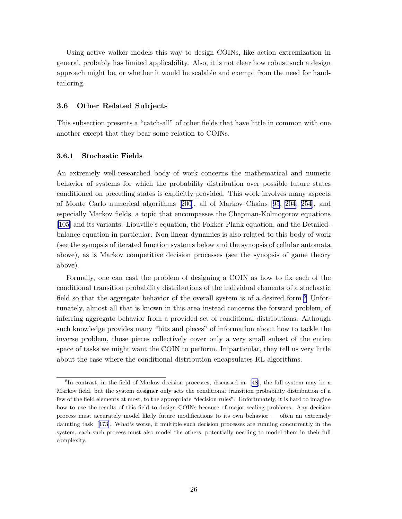Using active walker models this way to design COINs, like action extremization in general, probably has limited applicability. Also, it is not clear how robust such a design approach might be, or whether it would be scalable and exempt from the need for handtailoring.

## 3.6 Other Related Subjects

This subsection presents a "catch-all" of other fields that have little in common with one another except that they bear some relation to COINs.

## 3.6.1 Stochastic Fields

An extremely well-researched body of work concerns the mathematical and numeric behavior of systems for which the probability distribution over possible future states conditioned on preceding states is explicitly provided. This work involves many aspects of Monte Carlo numerical algorithms [\[200](#page-81-0)], all of Markov Chains [[95](#page-74-0), [204,](#page-81-0) [254](#page-85-0)], and especially Markov fields, a topic that encompasses the Chapman-Kolmogorov equations [\[105\]](#page-75-0) and its variants: Liouville's equation, the Fokker-Plank equation, and the Detailedbalance equation in particular. Non-linear dynamics is also related to this body of work (see the synopsis of iterated function systems below and the synopsis of cellular automata above), as is Markov competitive decision processes (see the synopsis of game theory above).

Formally, one can cast the problem of designing a COIN as how to fix each of the conditional transition probability distributions of the individual elements of a stochastic field so that the aggregate behavior of the overall system is of a desired form.<sup>8</sup> Unfortunately, almost all that is known in this area instead concerns the forward problem, of inferring aggregate behavior from a provided set of conditional distributions. Although such knowledge provides many "bits and pieces" of information about how to tackle the inverse problem, those pieces collectively cover only a very small subset of the entire space of tasks we might want the COIN to perform. In particular, they tell us very little about the case where the conditional distribution encapsulates RL algorithms.

<sup>8</sup> In contrast, in the field of Markov decision processes, discussed in [[48\]](#page-71-0), the full system may be a Markov field, but the system designer only sets the conditional transition probability distribution of a few of the field elements at most, to the appropriate "decision rules". Unfortunately, it is hard to imagine how to use the results of this field to design COINs because of major scaling problems. Any decision process must accurately model likely future modifications to its own behavior — often an extremely daunting task [\[173\]](#page-79-0). What's worse, if multiple such decision processes are running concurrently in the system, each such process must also model the others, potentially needing to model them in their full complexity.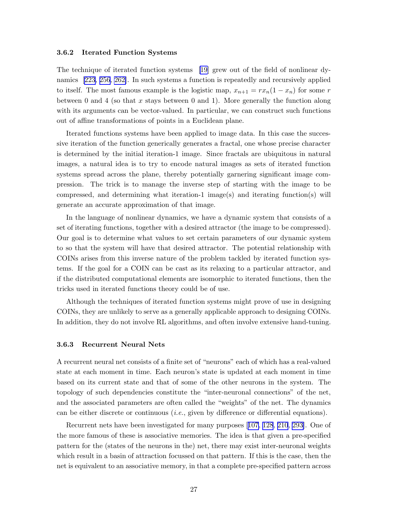#### 3.6.2 Iterated Function Systems

The technique of iterated function systems [\[19](#page-69-0)] grew out of the field of nonlinear dynamics [[223](#page-82-0), [256, 262\]](#page-85-0). In such systems a function is repeatedly and recursively applied to itself. The most famous example is the logistic map,  $x_{n+1} = rx_n(1 - x_n)$  for some r between 0 and 4 (so that  $x$  stays between 0 and 1). More generally the function along with its arguments can be vector-valued. In particular, we can construct such functions out of affine transformations of points in a Euclidean plane.

Iterated functions systems have been applied to image data. In this case the successive iteration of the function generically generates a fractal, one whose precise character is determined by the initial iteration-1 image. Since fractals are ubiquitous in natural images, a natural idea is to try to encode natural images as sets of iterated function systems spread across the plane, thereby potentially garnering significant image compression. The trick is to manage the inverse step of starting with the image to be compressed, and determining what iteration-1 image(s) and iterating function(s) will generate an accurate approximation of that image.

In the language of nonlinear dynamics, we have a dynamic system that consists of a set of iterating functions, together with a desired attractor (the image to be compressed). Our goal is to determine what values to set certain parameters of our dynamic system to so that the system will have that desired attractor. The potential relationship with COINs arises from this inverse nature of the problem tackled by iterated function systems. If the goal for a COIN can be cast as its relaxing to a particular attractor, and if the distributed computational elements are isomorphic to iterated functions, then the tricks used in iterated functions theory could be of use.

Although the techniques of iterated function systems might prove of use in designing COINs, they are unlikely to serve as a generally applicable approach to designing COINs. In addition, they do not involve RL algorithms, and often involve extensive hand-tuning.

#### 3.6.3 Recurrent Neural Nets

A recurrent neural net consists of a finite set of "neurons" each of which has a real-valued state at each moment in time. Each neuron's state is updated at each moment in time based on its current state and that of some of the other neurons in the system. The topology of such dependencies constitute the "inter-neuronal connections" of the net, and the associated parameters are often called the "weights" of the net. The dynamics can be either discrete or continuous (*i.e.*, given by difference or differential equations).

Recurrent nets have been investigated for many purposes [[107,](#page-75-0) [128](#page-76-0), [210](#page-82-0), [293\]](#page-87-0). One of the more famous of these is associative memories. The idea is that given a pre-specified pattern for the (states of the neurons in the) net, there may exist inter-neuronal weights which result in a basin of attraction focussed on that pattern. If this is the case, then the net is equivalent to an associative memory, in that a complete pre-specified pattern across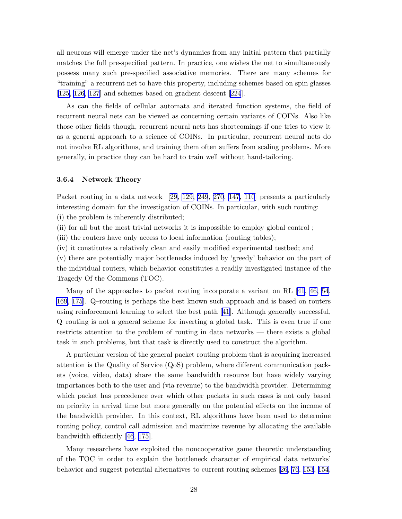all neurons will emerge under the net's dynamics from any initial pattern that partially matches the full pre-specified pattern. In practice, one wishes the net to simultaneously possess many such pre-specified associative memories. There are many schemes for "training" a recurrent net to have this property, including schemes based on spin glasses [\[125, 126, 127\]](#page-76-0) and schemes based on gradient descent [\[224](#page-82-0)].

As can the fields of cellular automata and iterated function systems, the field of recurrent neural nets can be viewed as concerning certain variants of COINs. Also like those other fields though, recurrent neural nets has shortcomings if one tries to view it as a general approach to a science of COINs. In particular, recurrent neural nets do not involve RL algorithms, and training them often suffers from scaling problems. More generally, in practice they can be hard to train well without hand-tailoring.

#### 3.6.4 Network Theory

Packet routing in a data network [\[29](#page-70-0), [129,](#page-76-0) [249](#page-84-0), [270](#page-86-0), [147,](#page-78-0) [110](#page-75-0)] presents a particularly interesting domain for the investigation of COINs. In particular, with such routing:

(i) the problem is inherently distributed;

(ii) for all but the most trivial networks it is impossible to employ global control ;

(iii) the routers have only access to local information (routing tables);

(iv) it constitutes a relatively clean and easily modified experimental testbed; and

(v) there are potentially major bottlenecks induced by 'greedy' behavior on the part of the individual routers, which behavior constitutes a readily investigated instance of the Tragedy Of the Commons (TOC).

Many of the approaches to packet routing incorporate a variant on RL [\[41](#page-71-0), [46, 54](#page-71-0), [169, 175](#page-79-0)]. Q–routing is perhaps the best known such approach and is based on routers using reinforcement learning to select the best path [[41\]](#page-71-0). Although generally successful, Q–routing is not a general scheme for inverting a global task. This is even true if one restricts attention to the problem of routing in data networks — there exists a global task in such problems, but that task is directly used to construct the algorithm.

A particular version of the general packet routing problem that is acquiring increased attention is the Quality of Service (QoS) problem, where different communication packets (voice, video, data) share the same bandwidth resource but have widely varying importances both to the user and (via revenue) to the bandwidth provider. Determining which packet has precedence over which other packets in such cases is not only based on priority in arrival time but more generally on the potential effects on the income of the bandwidth provider. In this context, RL algorithms have been used to determine routing policy, control call admission and maximize revenue by allocating the available bandwidth efficiently [\[46](#page-71-0), [175](#page-79-0)].

Many researchers have exploited the noncooperative game theoretic understanding of the TOC in order to explain the bottleneck character of empirical data networks' behavior and suggest potential alternatives to current routing schemes [\[26](#page-70-0), [76](#page-73-0), [153](#page-78-0), [154,](#page-78-0)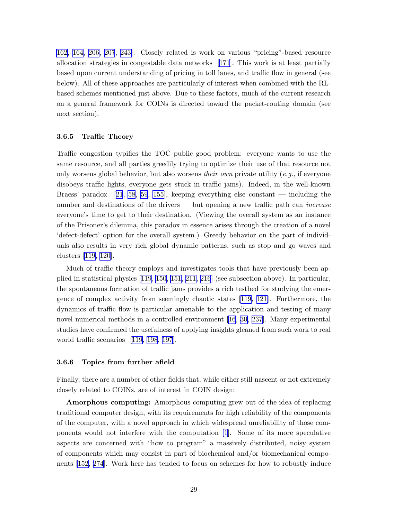[162, 164,](#page-79-0) [206](#page-81-0), [207](#page-81-0), [243\]](#page-84-0). Closely related is work on various "pricing"-based resource allocation strategies in congestable data networks [\[171](#page-79-0)]. This work is at least partially based upon current understanding of pricing in toll lanes, and traffic flow in general (see below). All of these approaches are particularly of interest when combined with the RLbased schemes mentioned just above. Due to these factors, much of the current research on a general framework for COINs is directed toward the packet-routing domain (see next section).

### 3.6.5 Traffic Theory

Traffic congestion typifies the TOC public good problem: everyone wants to use the same resource, and all parties greedily trying to optimize their use of that resource not only worsens global behavior, but also worsens *their own* private utility  $(e, q, f)$  if everyone disobeys traffic lights, everyone gets stuck in traffic jams). Indeed, in the well-known Braess' paradox [[21](#page-69-0), [58](#page-72-0), [59](#page-72-0), [155\]](#page-78-0), keeping everything else constant — including the number and destinations of the drivers — but opening a new traffic path can *increase* everyone's time to get to their destination. (Viewing the overall system as an instance of the Prisoner's dilemma, this paradox in essence arises through the creation of a novel 'defect-defect' option for the overall system.) Greedy behavior on the part of individuals also results in very rich global dynamic patterns, such as stop and go waves and clusters [\[119](#page-76-0), [120](#page-76-0)].

Much of traffic theory employs and investigates tools that have previously been applied in statistical physics [[119](#page-76-0), [150, 151](#page-78-0), [211, 216](#page-82-0)] (see subsection above). In particular, the spontaneous formation of traffic jams provides a rich testbed for studying the emergence of complex activity from seemingly chaotic states [[119](#page-76-0), [121](#page-76-0)]. Furthermore, the dynamics of traffic flow is particular amenable to the application and testing of many novel numerical methods in a controlled environment [\[16](#page-69-0), [30,](#page-70-0) [237](#page-83-0)]. Many experimental studies have confirmed the usefulness of applying insights gleaned from such work to real world traffic scenarios [[119](#page-76-0), [198](#page-81-0), [197](#page-81-0)].

### 3.6.6 Topics from further afield

Finally, there are a number of other fields that, while either still nascent or not extremely closely related to COINs, are of interest in COIN design:

Amorphous computing: Amorphous computing grew out of the idea of replacing traditional computer design, with its requirements for high reliability of the components of the computer, with a novel approach in which widespread unreliability of those components would not interfere with the computation [\[1\]](#page-68-0). Some of its more speculative aspects are concerned with "how to program" a massively distributed, noisy system of components which may consist in part of biochemical and/or biomechanical components [\[152,](#page-78-0) [274\]](#page-86-0). Work here has tended to focus on schemes for how to robustly induce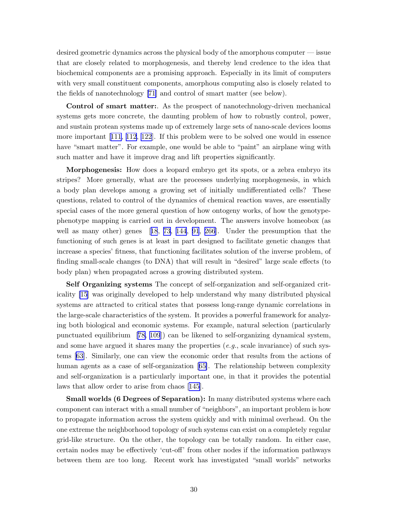desired geometric dynamics across the physical body of the amorphous computer — issue that are closely related to morphogenesis, and thereby lend credence to the idea that biochemical components are a promising approach. Especially in its limit of computers with very small constituent components, amorphous computing also is closely related to the fields of nanotechnology [\[71](#page-73-0)] and control of smart matter (see below).

Control of smart matter:. As the prospect of nanotechnology-driven mechanical systems gets more concrete, the daunting problem of how to robustly control, power, and sustain protean systems made up of extremely large sets of nano-scale devices looms more important [[111](#page-75-0), [112](#page-75-0), [122](#page-76-0)]. If this problem were to be solved one would in essence have "smart matter". For example, one would be able to "paint" an airplane wing with such matter and have it improve drag and lift properties significantly.

Morphogenesis: How does a leopard embryo get its spots, or a zebra embryo its stripes? More generally, what are the processes underlying morphogenesis, in which a body plan develops among a growing set of initially undifferentiated cells? These questions, related to control of the dynamics of chemical reaction waves, are essentially special cases of the more general question of how ontogeny works, of how the genotypephenotype mapping is carried out in development. The answers involve homeobox (as well as many other) genes [[18](#page-69-0), [73,](#page-73-0) [144](#page-77-0), [91](#page-74-0), [266](#page-85-0)]. Under the presumption that the functioning of such genes is at least in part designed to facilitate genetic changes that increase a species' fitness, that functioning facilitates solution of the inverse problem, of finding small-scale changes (to DNA) that will result in "desired" large scale effects (to body plan) when propagated across a growing distributed system.

Self Organizing systems The concept of self-organization and self-organized criticality [\[15](#page-69-0)] was originally developed to help understand why many distributed physical systems are attracted to critical states that possess long-range dynamic correlations in the large-scale characteristics of the system. It provides a powerful framework for analyzing both biological and economic systems. For example, natural selection (particularly punctuated equilibrium [\[78,](#page-73-0) [109](#page-75-0)]) can be likened to self-organizing dynamical system, and some have argued it shares many the properties  $(e.g., \text{ scale invariance})$  of such systems [\[63](#page-72-0)]. Similarly, one can view the economic order that results from the actions of human agents as a case of self-organization [[65\]](#page-72-0). The relationship between complexity and self-organization is a particularly important one, in that it provides the potential laws that allow order to arise from chaos [[145](#page-77-0)].

Small worlds (6 Degrees of Separation): In many distributed systems where each component can interact with a small number of "neighbors", an important problem is how to propagate information across the system quickly and with minimal overhead. On the one extreme the neighborhood topology of such systems can exist on a completely regular grid-like structure. On the other, the topology can be totally random. In either case, certain nodes may be effectively 'cut-off' from other nodes if the information pathways between them are too long. Recent work has investigated "small worlds" networks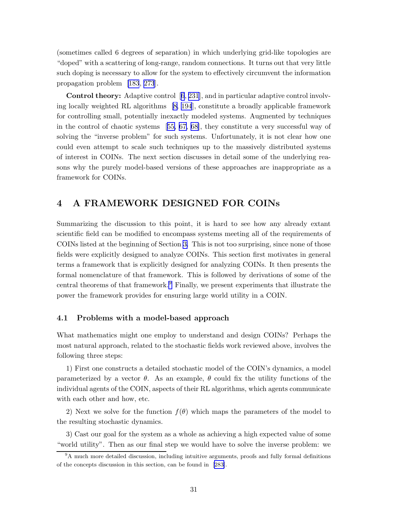<span id="page-30-0"></span>(sometimes called 6 degrees of separation) in which underlying grid-like topologies are "doped" with a scattering of long-range, random connections. It turns out that very little such doping is necessary to allow for the system to effectively circumvent the information propagation problem [\[183](#page-80-0), [273](#page-86-0)].

Control theory: Adaptive control [[6](#page-68-0), [231](#page-83-0)], and in particular adaptive control involving locally weighted RL algorithms [\[8,](#page-68-0) [194](#page-81-0)], constitute a broadly applicable framework for controlling small, potentially inexactly modeled systems. Augmented by techniques in the control of chaotic systems [[55, 67, 68\]](#page-72-0), they constitute a very successful way of solving the "inverse problem" for such systems. Unfortunately, it is not clear how one could even attempt to scale such techniques up to the massively distributed systems of interest in COINs. The next section discusses in detail some of the underlying reasons why the purely model-based versions of these approaches are inappropriate as a framework for COINs.

# 4 A FRAMEWORK DESIGNED FOR COINs

Summarizing the discussion to this point, it is hard to see how any already extant scientific field can be modified to encompass systems meeting all of the requirements of COINs listed at the beginning of Section [3.](#page-5-0) This is not too surprising, since none of those fields were explicitly designed to analyze COINs. This section first motivates in general terms a framework that is explicitly designed for analyzing COINs. It then presents the formal nomenclature of that framework. This is followed by derivations of some of the central theorems of that framework.<sup>9</sup> Finally, we present experiments that illustrate the power the framework provides for ensuring large world utility in a COIN.

# 4.1 Problems with a model-based approach

What mathematics might one employ to understand and design COINs? Perhaps the most natural approach, related to the stochastic fields work reviewed above, involves the following three steps:

1) First one constructs a detailed stochastic model of the COIN's dynamics, a model parameterized by a vector  $\theta$ . As an example,  $\theta$  could fix the utility functions of the individual agents of the COIN, aspects of their RL algorithms, which agents communicate with each other and how, etc.

2) Next we solve for the function  $f(\theta)$  which maps the parameters of the model to the resulting stochastic dynamics.

3) Cast our goal for the system as a whole as achieving a high expected value of some "world utility". Then as our final step we would have to solve the inverse problem: we

<sup>&</sup>lt;sup>9</sup>A much more detailed discussion, including intuitive arguments, proofs and fully formal definitions of the concepts discussion in this section, can be found in [\[283\]](#page-86-0).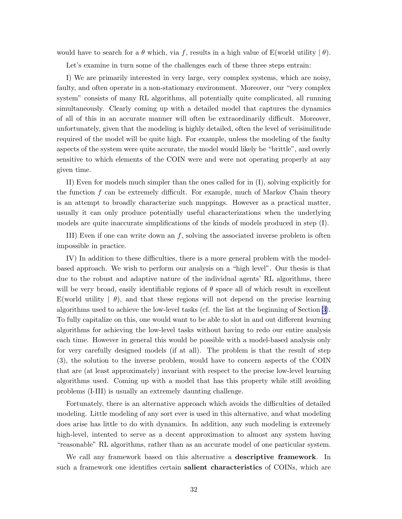would have to search for a  $\theta$  which, via f, results in a high value of E(world utility  $|\theta|$ ).

Let's examine in turn some of the challenges each of these three steps entrain:

I) We are primarily interested in very large, very complex systems, which are noisy, faulty, and often operate in a non-stationary environment. Moreover, our "very complex system" consists of many RL algorithms, all potentially quite complicated, all running simultaneously. Clearly coming up with a detailed model that captures the dynamics of all of this in an accurate manner will often be extraordinarily difficult. Moreover, unfortunately, given that the modeling is highly detailed, often the level of verisimilitude required of the model will be quite high. For example, unless the modeling of the faulty aspects of the system were quite accurate, the model would likely be "brittle", and overly sensitive to which elements of the COIN were and were not operating properly at any given time.

II) Even for models much simpler than the ones called for in (I), solving explicitly for the function  $f$  can be extremely difficult. For example, much of Markov Chain theory is an attempt to broadly characterize such mappings. However as a practical matter, usually it can only produce potentially useful characterizations when the underlying models are quite inaccurate simplifications of the kinds of models produced in step (I).

III) Even if one can write down an  $f$ , solving the associated inverse problem is often impossible in practice.

IV) In addition to these difficulties, there is a more general problem with the modelbased approach. We wish to perform our analysis on a "high level". Our thesis is that due to the robust and adaptive nature of the individual agents' RL algorithms, there will be very broad, easily identifiable regions of  $\theta$  space all of which result in excellent E(world utility  $\theta$ ), and that these regions will not depend on the precise learning algorithms used to achieve the low-level tasks (cf. the list at the beginning of Section [3\)](#page-5-0). To fully capitalize on this, one would want to be able to slot in and out different learning algorithms for achieving the low-level tasks without having to redo our entire analysis each time. However in general this would be possible with a model-based analysis only for very carefully designed models (if at all). The problem is that the result of step (3), the solution to the inverse problem, would have to concern aspects of the COIN that are (at least approximately) invariant with respect to the precise low-level learning algorithms used. Coming up with a model that has this property while still avoiding problems (I-III) is usually an extremely daunting challenge.

Fortunately, there is an alternative approach which avoids the difficulties of detailed modeling. Little modeling of any sort ever is used in this alternative, and what modeling does arise has little to do with dynamics. In addition, any such modeling is extremely high-level, intented to serve as a decent approximation to almost any system having "reasonable" RL algorithms, rather than as an accurate model of one particular system.

We call any framework based on this alternative a descriptive framework. In such a framework one identifies certain salient characteristics of COINs, which are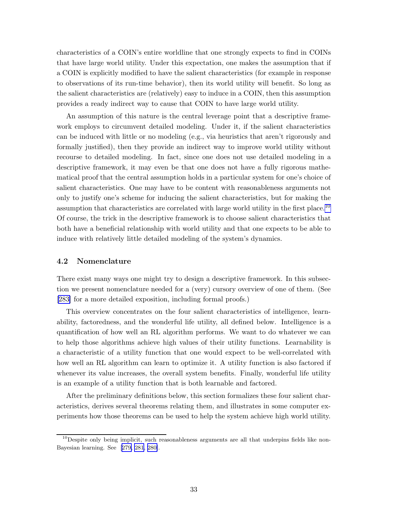characteristics of a COIN's entire worldline that one strongly expects to find in COINs that have large world utility. Under this expectation, one makes the assumption that if a COIN is explicitly modified to have the salient characteristics (for example in response to observations of its run-time behavior), then its world utility will benefit. So long as the salient characteristics are (relatively) easy to induce in a COIN, then this assumption provides a ready indirect way to cause that COIN to have large world utility.

An assumption of this nature is the central leverage point that a descriptive framework employs to circumvent detailed modeling. Under it, if the salient characteristics can be induced with little or no modeling (e.g., via heuristics that aren't rigorously and formally justified), then they provide an indirect way to improve world utility without recourse to detailed modeling. In fact, since one does not use detailed modeling in a descriptive framework, it may even be that one does not have a fully rigorous mathematical proof that the central assumption holds in a particular system for one's choice of salient characteristics. One may have to be content with reasonableness arguments not only to justify one's scheme for inducing the salient characteristics, but for making the assumption that characteristics are correlated with large world utility in the first place.<sup>10</sup> Of course, the trick in the descriptive framework is to choose salient characteristics that both have a beneficial relationship with world utility and that one expects to be able to induce with relatively little detailed modeling of the system's dynamics.

# 4.2 Nomenclature

There exist many ways one might try to design a descriptive framework. In this subsection we present nomenclature needed for a (very) cursory overview of one of them. (See [\[283\]](#page-86-0) for a more detailed exposition, including formal proofs.)

This overview concentrates on the four salient characteristics of intelligence, learnability, factoredness, and the wonderful life utility, all defined below. Intelligence is a quantification of how well an RL algorithm performs. We want to do whatever we can to help those algorithms achieve high values of their utility functions. Learnability is a characteristic of a utility function that one would expect to be well-correlated with how well an RL algorithm can learn to optimize it. A utility function is also factored if whenever its value increases, the overall system benefits. Finally, wonderful life utility is an example of a utility function that is both learnable and factored.

After the preliminary definitions below, this section formalizes these four salient characteristics, derives several theorems relating them, and illustrates in some computer experiments how those theorems can be used to help the system achieve high world utility.

 $10$  Despite only being implicit, such reasonableness arguments are all that underpins fields like non-Bayesian learning. See [[279, 281](#page-86-0), [280\]](#page-86-0).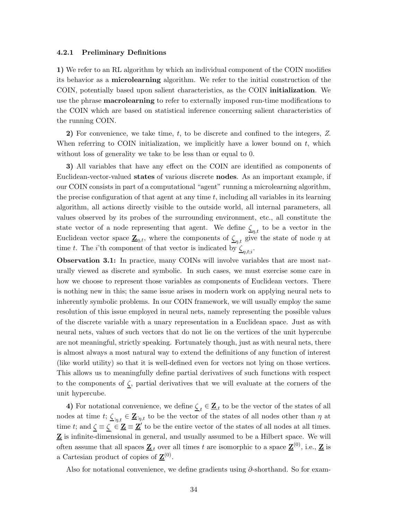#### 4.2.1 Preliminary Definitions

1) We refer to an RL algorithm by which an individual component of the COIN modifies its behavior as a microlearning algorithm. We refer to the initial construction of the COIN, potentially based upon salient characteristics, as the COIN initialization. We use the phrase macrolearning to refer to externally imposed run-time modifications to the COIN which are based on statistical inference concerning salient characteristics of the running COIN.

2) For convenience, we take time, t, to be discrete and confined to the integers, Z. When referring to COIN initialization, we implicitly have a lower bound on  $t$ , which without loss of generality we take to be less than or equal to 0.

3) All variables that have any effect on the COIN are identified as components of Euclidean-vector-valued states of various discrete nodes. As an important example, if our COIN consists in part of a computational "agent" running a microlearning algorithm, the precise configuration of that agent at any time  $t$ , including all variables in its learning algorithm, all actions directly visible to the outside world, all internal parameters, all values observed by its probes of the surrounding environment, etc., all constitute the state vector of a node representing that agent. We define  $\underline{\zeta}_{\eta,t}$  to be a vector in the Euclidean vector space  $\underline{\mathbf{Z}}_{\eta,t}$ , where the components of  $\underline{\zeta}_{\eta,t}$  give the state of node  $\eta$  at time t. The *i*'th component of that vector is indicated by  $\underline{\zeta}_{\eta,t;i}$ .

Observation 3.1: In practice, many COINs will involve variables that are most naturally viewed as discrete and symbolic. In such cases, we must exercise some care in how we choose to represent those variables as components of Euclidean vectors. There is nothing new in this; the same issue arises in modern work on applying neural nets to inherently symbolic problems. In our COIN framework, we will usually employ the same resolution of this issue employed in neural nets, namely representing the possible values of the discrete variable with a unary representation in a Euclidean space. Just as with neural nets, values of such vectors that do not lie on the vertices of the unit hypercube are not meaningful, strictly speaking. Fortunately though, just as with neural nets, there is almost always a most natural way to extend the definitions of any function of interest (like world utility) so that it is well-defined even for vectors not lying on those vertices. This allows us to meaningfully define partial derivatives of such functions with respect to the components of  $\zeta$ , partial derivatives that we will evaluate at the corners of the unit hypercube.

4) For notational convenience, we define  $\underline{\zeta}_{,t} \in \underline{\mathbf{Z}}_{,t}$  to be the vector of the states of all nodes at time  $t$ ;  $\zeta_{\eta,t} \in \mathbf{Z}_{\eta,t}$  to be the vector of the states of all nodes other than  $\eta$  at time t; and  $\underline{\zeta} \equiv \underline{\zeta}$ ,  $\underline{\zeta} \equiv \underline{\mathbf{Z}}'$  to be the entire vector of the states of all nodes at all times.  $\underline{Z}$  is infinite-dimensional in general, and usually assumed to be a Hilbert space. We will often assume that all spaces  $\underline{\mathbf{Z}}_{,t}$  over all times t are isomorphic to a space  $\underline{\mathbf{Z}}^{(0)}$ , i.e.,  $\underline{\mathbf{Z}}$  is a Cartesian product of copies of  $\underline{\mathbf{Z}}^{(0)}$ .

Also for notational convenience, we define gradients using ∂-shorthand. So for exam-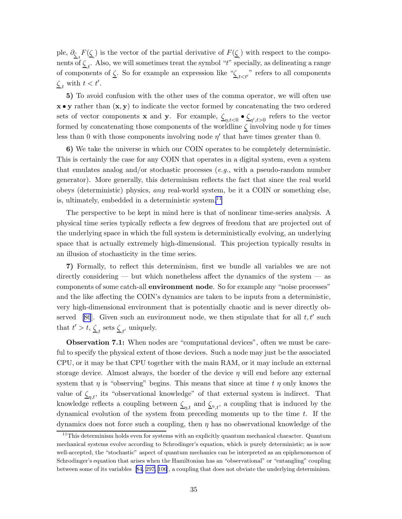ple,  $\partial_{\underline{\zeta}_{,t}} F(\underline{\zeta})$  is the vector of the partial derivative of  $F(\underline{\zeta})$  with respect to the components of  $\sum_{i=1}^{\infty}$ . Also, we will sometimes treat the symbol "t" specially, as delineating a range of components of  $\underline{\zeta}$ . So for example an expression like " $\underline{\zeta}_{,t \leq t'}$ " refers to all components  $\frac{\zeta}{t}$ , with  $t < t'$ .

5) To avoid confusion with the other uses of the comma operator, we will often use  $x \bullet y$  rather than  $(x, y)$  to indicate the vector formed by concatenating the two ordered sets of vector components **x** and **y**. For example,  $\underline{\zeta}_{\eta,t<0} \bullet \underline{\zeta}_{\eta',t>0}$  refers to the vector formed by concatenating those components of the worldline  $\zeta$  involving node  $\eta$  for times less than 0 with those components involving node  $\eta'$  that have times greater than 0.

6) We take the universe in which our COIN operates to be completely deterministic. This is certainly the case for any COIN that operates in a digital system, even a system that emulates analog and/or stochastic processes  $(e.g.,$  with a pseudo-random number generator). More generally, this determinism reflects the fact that since the real world obeys (deterministic) physics, any real-world system, be it a COIN or something else, is, ultimately, embedded in a deterministic system.<sup>11</sup>

The perspective to be kept in mind here is that of nonlinear time-series analysis. A physical time series typically reflects a few degrees of freedom that are projected out of the underlying space in which the full system is deterministically evolving, an underlying space that is actually extremely high-dimensional. This projection typically results in an illusion of stochasticity in the time series.

7) Formally, to reflect this determinism, first we bundle all variables we are not directly considering — but which nonetheless affect the dynamics of the system — as components of some catch-all environment node. So for example any "noise processes" and the like affecting the COIN's dynamics are taken to be inputs from a deterministic, very high-dimensional environment that is potentially chaotic and is never directly ob-served [[86](#page-74-0)]. Given such an environment node, we then stipulate that for all  $t, t'$  such that  $t' > t$ ,  $\underline{\zeta}_{,t}$  sets  $\underline{\zeta}_{,t'}$  uniquely.

Observation 7.1: When nodes are "computational devices", often we must be careful to specify the physical extent of those devices. Such a node may just be the associated CPU, or it may be that CPU together with the main RAM, or it may include an external storage device. Almost always, the border of the device  $\eta$  will end before any external system that  $\eta$  is "observing" begins. This means that since at time t  $\eta$  only knows the value of  $\zeta_{\eta,t}$ , its "observational knowledge" of that external system is indirect. That knowledge reflects a coupling between  $\underline{\zeta}_{\eta,t}$  and  $\underline{\zeta}_{\eta,t}$ , a coupling that is induced by the dynamical evolution of the system from preceding moments up to the time  $t$ . If the dynamics does not force such a coupling, then  $\eta$  has no observational knowledge of the

 $11$ This determinism holds even for systems with an explicitly quantum mechanical character. Quantum mechanical systems evolve according to Schrodinger's equation, which is purely deterministic; as is now well-accepted, the "stochastic" aspect of quantum mechanics can be interpreted as an epiphenomenon of Schrodinger's equation that arises when the Hamiltonian has an "observational" or "entangling" coupling between some of its variables [[84,](#page-74-0) [297,](#page-87-0) [106](#page-75-0)], a coupling that does not obviate the underlying determinism.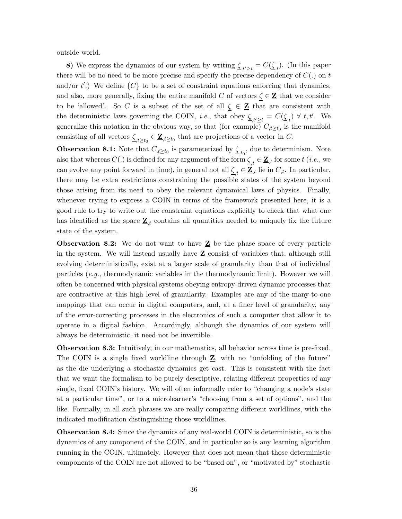outside world.

8) We express the dynamics of our system by writing  $\underline{\zeta}_{,t'\geq t} = C(\underline{\zeta}_{,t})$ . (In this paper there will be no need to be more precise and specify the precise dependency of  $C(.)$  on t and/or  $t'$ .) We define  $\{C\}$  to be a set of constraint equations enforcing that dynamics, and also, more generally, fixing the entire manifold C of vectors  $\zeta \in \mathbf{Z}$  that we consider to be 'allowed'. So C is a subset of the set of all  $\zeta \in \mathbf{Z}$  that are consistent with the deterministic laws governing the COIN, *i.e.*, that obey  $\underline{\zeta}_{,t'\geq t} = C(\underline{\zeta}_{,t}) \ \forall \ t, t'$ . We generalize this notation in the obvious way, so that (for example)  $C_{,t\geq t_0}$  is the manifold consisting of all vectors  $\underline{\zeta}_{,t\geq t_0} \in \underline{\mathbf{Z}}_{,t\geq t_0}$  that are projections of a vector in C.

**Observation 8.1:** Note that  $C_{,t\geq t_0}$  is parameterized by  $\underline{\zeta}_{,t_0}$ , due to determinism. Note also that whereas  $C(.)$  is defined for any argument of the form  $\underline{\zeta}_{,t} \in \underline{\mathbf{Z}}_{,t}$  for some  $t$  (*i.e.*, we can evolve any point forward in time), in general not all  $\underline{\zeta}_{,t} \in \underline{\mathbf{Z}}_{,t}$  lie in  $C_{,t}$ . In particular, there may be extra restrictions constraining the possible states of the system beyond those arising from its need to obey the relevant dynamical laws of physics. Finally, whenever trying to express a COIN in terms of the framework presented here, it is a good rule to try to write out the constraint equations explicitly to check that what one has identified as the space  $\underline{\mathbf{Z}}_{t}$  contains all quantities needed to uniquely fix the future state of the system.

**Observation 8.2:** We do not want to have  $\underline{Z}$  be the phase space of every particle in the system. We will instead usually have  $\underline{Z}$  consist of variables that, although still evolving deterministically, exist at a larger scale of granularity than that of individual particles  $(e, q, \text{thermodynamic variables in the thermodynamic limit})$ . However we will often be concerned with physical systems obeying entropy-driven dynamic processes that are contractive at this high level of granularity. Examples are any of the many-to-one mappings that can occur in digital computers, and, at a finer level of granularity, any of the error-correcting processes in the electronics of such a computer that allow it to operate in a digital fashion. Accordingly, although the dynamics of our system will always be deterministic, it need not be invertible.

Observation 8.3: Intuitively, in our mathematics, all behavior across time is pre-fixed. The COIN is a single fixed worldline through  $\mathbf{Z}$ , with no "unfolding of the future" as the die underlying a stochastic dynamics get cast. This is consistent with the fact that we want the formalism to be purely descriptive, relating different properties of any single, fixed COIN's history. We will often informally refer to "changing a node's state at a particular time", or to a microlearner's "choosing from a set of options", and the like. Formally, in all such phrases we are really comparing different worldlines, with the indicated modification distinguishing those worldlines.

Observation 8.4: Since the dynamics of any real-world COIN is deterministic, so is the dynamics of any component of the COIN, and in particular so is any learning algorithm running in the COIN, ultimately. However that does not mean that those deterministic components of the COIN are not allowed to be "based on", or "motivated by" stochastic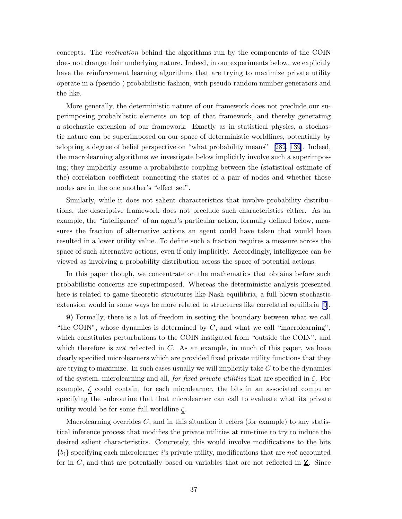concepts. The motivation behind the algorithms run by the components of the COIN does not change their underlying nature. Indeed, in our experiments below, we explicitly have the reinforcement learning algorithms that are trying to maximize private utility operate in a (pseudo-) probabilistic fashion, with pseudo-random number generators and the like.

More generally, the deterministic nature of our framework does not preclude our superimposing probabilistic elements on top of that framework, and thereby generating a stochastic extension of our framework. Exactly as in statistical physics, a stochastic nature can be superimposed on our space of deterministic worldlines, potentially by adopting a degree of belief perspective on "what probability means" [\[282](#page-86-0), [139](#page-77-0)]. Indeed, the macrolearning algorithms we investigate below implicitly involve such a superimposing; they implicitly assume a probabilistic coupling between the (statistical estimate of the) correlation coefficient connecting the states of a pair of nodes and whether those nodes are in the one another's "effect set".

Similarly, while it does not salient characteristics that involve probability distributions, the descriptive framework does not preclude such characteristics either. As an example, the "intelligence" of an agent's particular action, formally defined below, measures the fraction of alternative actions an agent could have taken that would have resulted in a lower utility value. To define such a fraction requires a measure across the space of such alternative actions, even if only implicitly. Accordingly, intelligence can be viewed as involving a probability distribution across the space of potential actions.

In this paper though, we concentrate on the mathematics that obtains before such probabilistic concerns are superimposed. Whereas the deterministic analysis presented here is related to game-theoretic structures like Nash equilibria, a full-blown stochastic extension would in some ways be more related to structures like correlated equilibria [\[9\]](#page-69-0).

9) Formally, there is a lot of freedom in setting the boundary between what we call "the COIN", whose dynamics is determined by  $C$ , and what we call "macrolearning", which constitutes perturbations to the COIN instigated from "outside the COIN", and which therefore is *not* reflected in  $C$ . As an example, in much of this paper, we have clearly specified microlearners which are provided fixed private utility functions that they are trying to maximize. In such cases usually we will implicitly take  $C$  to be the dynamics of the system, microlearning and all, for fixed private utilities that are specified in  $\zeta$ . For example,  $\zeta$  could contain, for each microlearner, the bits in an associated computer specifying the subroutine that that microlearner can call to evaluate what its private utility would be for some full worldline  $\zeta$ .

Macrolearning overrides  $C$ , and in this situation it refers (for example) to any statistical inference process that modifies the private utilities at run-time to try to induce the desired salient characteristics. Concretely, this would involve modifications to the bits  ${b_i}$  specifying each microlearner is private utility, modifications that are not accounted for in  $C$ , and that are potentially based on variables that are not reflected in  $\underline{\mathbf{Z}}$ . Since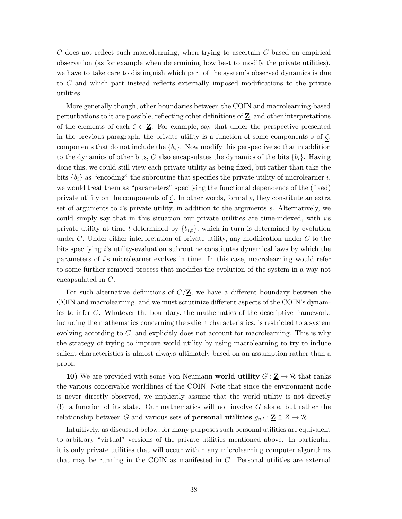$C$  does not reflect such macrolearning, when trying to ascertain  $C$  based on empirical observation (as for example when determining how best to modify the private utilities), we have to take care to distinguish which part of the system's observed dynamics is due to C and which part instead reflects externally imposed modifications to the private utilities.

More generally though, other boundaries between the COIN and macrolearning-based perturbations to it are possible, reflecting other definitions of  $\mathbb{Z}$ , and other interpretations of the elements of each  $\zeta \in \mathbf{Z}$ . For example, say that under the perspective presented in the previous paragraph, the private utility is a function of some components s of  $\zeta$ , components that do not include the  ${b_i}$ . Now modify this perspective so that in addition to the dynamics of other bits, C also encapsulates the dynamics of the bits  ${b_i}$ . Having done this, we could still view each private utility as being fixed, but rather than take the bits  ${b_i}$  as "encoding" the subroutine that specifies the private utility of microlearner i, we would treat them as "parameters" specifying the functional dependence of the (fixed) private utility on the components of  $\zeta$ . In other words, formally, they constitute an extra set of arguments to i's private utility, in addition to the arguments s. Alternatively, we could simply say that in this situation our private utilities are time-indexed, with i's private utility at time t determined by  ${b_{i,t}}$ , which in turn is determined by evolution under C. Under either interpretation of private utility, any modification under  $C$  to the bits specifying i's utility-evaluation subroutine constitutes dynamical laws by which the parameters of i's microlearner evolves in time. In this case, macrolearning would refer to some further removed process that modifies the evolution of the system in a way not encapsulated in C.

For such alternative definitions of  $C/\mathbf{Z}$ , we have a different boundary between the COIN and macrolearning, and we must scrutinize different aspects of the COIN's dynamics to infer C. Whatever the boundary, the mathematics of the descriptive framework, including the mathematics concerning the salient characteristics, is restricted to a system evolving according to  $C$ , and explicitly does not account for macrolearning. This is why the strategy of trying to improve world utility by using macrolearning to try to induce salient characteristics is almost always ultimately based on an assumption rather than a proof.

10) We are provided with some Von Neumann world utility  $G: \mathbf{Z} \to \mathcal{R}$  that ranks the various conceivable worldlines of the COIN. Note that since the environment node is never directly observed, we implicitly assume that the world utility is not directly  $(!)$  a function of its state. Our mathematics will not involve  $G$  alone, but rather the relationship between G and various sets of **personal utilities**  $g_{\eta,t}$  :  $\underline{\mathbf{Z}} \otimes \mathbf{Z} \to \mathcal{R}$ .

Intuitively, as discussed below, for many purposes such personal utilities are equivalent to arbitrary "virtual" versions of the private utilities mentioned above. In particular, it is only private utilities that will occur within any microlearning computer algorithms that may be running in the COIN as manifested in  $C$ . Personal utilities are external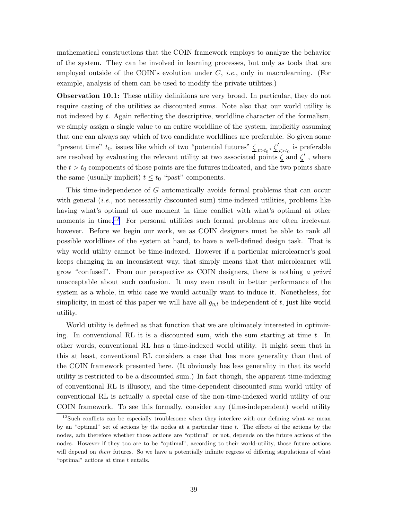mathematical constructions that the COIN framework employs to analyze the behavior of the system. They can be involved in learning processes, but only as tools that are employed outside of the COIN's evolution under  $C$ , *i.e.*, only in macrolearning. (For example, analysis of them can be used to modify the private utilities.)

Observation 10.1: These utility definitions are very broad. In particular, they do not require casting of the utilities as discounted sums. Note also that our world utility is not indexed by t. Again reflecting the descriptive, worldline character of the formalism, we simply assign a single value to an entire worldline of the system, implicitly assuming that one can always say which of two candidate worldlines are preferable. So given some "present time"  $t_0$ , issues like which of two "potential futures"  $\underline{\zeta}_{,t>t_0}, \underline{\zeta}'$  $\int_{t> t_0}$  is preferable are resolved by evaluating the relevant utility at two associated points  $\zeta$  and  $\zeta'$ , where the  $t > t_0$  components of those points are the futures indicated, and the two points share the same (usually implicit)  $t \leq t_0$  "past" components.

This time-independence of G automatically avoids formal problems that can occur with general  $(i.e., not necessarily discounted sum)$  time-indexed utilities, problems like having what's optimal at one moment in time conflict with what's optimal at other moments in time.<sup>12</sup> For personal utilities such formal problems are often irrelevant however. Before we begin our work, we as COIN designers must be able to rank all possible worldlines of the system at hand, to have a well-defined design task. That is why world utility cannot be time-indexed. However if a particular microlearner's goal keeps changing in an inconsistent way, that simply means that that microlearner will grow "confused". From our perspective as COIN designers, there is nothing a priori unacceptable about such confusion. It may even result in better performance of the system as a whole, in whic case we would actually want to induce it. Nonetheless, for simplicity, in most of this paper we will have all  $g_{\eta,t}$  be independent of t, just like world utility.

World utility is defined as that function that we are ultimately interested in optimizing. In conventional RL it is a discounted sum, with the sum starting at time  $t$ . In other words, conventional RL has a time-indexed world utility. It might seem that in this at least, conventional RL considers a case that has more generality than that of the COIN framework presented here. (It obviously has less generality in that its world utility is restricted to be a discounted sum.) In fact though, the apparent time-indexing of conventional RL is illusory, and the time-dependent discounted sum world utilty of conventional RL is actually a special case of the non-time-indexed world utility of our COIN framework. To see this formally, consider any (time-independent) world utility

 $12$ Such conflicts can be especially troublesome when they interfere with our defining what we mean by an "optimal" set of actions by the nodes at a particular time t. The effects of the actions by the nodes, adn therefore whether those actions are "optimal" or not, depends on the future actions of the nodes. However if they too are to be "optimal", according to their world-utility, those future actions will depend on *their* futures. So we have a potentially infinite regress of differing stipulations of what "optimal" actions at time  $t$  entails.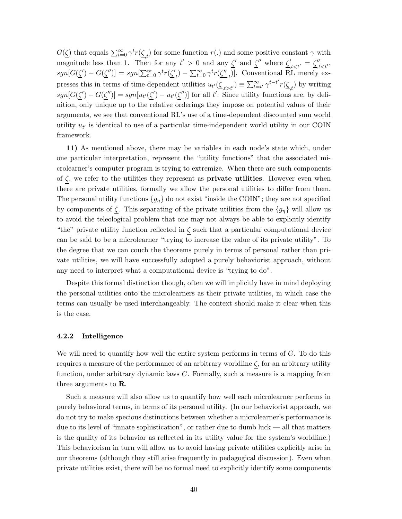$G(\underline{\zeta})$  that equals  $\sum_{t=0}^{\infty} \gamma^t r(\underline{\zeta}_{,t})$  for some function  $r(.)$  and some positive constant  $\gamma$  with magnitude less than 1. Then for any  $t' > 0$  and any  $\underline{\zeta}'$  and  $\underline{\zeta}''$  where  $\underline{\zeta}'_{,t < t'} = \underline{\zeta}''_{,t}$  $''$ <sub>,t<t'</sub>  $sgn[G(\underline{\zeta'})-G(\underline{\zeta'')] = sgn[\sum_{t=0}^{\infty} \gamma^t r(\underline{\zeta'}_t) - \sum_{t=0}^{\infty} \gamma^t r(\underline{\zeta''}_{t,t})]$ . Conventional RL merely expresses this in terms of time-dependent utilities  $u_{t'}(\underline{\zeta}_{,t>t'}) \equiv \sum_{t=t'}^{\infty} \gamma^{t-t'} r(\underline{\zeta}_{,t})$  by writing  $sgn[G(\underline{\zeta'})-G(\underline{\zeta'')}] = sgn[u_{t'}(\underline{\zeta'})-u_{t'}(\underline{\zeta'')}]$  for all t'. Since utility functions are, by definition, only unique up to the relative orderings they impose on potential values of their arguments, we see that conventional RL's use of a time-dependent discounted sum world utility  $u_{t'}$  is identical to use of a particular time-independent world utility in our COIN framework.

11) As mentioned above, there may be variables in each node's state which, under one particular interpretation, represent the "utility functions" that the associated microlearner's computer program is trying to extremize. When there are such components of  $\zeta$ , we refer to the utilities they represent as **private utilities**. However even when there are private utilities, formally we allow the personal utilities to differ from them. The personal utility functions  $\{g_n\}$  do not exist "inside the COIN"; they are not specified by components of  $\zeta$ . This separating of the private utilities from the  $\{g_{\eta}\}\$  will allow us to avoid the teleological problem that one may not always be able to explicitly identify "the" private utility function reflected in  $\zeta$  such that a particular computational device can be said to be a microlearner "trying to increase the value of its private utility". To the degree that we can couch the theorems purely in terms of personal rather than private utilities, we will have successfully adopted a purely behaviorist approach, without any need to interpret what a computational device is "trying to do".

Despite this formal distinction though, often we will implicitly have in mind deploying the personal utilities onto the microlearners as their private utilities, in which case the terms can usually be used interchangeably. The context should make it clear when this is the case.

#### 4.2.2 Intelligence

We will need to quantify how well the entire system performs in terms of G. To do this requires a measure of the performance of an arbitrary worldline  $\zeta$ , for an arbitrary utility function, under arbitrary dynamic laws C. Formally, such a measure is a mapping from three arguments to R.

Such a measure will also allow us to quantify how well each microlearner performs in purely behavioral terms, in terms of its personal utility. (In our behaviorist approach, we do not try to make specious distinctions between whether a microlearner's performance is due to its level of "innate sophistication", or rather due to dumb luck — all that matters is the quality of its behavior as reflected in its utility value for the system's worldline.) This behaviorism in turn will allow us to avoid having private utilities explicitly arise in our theorems (although they still arise frequently in pedagogical discussion). Even when private utilities exist, there will be no formal need to explicitly identify some components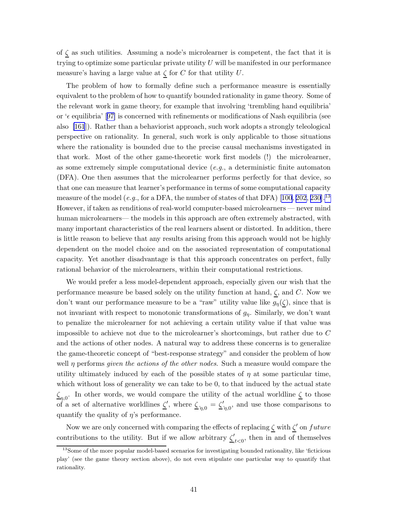of  $\zeta$  as such utilities. Assuming a node's microlearner is competent, the fact that it is trying to optimize some particular private utility  $U$  will be manifested in our performance measure's having a large value at  $\zeta$  for C for that utility U.

The problem of how to formally define such a performance measure is essentially equivalent to the problem of how to quantify bounded rationality in game theory. Some of the relevant work in game theory, for example that involving 'trembling hand equilibria' or ' $\epsilon$  equilibria' [[97\]](#page-74-0) is concerned with refinements or modifications of Nash equilibria (see also [\[161](#page-78-0)]). Rather than a behaviorist approach, such work adopts a strongly teleological perspective on rationality. In general, such work is only applicable to those situations where the rationality is bounded due to the precise causal mechanisms investigated in that work. Most of the other game-theoretic work first models (!) the microlearner, as some extremely simple computational device (e.g., a deterministic finite automaton (DFA). One then assumes that the microlearner performs perfectly for that device, so that one can measure that learner's performance in terms of some computational capacity measure of the model (e.g., for a DFA, the number of states of that DFA) [[100](#page-75-0), [202](#page-81-0), [230](#page-83-0)].<sup>13</sup> However, if taken as renditions of real-world computer-based microlearners — never mind human microlearners— the models in this approach are often extremely abstracted, with many important characteristics of the real learners absent or distorted. In addition, there is little reason to believe that any results arising from this approach would not be highly dependent on the model choice and on the associated representation of computational capacity. Yet another disadvantage is that this approach concentrates on perfect, fully rational behavior of the microlearners, within their computational restrictions.

We would prefer a less model-dependent approach, especially given our wish that the performance measure be based solely on the utility function at hand,  $\zeta$ , and C. Now we don't want our performance measure to be a "raw" utility value like  $g_n(\zeta)$ , since that is not invariant with respect to monotonic transformations of  $g_{\eta}$ . Similarly, we don't want to penalize the microlearner for not achieving a certain utility value if that value was impossible to achieve not due to the microlearner's shortcomings, but rather due to C and the actions of other nodes. A natural way to address these concerns is to generalize the game-theoretic concept of "best-response strategy" and consider the problem of how well  $\eta$  performs *given the actions of the other nodes*. Such a measure would compare the utility ultimately induced by each of the possible states of  $\eta$  at some particular time, which without loss of generality we can take to be 0, to that induced by the actual state  $\zeta_{\eta,0}$ . In other words, we would compare the utility of the actual worldline  $\zeta$  to those of a set of alternative worldlines  $\underline{\zeta}'$ , where  $\underline{\zeta}_{\eta,0} = \underline{\zeta}'$ .  $\gamma_{\eta,0}$ , and use those comparisons to quantify the quality of  $\eta$ 's performance.

Now we are only concerned with comparing the effects of replacing  $\zeta$  with  $\zeta'$  on  $future$ contributions to the utility. But if we allow arbitrary  $\zeta'$  $\mathcal{L}_{t<0}$ , then in and of themselves

 $13$ Some of the more popular model-based scenarios for investigating bounded rationality, like 'ficticious play' (see the game theory section above), do not even stipulate one particular way to quantify that rationality.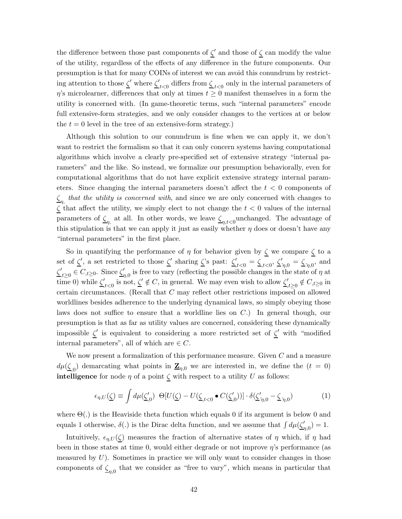the difference between those past components of  $\zeta'$  and those of  $\zeta$  can modify the value of the utility, regardless of the effects of any difference in the future components. Our presumption is that for many COINs of interest we can avoid this conundrum by restricting attention to those  $\zeta'$  where  $\zeta'$  $\sum_{t=0}^{\infty}$  differs from  $\underline{\zeta}_{t\leq 0}$  only in the internal parameters of  $\eta$ 's microlearner, differences that only at times  $t \geq 0$  manifest themselves in a form the utility is concerned with. (In game-theoretic terms, such "internal parameters" encode full extensive-form strategies, and we only consider changes to the vertices at or below the  $t = 0$  level in the tree of an extensive-form strategy.)

Although this solution to our conundrum is fine when we can apply it, we don't want to restrict the formalism so that it can only concern systems having computational algorithms which involve a clearly pre-specified set of extensive strategy "internal parameters" and the like. So instead, we formalize our presumption behaviorally, even for computational algorithms that do not have explicit extensive strategy internal parameters. Since changing the internal parameters doesn't affect the  $t < 0$  components of  $\zeta_{\eta}$ , that the utility is concerned with, and since we are only concerned with changes to  $\zeta$  that affect the utility, we simply elect to not change the  $t < 0$  values of the internal parameters of  $\underline{\zeta}_{\eta}$ , at all. In other words, we leave  $\underline{\zeta}_{\eta,t<0}$  unchanged. The advantage of this stipulation is that we can apply it just as easily whether  $\eta$  does or doesn't have any "internal parameters" in the first place.

So in quantifying the performance of  $\eta$  for behavior given by  $\zeta$  we compare  $\zeta$  to a set of  $\zeta'$ , a set restricted to those  $\zeta'$  sharing  $\zeta$ 's past:  $\zeta'$  $\zeta'_{t<0} = \zeta_{,t<0}, \, \zeta'$  $\zeta_{\gamma,0} = \zeta_{\gamma,0}$ , and  $\zeta'$  $C_{t\geq0} \in C_{t\geq0}$ . Since  $\underline{\zeta}'_t$  $\eta_{,0}$  is free to vary (reflecting the possible changes in the state of  $\eta$  at time 0) while  $\zeta'$  $\zeta'_{t<0}$  is not,  $\underline{\zeta}' \notin C$ , in general. We may even wish to allow  $\underline{\zeta}'$ ,  $C_{t\geq 0} \notin C_{t\geq 0}$  in certain circumstances. (Recall that C may reflect other restrictions imposed on allowed worldlines besides adherence to the underlying dynamical laws, so simply obeying those laws does not suffice to ensure that a worldline lies on C.) In general though, our presumption is that as far as utility values are concerned, considering these dynamically impossible  $\zeta'$  is equivalent to considering a more restricted set of  $\zeta'$  with "modified internal parameters", all of which are  $\in C$ .

We now present a formalization of this performance measure. Given  $C$  and a measure  $d\mu(\underline{\zeta}_{,0})$  demarcating what points in  $\underline{\mathbf{Z}}_{\eta,0}$  we are interested in, we define the  $(t = 0)$ **intelligence** for node  $\eta$  of a point  $\zeta$  with respect to a utility U as follows:

$$
\epsilon_{\eta,U}(\underline{\zeta}) \equiv \int d\mu(\underline{\zeta}'_{,0}) \Theta[U(\underline{\zeta}) - U(\underline{\zeta}_{,t<0} \bullet C(\underline{\zeta}'_{,0}))] \cdot \delta(\underline{\zeta}'_{\eta,0} - \underline{\zeta}_{\eta,0}) \tag{1}
$$

where  $\Theta(.)$  is the Heaviside theta function which equals 0 if its argument is below 0 and equals 1 otherwise,  $\delta(.)$  is the Dirac delta function, and we assume that  $\int d\mu(\zeta')$  $n_{\eta,0}'$ ) = 1.

Intuitively,  $\epsilon_{\eta,U}(\zeta)$  measures the fraction of alternative states of  $\eta$  which, if  $\eta$  had been in those states at time 0, would either degrade or not improve  $\eta$ 's performance (as measured by  $U$ ). Sometimes in practice we will only want to consider changes in those components of  $\underline{\zeta}_{\eta,0}$  that we consider as "free to vary", which means in particular that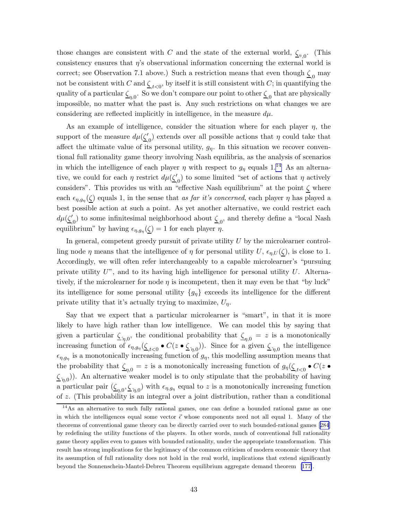those changes are consistent with C and the state of the external world,  $\zeta_{\eta,0}$ . (This consistency ensures that  $\eta$ 's observational information concerning the external world is correct; see Observation 7.1 above.) Such a restriction means that even though  $\underline{\zeta}_0$  may not be consistent with  $C$  and  $\underline{\zeta}_{,t<0}$ , by itself it is still consistent with  $C$ ; in quantifying the quality of a particular  $\underline{\zeta}_{\eta,0}.$  So we don't compare our point to other  $\underline{\zeta}_{,0}$  that are physically impossible, no matter what the past is. Any such restrictions on what changes we are considering are reflected implicitly in intelligence, in the measure  $d\mu$ .

As an example of intelligence, consider the situation where for each player  $\eta$ , the support of the measure  $d\mu(\zeta')$  $'_{,0}$  extends over all possible actions that  $\eta$  could take that affect the ultimate value of its personal utility,  $g_{\eta}$ . In this situation we recover conventional full rationality game theory involving Nash equilibria, as the analysis of scenarios in which the intelligence of each player  $\eta$  with respect to  $g_{\eta}$  equals 1.<sup>14</sup> As an alternative, we could for each  $\eta$  restrict  $d\mu(\zeta')$  $\eta'_{,0}$  to some limited "set of actions that  $\eta$  actively considers". This provides us with an "effective Nash equilibrium" at the point  $\zeta$  where each  $\epsilon_{\eta,g_{\eta}}(\underline{\zeta})$  equals 1, in the sense that as far it's concerned, each player  $\eta$  has played a best possible action at such a point. As yet another alternative, we could restrict each  $d\mu(\zeta')$  $\zeta_{,0}$ ) to some infinitesimal neighborhood about  $\underline{\zeta}_{,0}$ , and thereby define a "local Nash" equilibrium" by having  $\epsilon_{\eta,g_{\eta}}(\underline{\zeta})=1$  for each player  $\eta$ .

In general, competent greedy pursuit of private utility  $U$  by the microlearner controlling node  $\eta$  means that the intelligence of  $\eta$  for personal utility  $U$ ,  $\epsilon_{\eta,U}(\zeta)$ , is close to 1. Accordingly, we will often refer interchangeably to a capable microlearner's "pursuing private utility  $U^{\prime}$ , and to its having high intelligence for personal utility  $U$ . Alternatively, if the microlearner for node  $\eta$  is incompetent, then it may even be that "by luck" its intelligence for some personal utility  $\{g_n\}$  exceeds its intelligence for the different private utility that it's actually trying to maximize,  $U_n$ .

Say that we expect that a particular microlearner is "smart", in that it is more likely to have high rather than low intelligence. We can model this by saying that given a particular  $\zeta_{\eta,0}$ , the conditional probability that  $\zeta_{\eta,0} = z$  is a monotonically increasing function of  $\epsilon_{\eta,g_\eta}(\underline{\zeta}_{t<0} \bullet C(z \bullet \underline{\zeta}_{\eta,0}))$ . Since for a given  $\underline{\zeta}_{\eta,0}$  the intelligence  $\epsilon_{\eta,g_\eta}$  is a monotonically increasing function of  $g_\eta$ , this modelling assumption means that the probability that  $\underline{\zeta}_{\eta,0} = z$  is a monotonically increasing function of  $g_{\eta}(\underline{\zeta}_{,t<0} \bullet C(z \bullet$  $\langle \zeta_{\hat{n},0}$ ). An alternative weaker model is to only stipulate that the probability of having a particular pair  $(\underline{\zeta}_{\eta,0}, \underline{\zeta}_{\eta,0})$  with  $\epsilon_{\eta,g_\eta}$  equal to z is a monotonically increasing function of z. (This probability is an integral over a joint distribution, rather than a conditional

 $14$ As an alternative to such fully rational games, one can define a bounded rational game as one in which the intelligences equal some vector  $\vec{\epsilon}$  whose components need not all equal 1. Many of the theorems of conventional game theory can be directly carried over to such bounded-rational games [[284](#page-87-0)] by redefining the utility functions of the players. In other words, much of conventional full rationality game theory applies even to games with bounded rationality, under the appropriate transformation. This result has strong implications for the legitimacy of the common criticism of modern economic theory that its assumption of full rationality does not hold in the real world, implications that extend significantly beyond the Sonnenschein-Mantel-Debreu Theorem equilibrium aggregate demand theorem [[177\]](#page-80-0).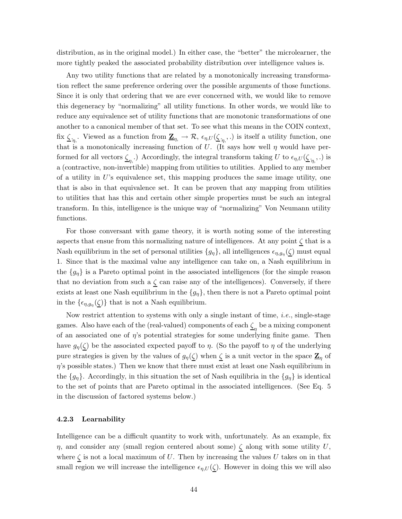distribution, as in the original model.) In either case, the "better" the microlearner, the more tightly peaked the associated probability distribution over intelligence values is.

Any two utility functions that are related by a monotonically increasing transformation reflect the same preference ordering over the possible arguments of those functions. Since it is only that ordering that we are ever concerned with, we would like to remove this degeneracy by "normalizing" all utility functions. In other words, we would like to reduce any equivalence set of utility functions that are monotonic transformations of one another to a canonical member of that set. To see what this means in the COIN context, fix  $\underline{\zeta}_{\eta}$ . Viewed as a function from  $\underline{\mathbf{Z}}_{\eta} \to \mathcal{R}$ ,  $\epsilon_{\eta,U}(\underline{\zeta}_{\eta},.)$  is itself a utility function, one that is a monotonically increasing function of U. (It says how well  $\eta$  would have performed for all vectors  $\underline{\zeta}_{\eta,\cdot}$ . Accordingly, the integral transform taking U to  $\epsilon_{\eta,U}(\underline{\zeta}_{\hat{\eta},\cdot})$  is a (contractive, non-invertible) mapping from utilities to utilities. Applied to any member of a utility in  $U$ 's equivalence set, this mapping produces the same image utility, one that is also in that equivalence set. It can be proven that any mapping from utilities to utilities that has this and certain other simple properties must be such an integral transform. In this, intelligence is the unique way of "normalizing" Von Neumann utility functions.

For those conversant with game theory, it is worth noting some of the interesting aspects that ensue from this normalizing nature of intelligences. At any point  $\zeta$  that is a Nash equilibrium in the set of personal utilities  $\{g_{\eta}\}$ , all intelligences  $\epsilon_{\eta,g_{\eta}}(\underline{\zeta})$  must equal 1. Since that is the maximal value any intelligence can take on, a Nash equilibrium in the  $\{g_n\}$  is a Pareto optimal point in the associated intelligences (for the simple reason that no deviation from such a  $\zeta$  can raise any of the intelligences). Conversely, if there exists at least one Nash equilibrium in the  $\{g_{\eta}\}\$ , then there is not a Pareto optimal point in the  $\{\epsilon_{\eta,g_\eta}(\underline{\zeta})\}$  that is not a Nash equilibrium.

Now restrict attention to systems with only a single instant of time, i.e., single-stage games. Also have each of the (real-valued) components of each  $\underline{\zeta}_\eta$  be a mixing component of an associated one of  $\eta$ 's potential strategies for some underlying finite game. Then have  $g_{\eta}(\zeta)$  be the associated expected payoff to  $\eta$ . (So the payoff to  $\eta$  of the underlying pure strategies is given by the values of  $g_{\eta}(\zeta)$  when  $\zeta$  is a unit vector in the space  $\underline{\mathbf{Z}}_{\eta}$  of  $\eta$ 's possible states.) Then we know that there must exist at least one Nash equilibrium in the  ${g_{\eta}}$ . Accordingly, in this situation the set of Nash equilibria in the  ${g_{\eta}}$  is identical to the set of points that are Pareto optimal in the associated intelligences. (See Eq. 5 in the discussion of factored systems below.)

#### 4.2.3 Learnability

Intelligence can be a difficult quantity to work with, unfortunately. As an example, fix η, and consider any (small region centered about some)  $\zeta$  along with some utility U, where  $\zeta$  is not a local maximum of U. Then by increasing the values U takes on in that small region we will increase the intelligence  $\epsilon_{\eta,U}(\zeta)$ . However in doing this we will also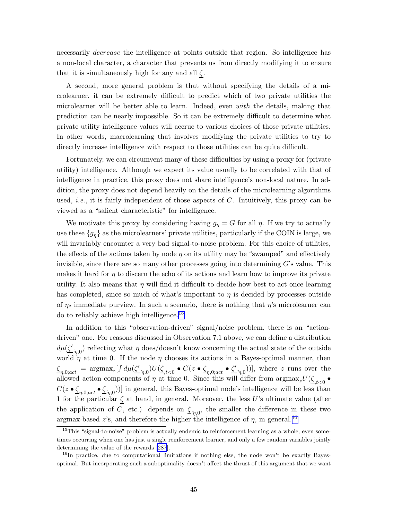necessarily *decrease* the intelligence at points outside that region. So intelligence has a non-local character, a character that prevents us from directly modifying it to ensure that it is simultaneously high for any and all  $\zeta$ .

A second, more general problem is that without specifying the details of a microlearner, it can be extremely difficult to predict which of two private utilities the microlearner will be better able to learn. Indeed, even with the details, making that prediction can be nearly impossible. So it can be extremely difficult to determine what private utility intelligence values will accrue to various choices of those private utilities. In other words, macrolearning that involves modifying the private utilities to try to directly increase intelligence with respect to those utilities can be quite difficult.

Fortunately, we can circumvent many of these difficulties by using a proxy for (private utility) intelligence. Although we expect its value usually to be correlated with that of intelligence in practice, this proxy does not share intelligence's non-local nature. In addition, the proxy does not depend heavily on the details of the microlearning algorithms used, *i.e.*, it is fairly independent of those aspects of  $C$ . Intuitively, this proxy can be viewed as a "salient characteristic" for intelligence.

We motivate this proxy by considering having  $g_{\eta} = G$  for all  $\eta$ . If we try to actually use these  $\{g_{\eta}\}\$ as the microlearners' private utilities, particularly if the COIN is large, we will invariably encounter a very bad signal-to-noise problem. For this choice of utilities, the effects of the actions taken by node  $\eta$  on its utility may be "swamped" and effectively invisible, since there are so many other processes going into determining G's value. This makes it hard for  $\eta$  to discern the echo of its actions and learn how to improve its private utility. It also means that  $\eta$  will find it difficult to decide how best to act once learning has completed, since so much of what's important to  $\eta$  is decided by processes outside of  $\eta$ s immediate purview. In such a scenario, there is nothing that  $\eta$ 's microlearner can do to reliably achieve high intelligence.<sup>15</sup>

In addition to this "observation-driven" signal/noise problem, there is an "actiondriven" one. For reasons discussed in Observation 7.1 above, we can define a distribution  $d\mu(\zeta')$  $\gamma_{\eta,0}$  reflecting what  $\eta$  does/doesn't know concerning the actual state of the outside world  $\hat{\eta}$  at time 0. If the node  $\eta$  chooses its actions in a Bayes-optimal manner, then  $\zeta_{\eta,0;act}$  =  $\arg \max_z [ \int d\mu (\zeta')$  $\zeta_{\gamma,0} U(\underline{\zeta}_{,t<0} \bullet C(z \bullet \underline{\zeta}_{\eta,0;act} \bullet \underline{\zeta}')$  $(\gamma_{n,0})$ ], where z runs over the allowed action components of  $\eta$  at time 0. Since this will differ from  $\arg \max_z U(\underline{\zeta}_{,t<0} \bullet$  $C(z \bullet \underline{\zeta}_{\eta,0;act} \bullet \underline{\zeta}_{\eta,0})$ ] in general, this Bayes-optimal node's intelligence will be less than 1 for the particular  $\zeta$  at hand, in general. Moreover, the less U's ultimate value (after the application of C, etc.) depends on  $\underline{\zeta}_{\eta,0}$ , the smaller the difference in these two argmax-based z's, and therefore the higher the intelligence of  $\eta$ , in general.<sup>16</sup>

<sup>&</sup>lt;sup>15</sup>This "signal-to-noise" problem is actually endemic to reinforcement learning as a whole, even sometimes occurring when one has just a single reinforcement learner, and only a few random variables jointly determining the value of the rewards [\[287](#page-87-0)].

<sup>&</sup>lt;sup>16</sup>In practice, due to computational limitations if nothing else, the node won't be exactly Bayesoptimal. But incorporating such a suboptimality doesn't affect the thrust of this argument that we want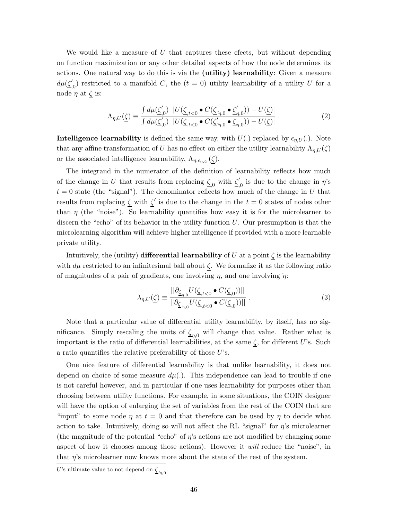We would like a measure of  $U$  that captures these efects, but without depending on function maximization or any other detailed aspects of how the node determines its actions. One natural way to do this is via the (utility) learnability: Given a measure  $d\mu(\zeta')$  $C_{0}$  restricted to a manifold C, the  $(t = 0)$  utility learnability of a utility U for a node  $\eta$  at  $\zeta$  is:

$$
\Lambda_{\eta,U}(\underline{\zeta}) \equiv \frac{\int d\mu(\underline{\zeta}'_{,0}) \ |U(\underline{\zeta}_{,t<0} \bullet C(\underline{\zeta}_{\eta,0} \bullet \underline{\zeta}'_{\eta,0})) - U(\underline{\zeta})|}{\int d\mu(\underline{\zeta}'_{,0}) \ |U(\underline{\zeta}_{,t<0} \bullet C(\underline{\zeta}'_{\eta,0} \bullet \underline{\zeta}_{\eta,0})) - U(\underline{\zeta})|} \ . \tag{2}
$$

**Intelligence learnability** is defined the same way, with  $U(.)$  replaced by  $\epsilon_{\eta,U}(.)$ . Note that any affine transformation of U has no effect on either the utility learnability  $\Lambda_{\eta,U}(\zeta)$ or the associated intelligence learnability,  $\Lambda_{\eta,\epsilon_{\eta,U}}(\underline{\zeta})$ .

The integrand in the numerator of the definition of learnability reflects how much of the change in U that results from replacing  $\zeta_{,0}$  with  $\zeta'_{,0}$  $n_{0}^{\prime}$  is due to the change in  $\eta$ 's  $t = 0$  state (the "signal"). The denominator reflects how much of the change in U that results from replacing  $\zeta$  with  $\zeta'$  is due to the change in the  $t = 0$  states of nodes other than  $\eta$  (the "noise"). So learnability quantifies how easy it is for the microlearner to discern the "echo" of its behavior in the utility function  $U$ . Our presumption is that the microlearning algorithm will achieve higher intelligence if provided with a more learnable private utility.

Intuitively, the (utility) differential learnability of U at a point  $\zeta$  is the learnability with  $d\mu$  restricted to an infinitesimal ball about  $\zeta$ . We formalize it as the following ratio of magnitudes of a pair of gradients, one involving  $\eta$ , and one involving  $\hat{\eta}$ :

$$
\lambda_{\eta,U}(\underline{\zeta}) \equiv \frac{||\partial_{\underline{\zeta}_{\eta,0}} U(\underline{\zeta}_{,t<0} \bullet C(\underline{\zeta}_{,0}))||}{||\partial_{\underline{\zeta}_{\eta,0}} U(\underline{\zeta}_{,t<0} \bullet C(\underline{\zeta}_{,0}))||}.
$$
\n(3)

Note that a particular value of differential utility learnability, by itself, has no significance. Simply rescaling the units of  $\underline{\zeta}_{\eta,0}$  will change that value. Rather what is important is the ratio of differential learnabilities, at the same  $\zeta$ , for different U's. Such a ratio quantifies the relative preferability of those  $U$ 's.

One nice feature of differential learnability is that unlike learnability, it does not depend on choice of some measure  $d\mu(.)$ . This independence can lead to trouble if one is not careful however, and in particular if one uses learnability for purposes other than choosing between utility functions. For example, in some situations, the COIN designer will have the option of enlarging the set of variables from the rest of the COIN that are "input" to some node  $\eta$  at  $t = 0$  and that therefore can be used by  $\eta$  to decide what action to take. Intuitively, doing so will not affect the RL "signal" for  $\eta$ 's microlearner (the magnitude of the potential "echo" of  $\eta$ 's actions are not modified by changing some aspect of how it chooses among those actions). However it will reduce the "noise", in that  $\eta$ 's microlearner now knows more about the state of the rest of the system.

U's ultimate value to not depend on  $\underline{\zeta}_{\gamma,0}$ .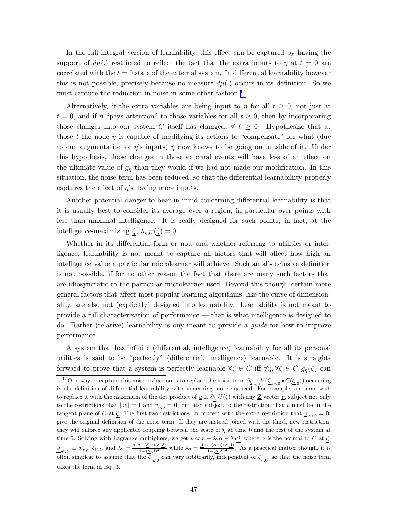In the full integral version of learnability, this effect can be captured by having the support of  $d\mu$ .) restricted to reflect the fact that the extra inputs to  $\eta$  at  $t = 0$  are correlated with the  $t = 0$  state of the external system. In differential learnability however this is not possible, precisely because no measure  $d\mu(.)$  occurs in its definition. So we must capture the reduction in noise in some other fashion.<sup>17</sup>

Alternatively, if the extra variables are being input to  $\eta$  for all  $t \geq 0$ , not just at  $t = 0$ , and if  $\eta$  "pays attention" to those variables for all  $t \geq 0$ , then by incorporating those changes into our system C itself has changed,  $\forall t \geq 0$ . Hypothesize that at those t the node  $\eta$  is capable of modifying its actions to "compensate" for what (due to our augmentation of  $\eta$ 's inputs)  $\eta$  now knows to be going on outside of it. Under this hypothesis, those changes in those external events will have less of an effect on the ultimate value of  $g_{\eta}$  than they would if we had not made our modification. In this situation, the noise term has been reduced, so that the differential learnabiliity properly captures the effect of  $\eta$ 's having more inputs.

Another potential danger to bear in mind concerning differential learnability is that it is usually best to consider its average over a region, in particular over points with less than maximal intelligence. It is really designed for such points; in fact, at the intelligence-maximizing  $\zeta$ ,  $\lambda_{\eta,U}(\zeta) = 0$ .

Whether in its differential form or not, and whether referring to utilities or intelligence, learnability is not meant to capture all factors that will affect how high an intelligence value a particular microlearner will achieve. Such an all-inclusive definition is not possible, if for no other reason the fact that there are many such factors that are idiosyncratic to the particular microlearner used. Beyond this though, certain more general factors that affect most popular learning algorithms, like the curse of dimensionality, are also not (explicitly) designed into learnability. Learnability is not meant to provide a full characterization of performance — that is what intelligence is designed to do. Rather (relative) learnability is ony meant to provide a guide for how to improve performance.

A system that has infinite (differential, intelligence) learnability for all its personal utilities is said to be "perfectly" (differential, intelligence) learnable. It is straightforward to prove that a system is perfectly learnable  $\forall \zeta \in C$  iff  $\forall \eta, \forall \zeta \in C, g_{\eta}(\zeta)$  can

<sup>&</sup>lt;sup>17</sup>One way to capture this noise reduction is to replace the noise term  $\partial_{\underline{\zeta}_{\eta,0}}U(\underline{\zeta}_{,t<0}\bullet C(\underline{\zeta}_{,0}))$  occurring in the definition of differential learnability with something more nuanced. For example, one may wish to replace it with the maximum of the dot product of  $\underline{u} \equiv \partial_{\zeta} U(\zeta)$  with any  $\underline{Z}$  vector  $\underline{v}$ , subject not only to the restrictions that  $||\underline{v}|| = 1$  and  $\underline{v}_{\eta,0} = \mathbf{0}$ , but also subject to the restriction that  $\underline{v}$  must lie in the tangent plane of C at  $\zeta$ . The first two restrictions, in concert with the extra restriction that  $v_{t<0} = 0$ , give the original definition of the noise term. If they are instead joined with the third, new restriction, they will enforce any applicable coupling between the state of  $\eta$  at time 0 and the rest of the system at time 0. Solving with Lagrange multipliers, we get  $\underline{v} \propto \underline{u} - \lambda_2 \underline{\alpha} - \lambda_3 \beta$ , where  $\underline{\alpha}$  is the normal to C at  $\zeta$ ,  $\beta_{\eta',t'} \equiv \delta_{\eta',\eta} \delta_{t',t}$ , and  $\lambda_2 = \frac{\alpha \cdot u - (\beta \cdot u)(\alpha \cdot \beta)}{1 - (\alpha \cdot \beta)^2}$  while  $\lambda_3 = \frac{\beta \cdot u - (\alpha \cdot u)(\alpha \cdot \beta)}{1 - (\alpha \cdot \beta)^2}$ . As a practical matter though, it is often simplest to assume that the  $\underline{\zeta}_{\eta,0}$  can vary arbitrarily, independent of  $\underline{\zeta}_{\eta,0}$ , so that the noise term takes the form in Eq. 3.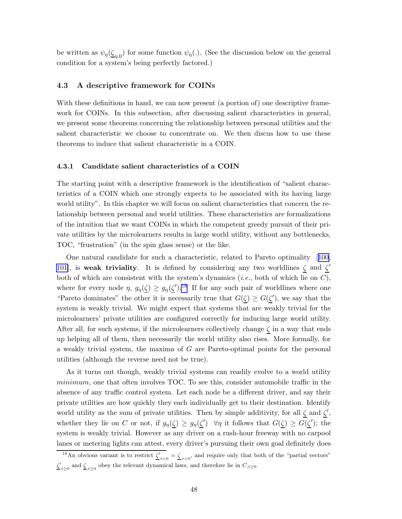be written as  $\psi_{\eta}(\underline{\zeta}_{\eta,0})$  for some function  $\psi_{\eta}(.)$ . (See the discussion below on the general condition for a system's being perfectly factored.)

# 4.3 A descriptive framework for COINs

With these definitions in hand, we can now present (a portion of) one descriptive framework for COINs. In this subsection, after discussing salient characteristics in general, we present some theorems concerning the relationship between personal utilities and the salient characteristic we choose to concentrate on. We then discus how to use these theorems to induce that salient characteristic in a COIN.

#### 4.3.1 Candidate salient characteristics of a COIN

The starting point with a descriptive framework is the identification of "salient characteristics of a COIN which one strongly expects to be associated with its having large world utility". In this chapter we will focus on salient characteristics that concern the relationship between personal and world utilities. These characteristics are formalizations of the intuition that we want COINs in which the competent greedy pursuit of their private utilities by the microlearners results in large world utility, without any bottlenecks, TOC, "frustration" (in the spin glass sense) or the like.

One natural candidate for such a characteristic, related to Pareto optimality [[100](#page-75-0), [101\]](#page-75-0), is weak triviality. It is defined by considering any two worldlines  $\zeta$  and  $\zeta'$ both of which are consistent with the system's dynamics (*i.e.*, both of which lie on  $C$ ), where for every node  $\eta$ ,  $g_{\eta}(\underline{\zeta}) \geq g_{\eta}(\underline{\zeta}')$ .<sup>18</sup> If for any such pair of worldlines where one "Pareto dominates" the other it is necessarily true that  $G(\underline{\zeta}) \ge G(\underline{\zeta}')$ , we say that the system is weakly trivial. We might expect that systems that are weakly trivial for the microlearners' private utilities are configured correctly for inducing large world utility. After all, for such systems, if the microlearners collectively change  $\zeta$  in a way that ends up helping all of them, then necessarily the world utility also rises. More formally, for a weakly trivial system, the maxima of G are Pareto-optimal points for the personal utilities (although the reverse need not be true).

As it turns out though, weakly trivial systems can readily evolve to a world utility minimum, one that often involves TOC. To see this, consider automobile traffic in the absence of any traffic control system. Let each node be a different driver, and say their private utilities are how quickly they each individually get to their destination. Identify world utility as the sum of private utilities. Then by simple additivity, for all  $\zeta$  and  $\zeta'$ , whether they lie on C or not, if  $g_{\eta}(\underline{\zeta}) \ge g_{\eta}(\underline{\zeta}')$   $\forall \eta$  it follows that  $G(\underline{\zeta}) \ge G(\underline{\zeta}')$ ; the system is weakly trivial. However as any driver on a rush-hour freeway with no carpool lanes or metering lights can attest, every driver's pursuing their own goal definitely does

<sup>&</sup>lt;sup>18</sup>An obvious variant is to restrict  $\zeta'$  $\zeta'_{t<0} = \underline{\zeta}_{t<0}$ , and require only that both of the "partial vectors"  $\zeta'$  $\sum_{i,t\geq 0}$  and  $\underline{\zeta}_{,t\geq 0}$  obey the relevant dynamical laws, and therefore lie in  $C_{,t\geq 0}$ .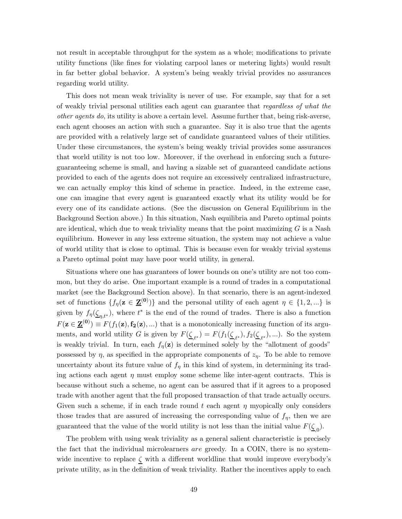not result in acceptable throughput for the system as a whole; modifications to private utility functions (like fines for violating carpool lanes or metering lights) would result in far better global behavior. A system's being weakly trivial provides no assurances regarding world utility.

This does not mean weak triviality is never of use. For example, say that for a set of weakly trivial personal utilities each agent can guarantee that regardless of what the other agents do, its utility is above a certain level. Assume further that, being risk-averse, each agent chooses an action with such a guarantee. Say it is also true that the agents are provided with a relatively large set of candidate guaranteed values of their utilities. Under these circumstances, the system's being weakly trivial provides some assurances that world utility is not too low. Moreover, if the overhead in enforcing such a futureguaranteeing scheme is small, and having a sizable set of guaranteed candidate actions provided to each of the agents does not require an excessively centralized infrastructure, we can actually employ this kind of scheme in practice. Indeed, in the extreme case, one can imagine that every agent is guaranteed exactly what its utility would be for every one of its candidate actions. (See the discussion on General Equilibrium in the Background Section above.) In this situation, Nash equilibria and Pareto optimal points are identical, which due to weak triviality means that the point maximizing  $G$  is a Nash equilibrium. However in any less extreme situation, the system may not achieve a value of world utility that is close to optimal. This is because even for weakly trivial systems a Pareto optimal point may have poor world utility, in general.

Situations where one has guarantees of lower bounds on one's utility are not too common, but they do arise. One important example is a round of trades in a computational market (see the Background Section above). In that scenario, there is an agent-indexed set of functions  $\{f_\eta(\mathbf{z} \in \mathbf{Z}^{(0)})\}$  and the personal utility of each agent  $\eta \in \{1, 2, ...\}$  is given by  $f_{\eta}(\underline{\zeta}_{\eta,t^*})$ , where  $t^*$  is the end of the round of trades. There is also a function  $F(\mathbf{z} \in \mathbf{Z}^{(0)}) = F(f_1(\mathbf{z}), \mathbf{f_2}(\mathbf{z}), ...)$  that is a monotonically increasing function of its arguments, and world utility G is given by  $F(\underline{\zeta}_{,t^*}) = F(f_1(\underline{\zeta}_{,t^*}), f_2(\underline{\zeta}_{,t^*}), \ldots)$ . So the system is weakly trivial. In turn, each  $f_{\eta}(\mathbf{z})$  is determined solely by the "allotment of goods" possessed by  $\eta$ , as specified in the appropriate components of  $z_{\eta}$ . To be able to remove uncertainty about its future value of  $f_{\eta}$  in this kind of system, in determining its trading actions each agent  $\eta$  must employ some scheme like inter-agent contracts. This is because without such a scheme, no agent can be assured that if it agrees to a proposed trade with another agent that the full proposed transaction of that trade actually occurs. Given such a scheme, if in each trade round t each agent  $\eta$  myopically only considers those trades that are assured of increasing the corresponding value of  $f_{\eta}$ , then we are guaranteed that the value of the world utility is not less than the initial value  $F(\underline{\zeta}_{,0})$ .

The problem with using weak triviality as a general salient characteristic is precisely the fact that the individual microlearners are greedy. In a COIN, there is no systemwide incentive to replace  $\zeta$  with a different worldline that would improve everybody's private utility, as in the definition of weak triviality. Rather the incentives apply to each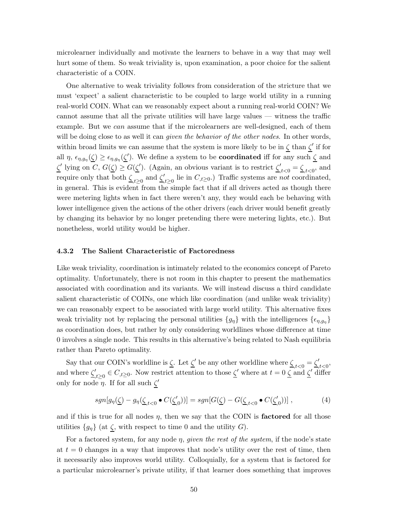microlearner individually and motivate the learners to behave in a way that may well hurt some of them. So weak triviality is, upon examination, a poor choice for the salient characteristic of a COIN.

One alternative to weak triviality follows from consideration of the stricture that we must 'expect' a salient characteristic to be coupled to large world utility in a running real-world COIN. What can we reasonably expect about a running real-world COIN? We cannot assume that all the private utilities will have large values — witness the traffic example. But we can assume that if the microlearners are well-designed, each of them will be doing close to as well it can *given the behavior of the other nodes*. In other words, within broad limits we can assume that the system is more likely to be in  $\zeta$  than  $\zeta'$  if for all  $\eta$ ,  $\epsilon_{\eta,g_{\eta}}(\underline{\zeta}) \geq \epsilon_{\eta,g_{\eta}}(\underline{\zeta}')$ . We define a system to be **coordinated** iff for any such  $\underline{\zeta}$  and  $\underline{\zeta}'$  lying on C,  $G(\underline{\zeta}) \geq G(\underline{\zeta}')$ . (Again, an obvious variant is to restrict  $\underline{\zeta}'$  $\zeta'_{t<0} = \zeta_{t<0}, \text{ and}$ require only that both  $\underline{\zeta}_{,t\geq 0}$  and  $\underline{\zeta}'$ ,  $C_{t\geq0}$  lie in  $C_{t\geq0}$ .) Traffic systems are *not* coordinated, in general. This is evident from the simple fact that if all drivers acted as though there were metering lights when in fact there weren't any, they would each be behaving with lower intelligence given the actions of the other drivers (each driver would benefit greatly by changing its behavior by no longer pretending there were metering lights, etc.). But nonetheless, world utility would be higher.

### 4.3.2 The Salient Characteristic of Factoredness

Like weak triviality, coordination is intimately related to the economics concept of Pareto optimality. Unfortunately, there is not room in this chapter to present the mathematics associated with coordination and its variants. We will instead discuss a third candidate salient characteristic of COINs, one which like coordination (and unlike weak triviality) we can reasonably expect to be associated with large world utility. This alternative fixes weak triviality not by replacing the personal utilities  $\{g_{\eta}\}\$  with the intelligences  $\{\epsilon_{\eta,g_{\eta}}\}\$ as coordination does, but rather by only considering worldlines whose difference at time 0 involves a single node. This results in this alternative's being related to Nash equilibria rather than Pareto optimality.

Say that our COIN's worldline is  $\underline{\zeta}$ . Let  $\underline{\zeta}'$  be any other worldline where  $\underline{\zeta}_{,t<0} = \underline{\zeta}'$ ,  $'_{,t<0}$ and where  $\zeta'$  $C_{t\geq0} \in C_{t\geq0}$ . Now restrict attention to those  $\underline{\zeta}'$  where at  $t=0$   $\underline{\zeta}$  and  $\underline{\zeta}'$  differ only for node  $\eta$ . If for all such  $\zeta'$ 

$$
sgn[g_{\eta}(\underline{\zeta}) - g_{\eta}(\underline{\zeta}_{t<0} \bullet C(\underline{\zeta}'_{0}))] = sgn[G(\underline{\zeta}) - G(\underline{\zeta}_{t<0} \bullet C(\underline{\zeta}'_{0}))],
$$
\n(4)

and if this is true for all nodes  $\eta$ , then we say that the COIN is **factored** for all those utilities  $\{g_{\eta}\}\$  (at  $\zeta$ , with respect to time 0 and the utility G).

For a factored system, for any node  $\eta$ , given the rest of the system, if the node's state at  $t = 0$  changes in a way that improves that node's utility over the rest of time, then it necessarily also improves world utility. Colloquially, for a system that is factored for a particular microlearner's private utility, if that learner does something that improves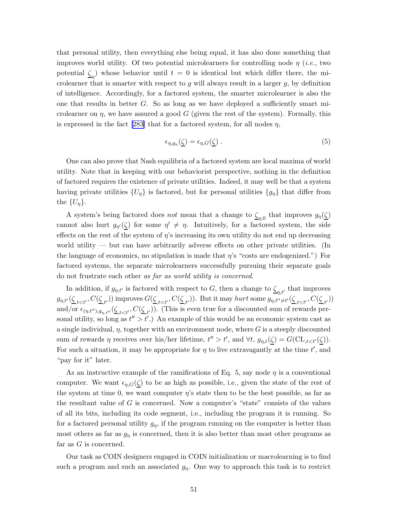that personal utility, then everything else being equal, it has also done something that improves world utility. Of two potential microlearners for controlling node  $\eta$  (*i.e.*, two potential  $\zeta_{\eta}$  whose behavior until  $t = 0$  is identical but which differ there, the microlearner that is smarter with respect to  $g$  will always result in a larger  $g$ , by definition of intelligence. Accordingly, for a factored system, the smarter microlearner is also the one that results in better  $G$ . So as long as we have deployed a sufficiently smart microlearner on  $\eta$ , we have assured a good G (given the rest of the system). Formally, this is expressed in the fact [\[283\]](#page-86-0) that for a factored system, for all nodes  $\eta$ ,

$$
\epsilon_{\eta,g_{\eta}}(\underline{\zeta}) = \epsilon_{\eta,G}(\underline{\zeta}) \ . \tag{5}
$$

One can also prove that Nash equilibria of a factored system are local maxima of world utility. Note that in keeping with our behaviorist perspective, nothing in the definition of factored requires the existence of private utilities. Indeed, it may well be that a system having private utilities  $\{U_n\}$  is factored, but for personal utilities  $\{g_n\}$  that differ from the  $\{U_n\}.$ 

A system's being factored does *not* mean that a change to  $\underline{\zeta}_{\eta,0}$  that improves  $g_{\eta}(\underline{\zeta})$ cannot also hurt  $g_{\eta'}(\underline{\zeta})$  for some  $\eta' \neq \eta$ . Intuitively, for a factored system, the side effects on the rest of the system of η's increasing its own utility do not end up decreasing world utility — but can have arbitrarily adverse effects on other private utilities. (In the language of economics, no stipulation is made that  $\eta$ 's "costs are endogenized.") For factored systems, the separate microlearners successfully pursuing their separate goals do not frustrate each other as far as world utility is concerned.

In addition, if  $g_{\eta,t'}$  is factored with respect to G, then a change to  $\underline{\zeta}_{\eta,t'}$  that improves  $g_{\eta,t'}(\underline{\zeta}_{,t improves  $G(\underline{\zeta}_{,t. But it may hurt some  $g_{\eta,t''\neq t'}(\underline{\zeta}_{,t$$$ and/or  $\epsilon_{(\eta,t''),g_{\eta,t''}}(\underline{\zeta}_{,t. (This is even true for a discounted sum of rewards per$ sonal utility, so long as  $t'' > t'$ .) An example of this would be an economic system cast as a single individual,  $\eta$ , together with an environment node, where G is a steeply discounted sum of rewards  $\eta$  receives over his/her lifetime,  $t'' > t'$ , and  $\forall t, g_{\eta,t}(\underline{\zeta}) = G(\mathrm{CL}_{,t \le t'}(\underline{\zeta}))$ . For such a situation, it may be appropriate for  $\eta$  to live extravagantly at the time  $t'$ , and "pay for it" later.

As an instructive example of the ramifications of Eq. 5, say node  $\eta$  is a conventional computer. We want  $\epsilon_{\eta,G}(\zeta)$  to be as high as possible, i.e., given the state of the rest of the system at time 0, we want computer  $\eta$ 's state then to be the best possible, as far as the resultant value of  $G$  is concerned. Now a computer's "state" consists of the values of all its bits, including its code segment, i.e., including the program it is running. So for a factored personal utility  $g_n$ , if the program running on the computer is better than most others as far as  $g_{\eta}$  is concerned, then it is also better than most other programs as far as  $G$  is concerned.

Our task as COIN designers engaged in COIN initialization or macrolearning is to find such a program and such an associated  $g_{\eta}$ . One way to approach this task is to restrict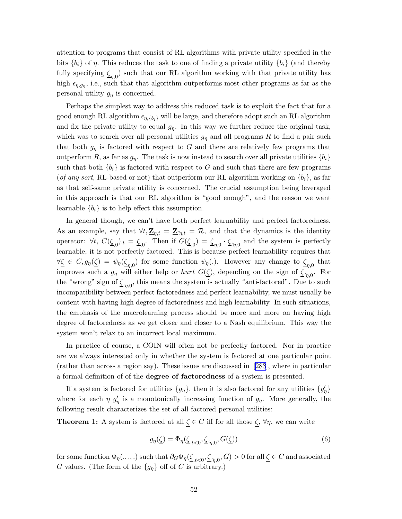attention to programs that consist of RL algorithms with private utility specified in the bits  ${b_i}$  of  $\eta$ . This reduces the task to one of finding a private utility  ${b_i}$  (and thereby fully specifying  $\underline{\zeta}_{\eta,0}$  such that our RL algorithm working with that private utility has high  $\epsilon_{\eta,g_{\eta}}$ , i.e., such that that algorithm outperforms most other programs as far as the personal utility  $g_{\eta}$  is concerned.

Perhaps the simplest way to address this reduced task is to exploit the fact that for a good enough RL algorithm  $\epsilon_{\eta,\{b_i\}}$  will be large, and therefore adopt such an RL algorithm and fix the private utility to equal  $g_n$ . In this way we further reduce the original task, which was to search over all personal utilities  $g<sub>\eta</sub>$  and all programs R to find a pair such that both  $g_{\eta}$  is factored with respect to G and there are relatively few programs that outperform R, as far as  $g_{\eta}$ . The task is now instead to search over all private utilities  $\{b_i\}$ such that both  ${b_i}$  is factored with respect to G and such that there are few programs (of any sort, RL-based or not) that outperform our RL algorithm working on  ${b_i}$ , as far as that self-same private utility is concerned. The crucial assumption being leveraged in this approach is that our RL algorithm is "good enough", and the reason we want learnable  ${b_i}$  is to help effect this assumption.

In general though, we can't have both perfect learnability and perfect factoredness. As an example, say that  $\forall t, \underline{\mathbf{Z}}_{\eta,t} = \underline{\mathbf{Z}}_{\eta,t} = \mathcal{R}$ , and that the dynamics is the identity operator:  $\forall t, C(\underline{\zeta}_{,0})_{,t} = \underline{\zeta}_{,0}$ . Then if  $G(\underline{\zeta}_{,0}) = \underline{\zeta}_{\eta,0} \cdot \underline{\zeta}_{\eta,0}$  and the system is perfectly learnable, it is not perfectly factored. This is because perfect learnability requires that  $\forall \underline{\zeta} \in C, g_{\eta}(\underline{\zeta}) = \psi_{\eta}(\underline{\zeta}_{\eta,0})$  for some function  $\psi_{\eta}(\cdot)$ . However any change to  $\underline{\zeta}_{\eta,0}$  that improves such a  $g_{\eta}$  will either help or *hurt*  $G(\underline{\zeta})$ , depending on the sign of  $\underline{\zeta}_{\eta,0}$ . For the "wrong" sign of  $\underline{\zeta}_{\eta,0}$ , this means the system is actually "anti-factored". Due to such incompatibility between perfect factoredness and perfect learnability, we must usually be content with having high degree of factoredness and high learnability. In such situations, the emphasis of the macrolearning process should be more and more on having high degree of factoredness as we get closer and closer to a Nash equilibrium. This way the system won't relax to an incorrect local maximum.

In practice of course, a COIN will often not be perfectly factored. Nor in practice are we always interested only in whether the system is factored at one particular point (rather than across a region say). These issues are discussed in [\[283](#page-86-0)], where in particular a formal definition of of the degree of factoredness of a system is presented.

If a system is factored for utilities  $\{g_{\eta}\}\$ , then it is also factored for any utilities  $\{g_{\eta}'\}\$ where for each  $\eta$   $g'_{\eta}$  is a monotonically increasing function of  $g_{\eta}$ . More generally, the following result characterizes the set of all factored personal utilities:

**Theorem 1:** A system is factored at all  $\zeta \in C$  iff for all those  $\zeta$ ,  $\forall \eta$ , we can write

$$
g_{\eta}(\underline{\zeta}) = \Phi_{\eta}(\underline{\zeta}_{,t<0}, \underline{\zeta}_{\eta,0}, G(\underline{\zeta}))
$$
\n(6)

for some function  $\Phi_\eta(.,.,.)$  such that  $\partial_G\Phi_\eta(\underline{\zeta}_{,t<0},\underline{\zeta}_{\hat{\eta},0},G)>0$  for all  $\underline{\zeta}\in C$  and associated G values. (The form of the  $\{g_{\eta}\}\$  off of C is arbitrary.)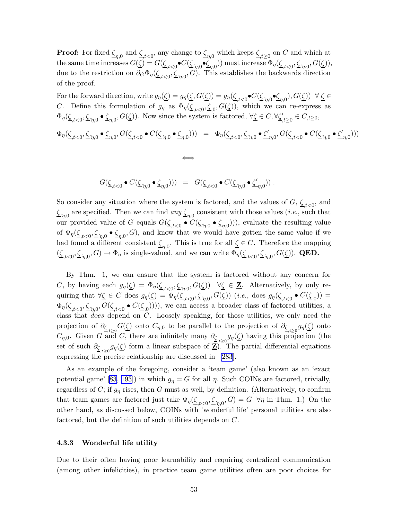**Proof:** For fixed  $\underline{\zeta}_{\eta,0}$  and  $\underline{\zeta}_{\xi<0}$ , any change to  $\underline{\zeta}_{\eta,0}$  which keeps  $\underline{\zeta}_{\xi\ge0}$  on C and which at the same time increases  $G(\underline{\zeta}) = G(\underline{\zeta}_{,t<0} \bullet C(\underline{\zeta}_{\eta,0} \bullet \underline{\zeta}_{\eta,0}))$  must increase  $\Phi_{\eta}(\underline{\zeta}_{,t<0}, \underline{\zeta}_{\eta,0}, G(\underline{\zeta})),$ due to the restriction on  $\partial_G \Phi_{\eta}(\underline{\zeta}_{,t<0}, \underline{\zeta}_{\eta,0}, G)$ . This establishes the backwards direction of the proof.

For the forward direction, write  $g_{\eta}(\underline{\zeta}) = g_{\eta}(\underline{\zeta}, G(\underline{\zeta})) = g_{\eta}(\underline{\zeta}_{,t<0} \bullet C(\underline{\zeta}_{\eta,0} \bullet \underline{\zeta}_{\eta,0}), G(\underline{\zeta})) \forall \underline{\zeta} \in$ C. Define this formulation of  $g_{\eta}$  as  $\Phi_{\eta}(\underline{\zeta}_{t<0}, \underline{\zeta}_{0}, G(\underline{\zeta}))$ , which we can re-express as  $\Phi_{\eta}(\underline{\zeta}_{t<0},\underline{\zeta}_{\eta,0},\bullet \underline{\zeta}_{\eta,0},G(\underline{\zeta}))$ . Now since the system is factored,  $\forall \underline{\zeta} \in C, \forall \underline{\zeta}'$  $C_{t\geq0} \in C_{t\geq0},$  $\Phi_{\eta}(\underline{\zeta}_{t<0},\underline{\zeta}_{\eta,0}\bullet\underline{\zeta}_{\eta,0},G(\underline{\zeta}_{t<0}\bullet C(\underline{\zeta}_{\eta,0}\bullet\underline{\zeta}_{\eta,0}))) = \Phi_{\eta}(\underline{\zeta}_{t<0},\underline{\zeta}_{\eta,0}\bullet\underline{\zeta}'$  $_{\eta,0},G(\underline{\zeta}_{,t<0}\bullet C(\underline{\zeta}_{\hat{\eta},0}\bullet\underline{\zeta}')$  $_{\eta,0}$ ))) ⇐⇒

$$
G(\underline{\zeta}_{,t<0} \bullet C(\underline{\zeta}_{\gamma,0} \bullet \underline{\zeta}_{\eta,0}))) = G(\underline{\zeta}_{,t<0} \bullet C(\underline{\zeta}_{\gamma,0} \bullet \underline{\zeta}'_{\eta,0})).
$$

So consider any situation where the system is factored, and the values of  $G$ ,  $\underline{\zeta}_{,t<0}$ , and  $\zeta_{\gamma,0}$  are specified. Then we can find *any*  $\underline{\zeta}_{\eta,0}$  consistent with those values (*i.e.*, such that our provided value of G equals  $G(\underline{\zeta}_{,t<0} \bullet C(\underline{\zeta}_{\eta,0} \bullet \underline{\zeta}_{\eta,0})))$ , evaluate the resulting value of  $\Phi_{\eta}(\underline{\zeta}_{t<0}, \underline{\zeta}_{\eta,0}, \underline{\zeta}_{\eta,0}, G)$ , and know that we would have gotten the same value if we had found a different consistent  $\underline{\zeta}_{\eta,0}$ . This is true for all  $\underline{\zeta} \in C$ . Therefore the mapping  $(\underline{\zeta}_{t<0}, \underline{\zeta}_{\eta,0}, G) \to \Phi_{\eta}$  is single-valued, and we can write  $\Phi_{\eta}(\underline{\zeta}_{t<0}, \underline{\zeta}_{\eta,0}, G(\underline{\zeta}))$ . QED.

By Thm. 1, we can ensure that the system is factored without any concern for C, by having each  $g_{\eta}(\underline{\zeta}) = \Phi_{\eta}(\underline{\zeta}_{t<0}, \underline{\zeta}_{\eta,0}, G(\underline{\zeta})) \quad \forall \underline{\zeta} \in \underline{\mathbf{Z}}$ . Alternatively, by only requiring that  $\forall \underline{\zeta} \in C$  does  $g_{\eta}(\underline{\zeta}) = \Phi_{\eta}(\underline{\zeta}_{,t<0}, \underline{\zeta}_{\eta,0}, G(\underline{\zeta}))$  (*i.e.*, does  $g_{\eta}(\underline{\zeta}_{,t<0} \bullet C(\underline{\zeta}_{,0})) =$  $\Phi_{\eta}(\underline{\zeta}_{t<0},\underline{\zeta}_{\eta,0},G(\underline{\zeta}_{t<0}\bullet C(\underline{\zeta}_{,0}))))$ , we can access a broader class of factored utilities, a class that does depend on C. Loosely speaking, for those utilities, we only need the projection of  $\partial_{\underline{\zeta}_{,t\geq 0}}G(\underline{\zeta})$  onto  $C_{\eta,0}$  to be parallel to the projection of  $\partial_{\underline{\zeta}_{,t\geq 0}}g_{\eta}(\underline{\zeta})$  onto  $C_{\eta,0}$ . Given G and C, there are infinitely many  $\partial_{\underline{\zeta}_{,t\geq0}}g_{\eta}(\underline{\zeta})$  having this projection (the set of such  $\partial_{\zeta,t\geq 0}g_{\eta}(\underline{\zeta})$  form a linear subspace of  $\underline{\mathbf{Z}}$ ). The partial differential equations expressing the precise relationship are discussed in [\[283](#page-86-0)].

As an example of the foregoing, consider a 'team game' (also known as an 'exact potential game' [[83,](#page-73-0) [193\]](#page-80-0)) in which  $g_{\eta} = G$  for all  $\eta$ . Such COINs are factored, trivially, regardless of C; if  $g_n$  rises, then G must as well, by definition. (Alternatively, to confirm that team games are factored just take  $\Phi_{\eta}(\underline{\zeta}_{t<0}, \underline{\zeta}_{\eta,0}, G) = G \ \forall \eta$  in Thm. 1.) On the other hand, as discussed below, COINs with 'wonderful life' personal utilities are also factored, but the definition of such utilities depends on C.

# 4.3.3 Wonderful life utility

Due to their often having poor learnability and requiring centralized communication (among other infelicities), in practice team game utilities often are poor choices for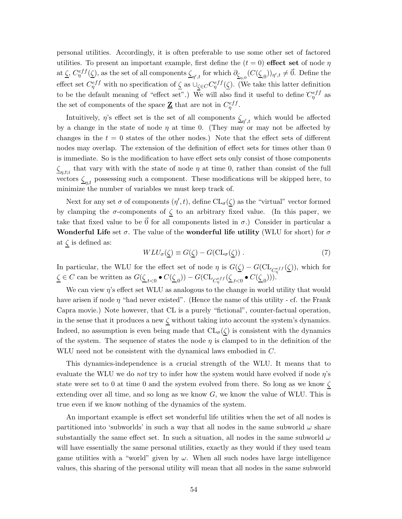personal utilities. Accordingly, it is often preferable to use some other set of factored utilities. To present an important example, first define the  $(t = 0)$  effect set of node  $\eta$ at  $\underline{\zeta}$ ,  $C^{eff}_{\eta}(\underline{\zeta})$ , as the set of all components  $\underline{\zeta}_{\eta',t}$  for which  $\partial_{\underline{\zeta}_{\eta,0}}(C(\underline{\zeta}_{,0}))_{\eta',t} \neq \vec{0}$ . Define the effect set  $C^{eff}_{\eta}$  with no specification of  $\underline{\zeta}$  as  $\cup_{\underline{\zeta} \in C} C^{eff}_{\eta}(\underline{\zeta})$ . (We take this latter definition to be the default meaning of "effect set".) We will also find it useful to define  $C^{eff}_{\eta}$  as the set of components of the space  $\underline{\mathbf{Z}}$  that are not in  $C_{\eta}^{eff}$ .

Intuitively,  $\eta$ 's effect set is the set of all components  $\underline{\zeta}_{\eta',t}$  which would be affected by a change in the state of node  $\eta$  at time 0. (They may or may not be affected by changes in the  $t = 0$  states of the other nodes.) Note that the effect sets of different nodes may overlap. The extension of the definition of effect sets for times other than 0 is immediate. So is the modification to have effect sets only consist of those components  $\zeta_{\eta,t;i}$  that vary with with the state of node  $\eta$  at time 0, rather than consist of the full vectors  $\zeta_{\eta,t}$  possessing such a component. These modifications will be skipped here, to minimize the number of variables we must keep track of.

Next for any set  $\sigma$  of components  $(\eta', t)$ , define  $CL_{\sigma}(\zeta)$  as the "virtual" vector formed by clamping the  $\sigma$ -components of  $\zeta$  to an arbitrary fixed value. (In this paper, we take that fixed value to be  $\vec{0}$  for all components listed in  $\sigma$ .) Consider in particular a Wonderful Life set  $\sigma$ . The value of the wonderful life utility (WLU for short) for  $\sigma$ at  $\zeta$  is defined as:

$$
WLU_{\sigma}(\underline{\zeta}) \equiv G(\underline{\zeta}) - G(\mathrm{CL}_{\sigma}(\underline{\zeta})) . \tag{7}
$$

In particular, the WLU for the effect set of node  $\eta$  is  $G(\underline{\zeta}) - G(\mathrm{CL}_{C^{eff}_{\eta}}(\underline{\zeta}))$ , which for  $\underline{\zeta} \in C$  can be written as  $G(\underline{\zeta}_{,t<0} \bullet C(\underline{\zeta}_{,0})) - G(\mathrm{CL}_{C_{\eta}^{eff}}(\underline{\zeta}_{,t<0} \bullet C(\underline{\zeta}_{,0}))).$ 

We can view  $\eta$ 's effect set WLU as analogous to the change in world utility that would have arisen if node η "had never existed". (Hence the name of this utility - cf. the Frank Capra movie.) Note however, that CL is a purely "fictional", counter-factual operation, in the sense that it produces a new  $\zeta$  without taking into account the system's dynamics. Indeed, no assumption is even being made that  $CL_{\sigma}(\underline{\zeta})$  is consistent with the dynamics of the system. The sequence of states the node  $\eta$  is clamped to in the definition of the WLU need not be consistent with the dynamical laws embodied in C.

This dynamics-independence is a crucial strength of the WLU. It means that to evaluate the WLU we do not try to infer how the system would have evolved if node  $\eta$ 's state were set to 0 at time 0 and the system evolved from there. So long as we know  $\zeta$ extending over all time, and so long as we know  $G$ , we know the value of WLU. This is true even if we know nothing of the dynamics of the system.

An important example is effect set wonderful life utilities when the set of all nodes is partitioned into 'subworlds' in such a way that all nodes in the same subworld  $\omega$  share substantially the same effect set. In such a situation, all nodes in the same subworld  $\omega$ will have essentially the same personal utilities, exactly as they would if they used team game utilities with a "world" given by  $\omega$ . When all such nodes have large intelligence values, this sharing of the personal utility will mean that all nodes in the same subworld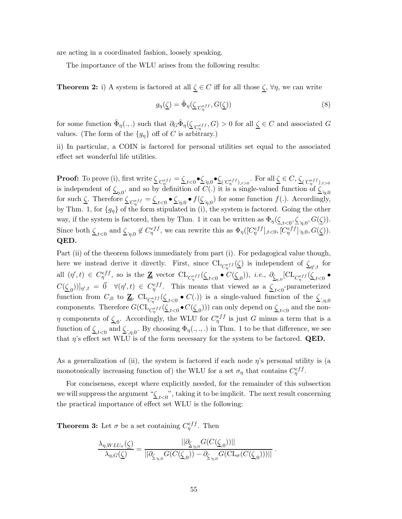are acting in a coordinated fashion, loosely speaking.

The importance of the WLU arises from the following results:

**Theorem 2:** i) A system is factored at all  $\zeta \in C$  iff for all those  $\zeta$ ,  $\forall \eta$ , we can write

$$
g_{\eta}(\underline{\zeta}) = \hat{\Phi}_{\eta}(\underline{\zeta}_{C_{\eta}^{eff}}, G(\underline{\zeta}))
$$
\n(8)

for some function  $\hat{\Phi}_{\eta}(\cdot,\cdot)$  such that  $\partial_G \hat{\Phi}_{\eta}(\underline{\zeta}_{\widehat{\mathcal{C}}_{\eta}^{eff}}, G) > 0$  for all  $\underline{\zeta} \in C$  and associated G values. (The form of the  $\{g_{\eta}\}\$  off of C is arbitrary.)

ii) In particular, a COIN is factored for personal utilities set equal to the associated effect set wonderful life utilities.

**Proof:** To prove (i), first write  $\underline{\zeta}_{C_{\eta}^{eff}} = \underline{\zeta}_{t<0} \bullet \underline{\zeta}_{\eta,0} \bullet \underline{\zeta}_{(C_{\eta}^{eff})_{,t>0}}$ . For all  $\underline{\zeta} \in C, \underline{\zeta}_{(C_{\eta}^{eff})_{,t>0}}$ is independent of  $\underline{\zeta}_{\eta,0}$ , and so by definition of  $C(.)$  it is a single-valued function of  $\underline{\zeta}_{\eta,0}$ for such  $\underline{\zeta}$ . Therefore  $\underline{\zeta}_{\mathcal{C}_{\eta}^{eff}} = \underline{\zeta}_{t<0} \bullet \underline{\zeta}_{\eta,0} \bullet f(\underline{\zeta}_{\eta,0})$  for some function  $f(.)$ . Accordingly, by Thm. 1, for  $\{g_{\eta}\}\$  of the form stipulated in (i), the system is factored. Going the other way, if the system is factored, then by Thm. 1 it can be written as  $\Phi_{\eta}(\underline{\zeta}_{,t<0}, \underline{\zeta}_{\eta,0}, G(\underline{\zeta}))$ . Since both  $\underline{\zeta}_{\eta,\zeta} \in C_{\eta}^{eff}$ , we can rewrite this as  $\Phi_{\eta}([C_{\eta}^{eff}]_{t<0}, [C_{\eta}^{eff}]_{\eta,0}, G(\underline{\zeta})$ . QED.

Part (ii) of the theorem follows immediately from part (i). For pedagogical value though, here we instead derive it directly. First, since  $CL_{C^{eff}_{\eta}}(\underline{\zeta})$  is independent of  $\underline{\zeta}_{\eta',t}$  for all  $(\eta',t) \in C^{eff}_{\eta}$ , so is the **Z** vector  $CL_{C^{eff}_{\eta}}(\underline{\zeta}_{t<0} \bullet C(\underline{\zeta}_{0})),$  *i.e.*,  $\partial_{\underline{\zeta}_{\eta,0}}[CL_{C^{eff}_{\eta}}(\underline{\zeta}_{t<0} \bullet C(\underline{\zeta}_{0})))$  $C(\underline{\zeta}_{,0})\big]_{\eta',t} = \vec{0} \quad \forall (\eta',t) \in C^{eff}_{\eta}.$  This means that viewed as a  $\underline{\zeta}_{,t<0}$ -parameterized function from  $C_{,0}$  to  $\underline{\mathbf{Z}}$ ,  $CL_{C_{\eta}^{eff}}(\underline{\zeta}_{,t<0} \bullet C(.))$  is a single-valued function of the  $\underline{\zeta}_{\hat{\cdot},\eta,0}$ components. Therefore  $G(\mathrm{CL}_{C^{eff}_{\eta}}(\underline{\zeta}_{t<0}\bullet C(\underline{\zeta}_{,0})))$  can only depend on  $\underline{\zeta}_{t<0}$  and the non- $\eta$  components of  $\underline{\zeta}_0$ . Accordingly, the WLU for  $C^{eff}_{\eta}$  is just G minus a term that is a function of  $\underline{\zeta}_{,t<0}$  and  $\underline{\zeta}_{,\eta,0}$ . By choosing  $\Phi_{\eta}(.,.,.)$  in Thm. 1 to be that difference, we see that  $\eta$ 's effect set WLU is of the form necessary for the system to be factored. **QED.** 

As a generalization of (ii), the system is factored if each node  $\eta$ 's personal utility is (a monotonically increasing function of) the WLU for a set  $\sigma_{\eta}$  that contains  $C_{\eta}^{eff}$ .

For conciseness, except where explicitly needed, for the remainder of this subsection we will suppress the argument  $``\underline{\zeta}_{,t<0}"$ , taking it to be implicit. The next result concerning the practical importance of effect set WLU is the following:

**Theorem 3:** Let  $\sigma$  be a set containing  $C^{eff}_{\eta}$ . Then

$$
\frac{\lambda_{\eta,WLU_{\sigma}}(\underline{\zeta})}{\lambda_{\eta,G}(\underline{\zeta})} = \frac{||\partial_{\underline{\zeta}_{\gamma,0}}G(C(\underline{\zeta}_{,0}))||}{||\partial_{\underline{\zeta}_{\gamma,0}}G(C(\underline{\zeta}_{,0})) - \partial_{\underline{\zeta}_{\gamma,0}}G(\mathrm{CL}_{\sigma}(C(\underline{\zeta}_{,0})))||}.
$$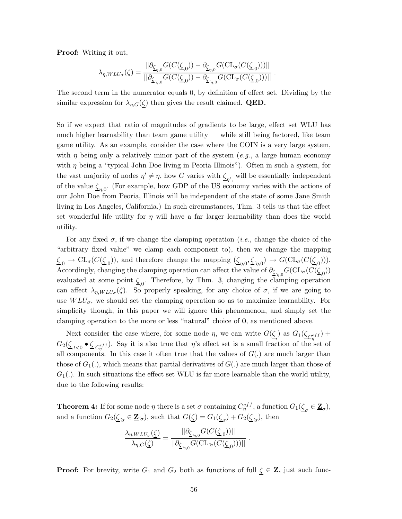Proof: Writing it out,

$$
\lambda_{\eta,WLU_{\sigma}}(\underline{\zeta}) = \frac{||\partial_{\underline{\zeta}_{\eta,0}}G(C(\underline{\zeta}_{,0})) - \partial_{\underline{\zeta}_{\eta,0}}G(\mathrm{CL}_{\sigma}(C(\underline{\zeta}_{,0})))||}{||\partial_{\underline{\zeta}_{\eta,0}}G(C(\underline{\zeta}_{,0})) - \partial_{\underline{\zeta}_{\eta,0}}G(\mathrm{CL}_{\sigma}(C(\underline{\zeta}_{,0}))))||}.
$$

The second term in the numerator equals 0, by definition of effect set. Dividing by the similar expression for  $\lambda_{\eta,G}(\underline{\zeta})$  then gives the result claimed. **QED.** 

So if we expect that ratio of magnitudes of gradients to be large, effect set WLU has much higher learnability than team game utility — while still being factored, like team game utility. As an example, consider the case where the COIN is a very large system, with  $\eta$  being only a relatively minor part of the system (e.g., a large human economy with  $\eta$  being a "typical John Doe living in Peoria Illinois"). Often in such a system, for the vast majority of nodes  $\eta' \neq \eta$ , how G varies with  $\underline{\zeta}_{\eta'}$ , will be essentially independent of the value  $\underline{\zeta}_{\eta,0}$ . (For example, how GDP of the US economy varies with the actions of our John Doe from Peoria, Illinois will be independent of the state of some Jane Smith living in Los Angeles, California.) In such circumstances, Thm. 3 tells us that the effect set wonderful life utility for  $\eta$  will have a far larger learnability than does the world utility.

For any fixed  $\sigma$ , if we change the clamping operation (*i.e.*, change the choice of the "arbitrary fixed value" we clamp each component to), then we change the mapping  $\underline{\zeta}_{,0} \to CL_{\sigma}(C(\underline{\zeta}_{,0}))$ , and therefore change the mapping  $(\underline{\zeta}_{\eta,0}, \underline{\zeta}_{\eta,0}) \to GCL_{\sigma}(C(\underline{\zeta}_{,0}))).$ Accordingly, changing the clamping operation can affect the value of  $\partial_{\underline{\zeta}_{\gamma_0,0}}G(\mathrm{CL}_{\sigma}(C(\underline{\zeta}_0)))$ evaluated at some point  $\zeta_{,0}$ . Therefore, by Thm. 3, changing the clamping operation can affect  $\lambda_{\eta, WLU_{\sigma}}(\underline{\zeta})$ . So properly speaking, for any choice of  $\sigma$ , if we are going to use  $WLU_{\sigma}$ , we should set the clamping operation so as to maximize learnability. For simplicity though, in this paper we will ignore this phenomenon, and simply set the clamping operation to the more or less "natural" choice of 0, as mentioned above.

Next consider the case where, for some node  $\eta$ , we can write  $G(\underline{\zeta})$  as  $G_1(\underline{\zeta}_{C_{\eta}^{eff}})$  +  $G_2(\underline{\zeta}_{t<0}\bullet \underline{\zeta}_{\mathcal{C}_{\eta}}{}_{ef}).$  Say it is also true that  $\eta$ 's effect set is a small fraction of the set of all components. In this case it often true that the values of  $G(.)$  are much larger than those of  $G_1(.)$ , which means that partial derivatives of  $G(.)$  are much larger than those of  $G_1(.)$ . In such situations the effect set WLU is far more learnable than the world utility, due to the following results:

**Theorem 4:** If for some node  $\eta$  there is a set  $\sigma$  containing  $C^{eff}_{\eta}$ , a function  $G_1(\underline{\zeta}_{\sigma} \in \underline{\mathbf{Z}}_{\sigma})$ , and a function  $G_2(\underline{\zeta}_{\hat{\sigma}} \in \underline{\mathbf{Z}}_{\hat{\sigma}})$ , such that  $G(\underline{\zeta}) = G_1(\underline{\zeta}_{\sigma}) + G_2(\underline{\zeta}_{\hat{\sigma}})$ , then

$$
\frac{\lambda_{\eta,WLU_{\sigma}}(\underline{\zeta})}{\lambda_{\eta,G}(\underline{\zeta})} = \frac{||\partial_{\underline{\zeta}_{\eta,0}} G(C(\underline{\zeta}_{,0}))||}{||\partial_{\underline{\zeta}_{\eta,0}} G(\mathrm{CL}_{\sigma}(C(\underline{\zeta}_{,0}))))||}.
$$

**Proof:** For brevity, write  $G_1$  and  $G_2$  both as functions of full  $\zeta \in \mathbf{Z}$ , just such func-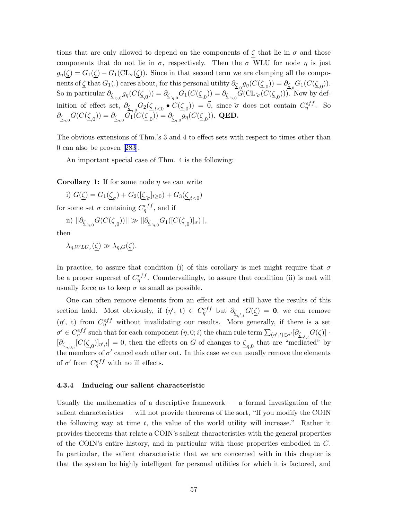tions that are only allowed to depend on the components of  $\zeta$  that lie in  $\sigma$  and those components that do not lie in  $\sigma$ , respectively. Then the  $\sigma$  WLU for node  $\eta$  is just  $g_{\eta}(\zeta) = G_1(\zeta) - G_1(\mathbf{CL}_{\sigma}(\zeta))$ . Since in that second term we are clamping all the components of  $\underline{\zeta}$  that  $G_1(.)$  cares about, for this personal utility  $\partial_{\underline{\zeta}_0} g_{\eta}(C(\underline{\zeta}_0)) = \partial_{\underline{\zeta}_0} G_1(C(\underline{\zeta}_0)).$ So in particular  $\partial_{\underline{\zeta}_{\gamma,0}} g_{\eta}(C(\underline{\zeta}_0)) = \partial_{\underline{\zeta}_{\gamma,0}} G_1(C(\underline{\zeta}_0)) = \partial_{\underline{\zeta}_{\gamma,0}} G(\mathrm{CL}_{\check{\sigma}}(C(\underline{\zeta}_0))).$  Now by definition of effect set,  $\partial_{\underline{\zeta}_{\eta,0}} G_2(\underline{\zeta}_{,t<0} \bullet C(\underline{\zeta}_{,0})) = \vec{0}$ , since  $\hat{\sigma}$  does not contain  $C_{\eta}^{eff}$ . So  $\partial_{\underline{\zeta}_{\eta,0}} G(C(\underline{\zeta}_0)) = \partial_{\underline{\zeta}_{\eta,0}} G_1(C(\underline{\zeta}_0)) = \partial_{\underline{\zeta}_{\eta,0}} g_\eta(C(\underline{\zeta}_0)).$  QED.

The obvious extensions of Thm.'s 3 and 4 to effect sets with respect to times other than 0 can also be proven [[283](#page-86-0)].

An important special case of Thm. 4 is the following:

**Corollary 1:** If for some node  $\eta$  we can write

i)  $G(\underline{\zeta}) = G_1(\underline{\zeta}_{\sigma}) + G_2([\underline{\zeta}_{\hat{\sigma}}]_{t \geq 0}) + G_3(\underline{\zeta}_{,t < 0})$ 

for some set  $\sigma$  containing  $C^{eff}_{\eta}$ , and if

ii) 
$$
||\partial_{\underline{\zeta}_{\gamma,0}} G(C(\underline{\zeta}_0))|| \gg ||\partial_{\underline{\zeta}_{\gamma,0}} G_1([C(\underline{\zeta}_0)]_{\sigma})||,
$$

then

$$
\lambda_{\eta, WLU_{\sigma}}(\underline{\zeta}) \gg \lambda_{\eta, G}(\underline{\zeta}).
$$

In practice, to assure that condition (i) of this corollary is met might require that  $\sigma$ be a proper superset of  $C_{\eta}^{eff}$ . Countervailingly, to assure that condition (ii) is met will usually force us to keep  $\sigma$  as small as possible.

One can often remove elements from an effect set and still have the results of this section hold. Most obviously, if  $(\eta', t) \in C^{eff}_{\eta}$  but  $\partial_{\underline{\zeta}_{\eta',t}} G(\underline{\zeta}) = 0$ , we can remove  $(\eta', t)$  from  $C_{\eta}^{eff}$  without invalidating our results. More generally, if there is a set  $\sigma' \in C^{eff}_{\eta}$  such that for each component  $(\eta, 0; i)$  the chain rule term  $\sum_{(\eta', t) \in \sigma'} [\partial_{\underline{\zeta}_{\eta',t}} G(\underline{\zeta})]$ .  $[\partial_{\underline{\zeta}_{\eta,0;i}}[C(\underline{\zeta}_{,0})]_{\eta',t}] = 0$ , then the effects on G of changes to  $\underline{\zeta}_{\eta,0}$  that are "mediated" by the members of  $\sigma'$  cancel each other out. In this case we can usually remove the elements of  $\sigma'$  from  $C^{eff}_{\eta}$  with no ill effects.

#### 4.3.4 Inducing our salient characteristic

Usually the mathematics of a descriptive framework  $-$  a formal investigation of the salient characteristics — will not provide theorems of the sort, "If you modify the COIN the following way at time t, the value of the world utility will increase." Rather it provides theorems that relate a COIN's salient characteristics with the general properties of the COIN's entire history, and in particular with those properties embodied in C. In particular, the salient characteristic that we are concerned with in this chapter is that the system be highly intelligent for personal utilities for which it is factored, and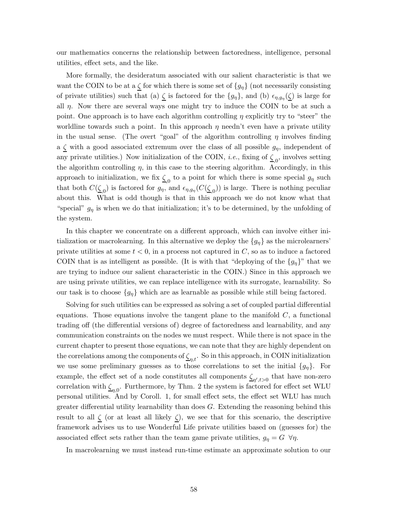our mathematics concerns the relationship between factoredness, intelligence, personal utilities, effect sets, and the like.

More formally, the desideratum associated with our salient characteristic is that we want the COIN to be at a  $\zeta$  for which there is some set of  $\{g_{\eta}\}\$  (not necessarily consisting of private utilities) such that (a)  $\underline{\zeta}$  is factored for the  $\{g_{\eta}\}\$ , and (b)  $\epsilon_{\eta,g_{\eta}}(\underline{\zeta})$  is large for all  $\eta$ . Now there are several ways one might try to induce the COIN to be at such a point. One approach is to have each algorithm controlling  $\eta$  explicitly try to "steer" the worldline towards such a point. In this approach  $\eta$  needn't even have a private utility in the usual sense. (The overt "goal" of the algorithm controlling  $\eta$  involves finding a  $\zeta$  with a good associated extremum over the class of all possible  $g_n$ , independent of any private utilities.) Now initialization of the COIN, *i.e.*, fixing of  $\underline{\zeta}_{,0}$ , involves setting the algorithm controlling  $\eta$ , in this case to the steering algorithm. Accordingly, in this approach to initialization, we fix  $\underline{\zeta}_0$  to a point for which there is some special  $g_\eta$  such that both  $C(\underline{\zeta}_{,0})$  is factored for  $g_{\eta}$ , and  $\epsilon_{\eta,g_{\eta}}(C(\underline{\zeta}_{,0}))$  is large. There is nothing peculiar about this. What is odd though is that in this approach we do not know what that "special"  $g_{\eta}$  is when we do that initialization; it's to be determined, by the unfolding of the system.

In this chapter we concentrate on a different approach, which can involve either initialization or macrolearning. In this alternative we deploy the  $\{g_n\}$  as the microlearners' private utilities at some  $t < 0$ , in a process not captured in  $C$ , so as to induce a factored COIN that is as intelligent as possible. (It is with that "deploying of the  $\{g_n\}$ " that we are trying to induce our salient characteristic in the COIN.) Since in this approach we are using private utilities, we can replace intelligence with its surrogate, learnability. So our task is to choose  $\{g_n\}$  which are as learnable as possible while still being factored.

Solving for such utilities can be expressed as solving a set of coupled partial differential equations. Those equations involve the tangent plane to the manifold  $C$ , a functional trading off (the differential versions of) degree of factoredness and learnability, and any communication constraints on the nodes we must respect. While there is not space in the current chapter to present those equations, we can note that they are highly dependent on the correlations among the components of  $\underline{\zeta}_{\eta,t}$ . So in this approach, in COIN initialization we use some preliminary guesses as to those correlations to set the initial  $\{g_{\eta}\}\$ . For example, the effect set of a node constitutes all components  $\underline{\zeta}_{\eta',t>0}$  that have non-zero correlation with  $\underline{\zeta}_{\eta,0}$ . Furthermore, by Thm. 2 the system is factored for effect set WLU personal utilities. And by Coroll. 1, for small effect sets, the effect set WLU has much greater differential utility learnability than does  $G$ . Extending the reasoning behind this result to all  $\zeta$  (or at least all likely  $\zeta$ ), we see that for this scenario, the descriptive framework advises us to use Wonderful Life private utilities based on (guesses for) the associated effect sets rather than the team game private utilities,  $g_{\eta} = G \ \forall \eta$ .

In macrolearning we must instead run-time estimate an approximate solution to our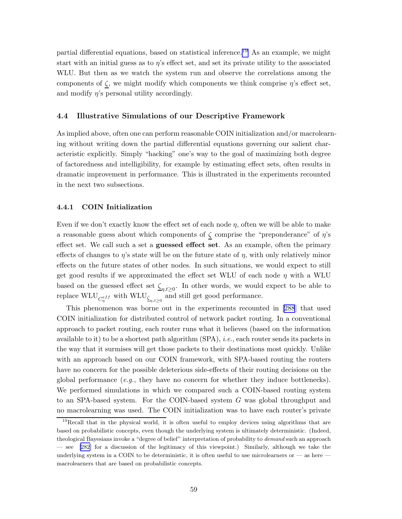partial differential equations, based on statistical inference.<sup>19</sup> As an example, we might start with an initial guess as to  $\eta$ 's effect set, and set its private utility to the associated WLU. But then as we watch the system run and observe the correlations among the components of  $\zeta$ , we might modify which components we think comprise  $\eta$ 's effect set, and modify  $\eta$ 's personal utility accordingly.

# 4.4 Illustrative Simulations of our Descriptive Framework

As implied above, often one can perform reasonable COIN initialization and/or macrolearning without writing down the partial differential equations governing our salient characteristic explicitly. Simply "hacking" one's way to the goal of maximizing both degree of factoredness and intelligibility, for example by estimating effect sets, often results in dramatic improvement in performance. This is illustrated in the experiments recounted in the next two subsections.

# 4.4.1 COIN Initialization

Even if we don't exactly know the effect set of each node  $\eta$ , often we will be able to make a reasonable guess about which components of  $\zeta$  comprise the "preponderance" of  $\eta$ 's effect set. We call such a set a guessed effect set. As an example, often the primary effects of changes to  $\eta$ 's state will be on the future state of  $\eta$ , with only relatively minor effects on the future states of other nodes. In such situations, we would expect to still get good results if we approximated the effect set WLU of each node  $\eta$  with a WLU based on the guessed effect set  $\underline{\zeta}_{\eta,t\geq 0}$ . In other words, we would expect to be able to replace  $\text{WLU}_{C^{eff}_{\eta}}$  with  $\text{WLU}_{\underline{\zeta}_{\eta,t\geq 0}}$  and still get good performance.

This phenomenon was borne out in the experiments recounted in [\[288](#page-87-0)] that used COIN initialization for distributed control of network packet routing. In a conventional approach to packet routing, each router runs what it believes (based on the information available to it) to be a shortest path algorithm  $(SPA)$ , *i.e.*, each router sends its packets in the way that it surmises will get those packets to their destinations most quickly. Unlike with an approach based on our COIN framework, with SPA-based routing the routers have no concern for the possible deleterious side-effects of their routing decisions on the global performance  $(e.g.,$  they have no concern for whether they induce bottlenecks). We performed simulations in which we compared such a COIN-based routing system to an SPA-based system. For the COIN-based system G was global throughput and no macrolearning was used. The COIN initialization was to have each router's private

 $19$ Recall that in the physical world, it is often useful to employ devices using algorithms that are based on probabilistic concepts, even though the underlying system is ultimately deterministic. (Indeed, theological Bayesians invoke a "degree of belief" interpretation of probability to demand such an approach — see [\[282](#page-86-0)] for a discussion of the legitimacy of this viewpoint.) Similarly, although we take the underlying system in a COIN to be deterministic, it is often useful to use microlearners or — as here macrolearners that are based on probabilistic concepts.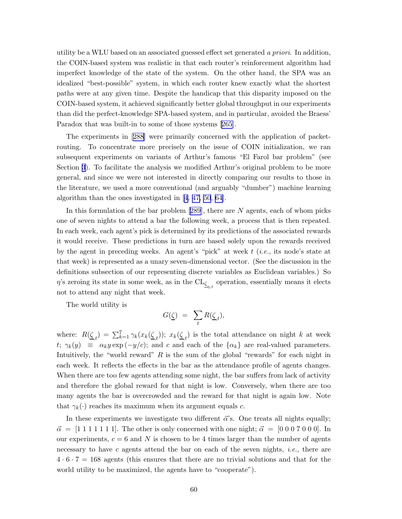utility be a WLU based on an associated guessed effect set generated a priori. In addition, the COIN-based system was realistic in that each router's reinforcement algorithm had imperfect knowledge of the state of the system. On the other hand, the SPA was an idealized "best-possible" system, in which each router knew exactly what the shortest paths were at any given time. Despite the handicap that this disparity imposed on the COIN-based system, it achieved significantly better global throughput in our experiments than did the perfect-knowledge SPA-based system, and in particular, avoided the Braess' Paradox that was built-in to some of those systems [[265](#page-85-0)].

The experiments in [[288](#page-87-0)] were primarily concerned with the application of packetrouting. To concentrate more precisely on the issue of COIN initialization, we ran subsequent experiments on variants of Arthur's famous "El Farol bar problem" (see Section [3](#page-5-0)). To facilitate the analysis we modified Arthur's original problem to be more general, and since we were not interested in directly comparing our results to those in the literature, we used a more conventional (and arguably "dumber") machine learning algorithm than the ones investigated in [[4](#page-68-0), [47, 50](#page-71-0), [64](#page-72-0)].

In this formulation of the bar problem [[289](#page-87-0)], there are N agents, each of whom picks one of seven nights to attend a bar the following week, a process that is then repeated. In each week, each agent's pick is determined by its predictions of the associated rewards it would receive. These predictions in turn are based solely upon the rewards received by the agent in preceding weeks. An agent's "pick" at week  $t$  (*i.e.*, its node's state at that week) is represented as a unary seven-dimensional vector. (See the discussion in the definitions subsection of our representing discrete variables as Euclidean variables.) So  $\eta$ 's zeroing its state in some week, as in the CL<sub> $\zeta_{\eta,t}$ </sub> operation, essentially means it elects not to attend any night that week.

The world utility is

$$
G(\underline{\zeta}) \ = \ \sum_t R(\underline{\zeta}_{,t}),
$$

where:  $R(\underline{\zeta}_{,t}) = \sum_{k=1}^{7} \gamma_k(x_k(\underline{\zeta}_{,t}))$ ;  $x_k(\underline{\zeta}_{,t})$  is the total attendance on night k at week t;  $\gamma_k(y) \equiv \alpha_k y \exp(-y/c)$ ; and c and each of the  $\{\alpha_k\}$  are real-valued parameters. Intuitively, the "world reward"  $R$  is the sum of the global "rewards" for each night in each week. It reflects the effects in the bar as the attendance profile of agents changes. When there are too few agents attending some night, the bar suffers from lack of activity and therefore the global reward for that night is low. Conversely, when there are too many agents the bar is overcrowded and the reward for that night is again low. Note that  $\gamma_k(\cdot)$  reaches its maximum when its argument equals c.

In these experiments we investigate two different  $\vec{\alpha}$ 's. One treats all nights equally;  $\vec{\alpha} = [1 \ 1 \ 1 \ 1 \ 1 \ 1]$ . The other is only concerned with one night;  $\vec{\alpha} = [0 \ 0 \ 0 \ 7 \ 0 \ 0]$ . In our experiments,  $c = 6$  and N is chosen to be 4 times larger than the number of agents necessary to have c agents attend the bar on each of the seven nights, *i.e.*, there are  $4 \cdot 6 \cdot 7 = 168$  agents (this ensures that there are no trivial solutions and that for the world utility to be maximized, the agents have to "cooperate").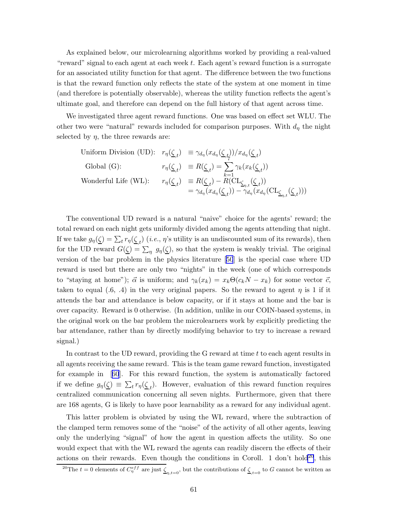As explained below, our microlearning algorithms worked by providing a real-valued "reward" signal to each agent at each week  $t$ . Each agent's reward function is a surrogate for an associated utility function for that agent. The difference between the two functions is that the reward function only reflects the state of the system at one moment in time (and therefore is potentially observable), whereas the utility function reflects the agent's ultimate goal, and therefore can depend on the full history of that agent across time.

We investigated three agent reward functions. One was based on effect set WLU. The other two were "natural" rewards included for comparison purposes. With  $d<sub>\eta</sub>$  the night selected by  $\eta$ , the three rewards are:

Uniform Division (UD): 
$$
r_{\eta}(\underline{\zeta}_{,t}) = \gamma_{d_{\eta}}(x_{d_{\eta}}(\underline{\zeta}_{,t}))/x_{d_{\eta}}(\underline{\zeta}_{,t})
$$
  
\nGlobal (G):  $r_{\eta}(\underline{\zeta}_{,t}) = R(\underline{\zeta}_{,t}) = \sum_{k=1}^{n} \gamma_k(x_k(\underline{\zeta}_{,t}))$   
\nWonderful Life (WL):  $r_{\eta}(\underline{\zeta}_{,t}) = R(\underline{\zeta}_{,t}) - R(\text{CL}_{\underline{\zeta}_{\eta,t}}(\underline{\zeta}_{,t}))$   
\n $= \gamma_{d_{\eta}}(x_{d_{\eta}}(\underline{\zeta}_{,t})) - \gamma_{d_{\eta}}(x_{d_{\eta}}(\text{CL}_{\underline{\zeta}_{\eta,t}}(\underline{\zeta}_{,t})))$ 

The conventional UD reward is a natural "naive" choice for the agents' reward; the total reward on each night gets uniformly divided among the agents attending that night. If we take  $g_{\eta}(\underline{\zeta}) = \sum_t r_{\eta}(\underline{\zeta}_{,t})$  (*i.e.*,  $\eta$ 's utility is an undiscounted sum of its rewards), then for the UD reward  $G(\underline{\zeta}) = \sum_{\eta} g_{\eta}(\underline{\zeta})$ , so that the system is weakly trivial. The original version of the bar problem in the physics literature [[50](#page-71-0)] is the special case where UD reward is used but there are only two "nights" in the week (one of which corresponds to "staying at home");  $\vec{\alpha}$  is uniform; and  $\gamma_k(x_k) = x_k \Theta(c_k N - x_k)$  for some vector  $\vec{c}$ , taken to equal (.6, .4) in the very original papers. So the reward to agent  $\eta$  is 1 if it attends the bar and attendance is below capacity, or if it stays at home and the bar is over capacity. Reward is 0 otherwise. (In addition, unlike in our COIN-based systems, in the original work on the bar problem the microlearners work by explicitly predicting the bar attendance, rather than by directly modifying behavior to try to increase a reward signal.)

In contrast to the UD reward, providing the G reward at time  $t$  to each agent results in all agents receiving the same reward. This is the team game reward function, investigated for example in [[60](#page-72-0)]. For this reward function, the system is automatically factored if we define  $g_{\eta}(\underline{\zeta}) \equiv \sum_t r_{\eta}(\underline{\zeta}_{,t})$ . However, evaluation of this reward function requires centralized communication concerning all seven nights. Furthermore, given that there are 168 agents, G is likely to have poor learnability as a reward for any individual agent.

This latter problem is obviated by using the WL reward, where the subtraction of the clamped term removes some of the "noise" of the activity of all other agents, leaving only the underlying "signal" of how the agent in question affects the utility. So one would expect that with the WL reward the agents can readily discern the effects of their actions on their rewards. Even though the conditions in Coroll. 1 don't hold<sup>20</sup>, this

<sup>&</sup>lt;sup>20</sup>The  $t=0$  elements of  $C^{eff}_{\eta}$  are just  $\underline{\zeta}_{\eta,t=0}$ , but the contributions of  $\underline{\zeta}_{t=0}$  to G cannot be written as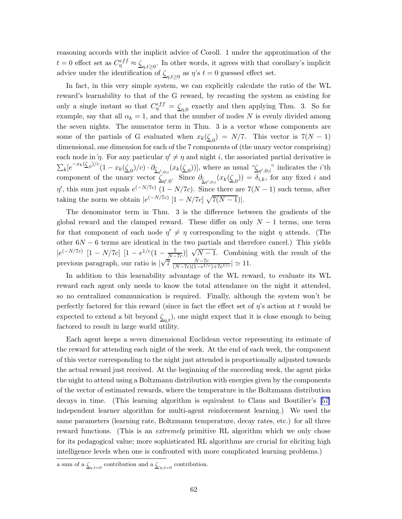reasoning accords with the implicit advice of Coroll. 1 under the approximation of the  $t=0$  effect set as  $C^{eff}_{\eta} \approx \underline{\zeta}_{\eta,t\geq 0}$ . In other words, it agrees with that corollary's implicit advice under the identification of  $\underline{\zeta}_{\eta,t\geq 0}$  as  $\eta$ 's  $t=0$  guessed effect set.

In fact, in this very simple system, we can explicitly calculate the ratio of the WL reward's learnability to that of the G reward, by recasting the system as existing for only a single instant so that  $C_{\eta}^{eff} = \underline{\zeta}_{\eta,0}$  exactly and then applying Thm. 3. So for example, say that all  $\alpha_k = 1$ , and that the number of nodes N is evenly divided among the seven nights. The numerator term in Thm. 3 is a vector whose components are some of the partials of G evaluated when  $x_k(\underline{\zeta}_{,0}) = N/7$ . This vector is  $7(N-1)$ dimensional, one dimension for each of the 7 components of (the unary vector comprising) each node in  $\hat{\eta}$ . For any particular  $\eta' \neq \eta$  and night i, the associated partial derivative is  $\sum_{k} [e^{-x_k(\underline{\zeta}_0)/c} (1-x_k(\underline{\zeta}_0)/c) \cdot \partial_{\underline{\zeta}_{\eta',0;i}}(x_k(\underline{\zeta}_0))]$ , where as usual " $\underline{\zeta}_{\eta',0;i}$ " indicates the *i*'th component of the unary vector  $\underline{\zeta}_{\eta',0}$ . Since  $\partial_{\underline{\zeta}_{\eta',0;i}}(x_k(\underline{\zeta}_{,0})) = \delta_{i,k}$ , for any fixed i and  $\eta'$ , this sum just equals  $e^{(-N/7c)}$   $(1 - N/7c)$ . Since there are  $7(N - 1)$  such terms, after taking the norm we obtain  $|e^{(-N/7c)} [1 - N/7c] \sqrt{7(N-1)}|$ .

The denominator term in Thm. 3 is the difference between the gradients of the global reward and the clamped reward. These differ on only  $N-1$  terms, one term for that component of each node  $\eta' \neq \eta$  corresponding to the night  $\eta$  attends. (The other 6N − 6 terms are identical in the two partials and therefore cancel.) This yields  $|e^{(-N/7c)} \space [1-N/7c] \space [1-e^{1/c}(1-\frac{7}{N-c})]$  $\frac{7}{N-7c}$ ]  $\sqrt{N-1}$ . Combining with the result of the previous paragraph, our ratio is  $\sqrt{7} \frac{N-7c}{(N-7c)(1-e^{1/2})}$  $\frac{N - c}{(N - 7c)(1 - e^{1/c}) + 7e^{1/c}} \approx 11.$ 

In addition to this learnability advantage of the WL reward, to evaluate its WL reward each agent only needs to know the total attendance on the night it attended, so no centralized communication is required. Finally, although the system won't be perfectly factored for this reward (since in fact the effect set of  $\eta$ 's action at t would be expected to extend a bit beyond  $\underline{\zeta}_{\eta,t}$ , one might expect that it is close enough to being factored to result in large world utility.

Each agent keeps a seven dimensional Euclidean vector representing its estimate of the reward for attending each night of the week. At the end of each week, the component of this vector corresponding to the night just attended is proportionally adjusted towards the actual reward just received. At the beginning of the succeeding week, the agent picks the night to attend using a Boltzmann distribution with energies given by the components of the vector of estimated rewards, where the temperature in the Boltzmann distribution decays in time. (This learning algorithm is equivalent to Claus and Boutilier's [\[57](#page-72-0)] independent learner algorithm for multi-agent reinforcement learning.) We used the same parameters (learning rate, Boltzmann temperature, decay rates, etc.) for all three reward functions. (This is an extremely primitive RL algorithm which we only chose for its pedagogical value; more sophisticated RL algorithms are crucial for eliciting high intelligence levels when one is confronted with more complicated learning problems.)

a sum of a  $\underline{\zeta}_{\eta,t=0}$  contribution and a  $\underline{\zeta}_{\eta,t=0}$  contribution.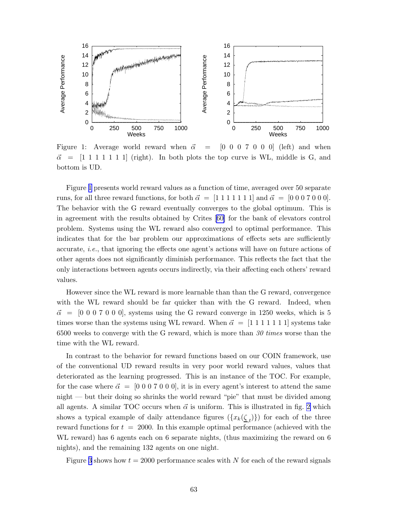

Figure 1: Average world reward when  $\vec{\alpha} = [0 \ 0 \ 0 \ 7 \ 0 \ 0 \ 0]$  (left) and when  $\vec{\alpha}$  = [1 1 1 1 1 1 1 1] (right). In both plots the top curve is WL, middle is G, and bottom is UD.

Figure 1 presents world reward values as a function of time, averaged over 50 separate runs, for all three reward functions, for both  $\vec{\alpha} = [1 \ 1 \ 1 \ 1 \ 1 \ 1 \ 1]$  and  $\vec{\alpha} = [0 \ 0 \ 0 \ 7 \ 0 \ 0 \ 0]$ . The behavior with the G reward eventually converges to the global optimum. This is in agreement with the results obtained by Crites [[60\]](#page-72-0) for the bank of elevators control problem. Systems using the WL reward also converged to optimal performance. This indicates that for the bar problem our approximations of effects sets are sufficiently accurate, i.e., that ignoring the effects one agent's actions will have on future actions of other agents does not significantly diminish performance. This reflects the fact that the only interactions between agents occurs indirectly, via their affecting each others' reward values.

However since the WL reward is more learnable than than the G reward, convergence with the WL reward should be far quicker than with the G reward. Indeed, when  $\vec{\alpha}$  = [0 0 0 7 0 0 0], systems using the G reward converge in 1250 weeks, which is 5 times worse than the systems using WL reward. When  $\vec{\alpha} = [1 \ 1 \ 1 \ 1 \ 1]$  systems take 6500 weeks to converge with the G reward, which is more than 30 times worse than the time with the WL reward.

In contrast to the behavior for reward functions based on our COIN framework, use of the conventional UD reward results in very poor world reward values, values that deteriorated as the learning progressed. This is an instance of the TOC. For example, for the case where  $\vec{\alpha} = [0\ 0\ 0\ 7\ 0\ 0\ 0]$ , it is in every agent's interest to attend the same night — but their doing so shrinks the world reward "pie" that must be divided among all agents. A similar TOC occurs when  $\vec{\alpha}$  is uniform. This is illustrated in fig. [2](#page-63-0) which shows a typical example of daily attendance figures  $(\{x_k(\underline{\zeta}_t)\})$  for each of the three reward functions for  $t = 2000$ . In this example optimal performance (achieved with the WL reward) has 6 agents each on 6 separate nights, (thus maximizing the reward on 6 nights), and the remaining 132 agents on one night.

Figure [3](#page-63-0) shows how  $t = 2000$  performance scales with N for each of the reward signals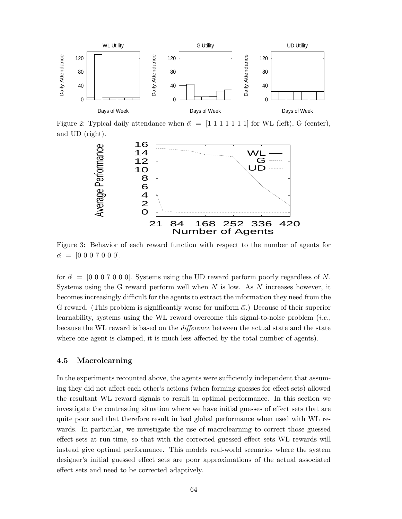<span id="page-63-0"></span>

Figure 2: Typical daily attendance when  $\vec{\alpha} = [1 \ 1 \ 1 \ 1 \ 1 \ 1]$  for WL (left), G (center), and UD (right).



Figure 3: Behavior of each reward function with respect to the number of agents for  $\vec{\alpha} = [0 \ 0 \ 0 \ 7 \ 0 \ 0 \ 0].$ 

for  $\vec{\alpha} = [0\ 0\ 0\ 7\ 0\ 0\ 0]$ . Systems using the UD reward perform poorly regardless of N. Systems using the G reward perform well when  $N$  is low. As  $N$  increases however, it becomes increasingly difficult for the agents to extract the information they need from the G reward. (This problem is significantly worse for uniform  $\vec{\alpha}$ .) Because of their superior learnability, systems using the WL reward overcome this signal-to-noise problem  $(i.e.,$ because the WL reward is based on the difference between the actual state and the state where one agent is clamped, it is much less affected by the total number of agents).

# 4.5 Macrolearning

In the experiments recounted above, the agents were sufficiently independent that assuming they did not affect each other's actions (when forming guesses for effect sets) allowed the resultant WL reward signals to result in optimal performance. In this section we investigate the contrasting situation where we have initial guesses of effect sets that are quite poor and that therefore result in bad global performance when used with WL rewards. In particular, we investigate the use of macrolearning to correct those guessed effect sets at run-time, so that with the corrected guessed effect sets WL rewards will instead give optimal performance. This models real-world scenarios where the system designer's initial guessed effect sets are poor approximations of the actual associated effect sets and need to be corrected adaptively.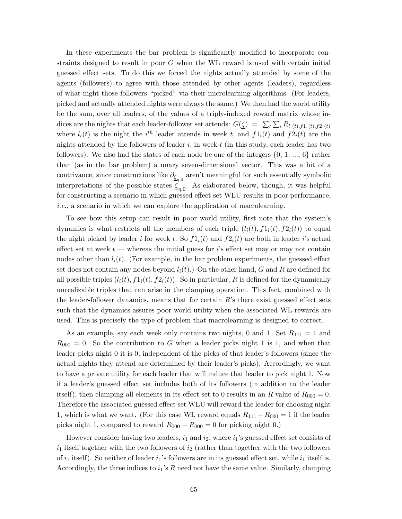In these experiments the bar problem is significantly modified to incorporate constraints designed to result in poor G when the WL reward is used with certain initial guessed effect sets. To do this we forced the nights actually attended by some of the agents (followers) to agree with those attended by other agents (leaders), regardless of what night those followers "picked" via their microlearning algorithms. (For leaders, picked and actually attended nights were always the same.) We then had the world utility be the sum, over all leaders, of the values of a triply-indexed reward matrix whose indices are the nights that each leader-follower set attends:  $G(\underline{\zeta}) = \sum_{t} \sum_{i} R_{l_i(t),f1_i(t),f2_i(t)}$ where  $l_i(t)$  is the night the i<sup>th</sup> leader attends in week t, and  $f1_i(t)$  and  $f2_i(t)$  are the nights attended by the followers of leader  $i$ , in week  $t$  (in this study, each leader has two followers). We also had the states of each node be one of the integers  $\{0, 1, ..., 6\}$  rather than (as in the bar problem) a unary seven-dimensional vector. This was a bit of a contrivance, since constructions like  $\partial_{\zeta_{n,0}}$  aren't meaningful for such essentially symbolic interpretations of the possible states  $\frac{S_{\eta,0}}{\zeta_{\eta,0}}$ . As elaborated below, though, it was helpful for constructing a scenario in which guessed effect set WLU results in poor performance, i.e., a scenario in which we can explore the application of macrolearning.

To see how this setup can result in poor world utility, first note that the system's dynamics is what restricts all the members of each triple  $(l_i(t),f1_i(t),f2_i(t))$  to equal the night picked by leader i for week t. So  $f1_i(t)$  and  $f2_i(t)$  are both in leader i's actual effect set at week  $t$  — whereas the initial guess for is effect set may or may not contain nodes other than  $l_i(t)$ . (For example, in the bar problem experiments, the guessed effect set does not contain any nodes beyond  $l_i(t)$ .) On the other hand, G and R are defined for all possible triples  $(l_i(t),f1_i(t),f2_i(t))$ . So in particular, R is defined for the dynamically unrealizable triples that can arise in the clamping operation. This fact, combined with the leader-follower dynamics, means that for certain  $R$ 's there exist guessed effect sets such that the dynamics assures poor world utility when the associated WL rewards are used. This is precisely the type of problem that macrolearning is designed to correct.

As an example, say each week only contains two nights, 0 and 1. Set  $R_{111} = 1$  and  $R_{000} = 0$ . So the contribution to G when a leader picks night 1 is 1, and when that leader picks night 0 it is 0, independent of the picks of that leader's followers (since the actual nights they attend are determined by their leader's picks). Accordingly, we want to have a private utility for each leader that will induce that leader to pick night 1. Now if a leader's guessed effect set includes both of its followers (in addition to the leader itself), then clamping all elements in its effect set to 0 results in an R value of  $R_{000} = 0$ . Therefore the associated guessed effect set WLU will reward the leader for choosing night 1, which is what we want. (For this case WL reward equals  $R_{111} - R_{000} = 1$  if the leader picks night 1, compared to reward  $R_{000} - R_{000} = 0$  for picking night 0.)

However consider having two leaders,  $i_1$  and  $i_2$ , where  $i_1$ 's guessed effect set consists of  $i_1$  itself together with the two followers of  $i_2$  (rather than together with the two followers of  $i_1$  itself). So neither of leader  $i_1$ 's followers are in its guessed effect set, while  $i_1$  itself is. Accordingly, the three indices to  $i_1$ 's R need not have the same value. Similarly, clamping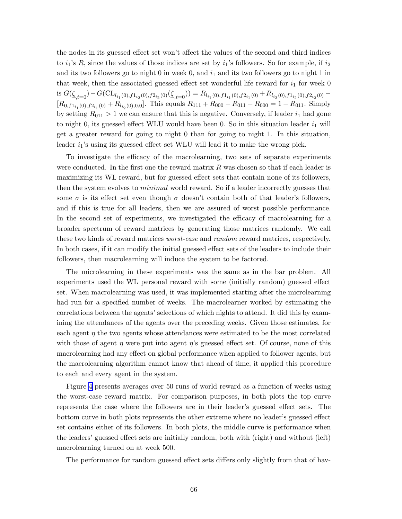the nodes in its guessed effect set won't affect the values of the second and third indices to  $i_1$ 's R, since the values of those indices are set by  $i_1$ 's followers. So for example, if  $i_2$ and its two followers go to night 0 in week 0, and  $i_1$  and its two followers go to night 1 in that week, then the associated guessed effect set wonderful life reward for  $i_1$  for week 0 is  $G(\underline{\zeta}_{,t=0}) - G(Cl_{l_{i_1}(0),f1_{i_2}(0),f2_{i_2}(0)}(\underline{\zeta}_{,t=0})) = R_{l_{i_1}(0),f1_{i_1}(0),f2_{i_1}(0)} + R_{l_{i_2}(0),f1_{i_2}(0),f2_{i_2}(0)} [R_{0, f_{1i_1}(0), f_{2i_1}(0)} + R_{l_{i_2}(0), 0, 0}].$  This equals  $R_{111} + R_{000} - R_{011} - R_{000} = 1 - R_{011}.$  Simply by setting  $R_{011} > 1$  we can ensure that this is negative. Conversely, if leader  $i_1$  had gone to night 0, its guessed effect WLU would have been 0. So in this situation leader  $i_1$  will get a greater reward for going to night 0 than for going to night 1. In this situation, leader  $i_1$ 's using its guessed effect set WLU will lead it to make the wrong pick.

To investigate the efficacy of the macrolearning, two sets of separate experiments were conducted. In the first one the reward matrix  $R$  was chosen so that if each leader is maximizing its WL reward, but for guessed effect sets that contain none of its followers, then the system evolves to *minimal* world reward. So if a leader incorrectly guesses that some  $\sigma$  is its effect set even though  $\sigma$  doesn't contain both of that leader's followers, and if this is true for all leaders, then we are assured of worst possible performance. In the second set of experiments, we investigated the efficacy of macrolearning for a broader spectrum of reward matrices by generating those matrices randomly. We call these two kinds of reward matrices *worst-case* and *random* reward matrices, respectively. In both cases, if it can modify the initial guessed effect sets of the leaders to include their followers, then macrolearning will induce the system to be factored.

The microlearning in these experiments was the same as in the bar problem. All experiments used the WL personal reward with some (initially random) guessed effect set. When macrolearning was used, it was implemented starting after the microlearning had run for a specified number of weeks. The macrolearner worked by estimating the correlations between the agents' selections of which nights to attend. It did this by examining the attendances of the agents over the preceding weeks. Given those estimates, for each agent  $\eta$  the two agents whose attendances were estimated to be the most correlated with those of agent  $\eta$  were put into agent  $\eta$ 's guessed effect set. Of course, none of this macrolearning had any effect on global performance when applied to follower agents, but the macrolearning algorithm cannot know that ahead of time; it applied this procedure to each and every agent in the system.

Figure [4](#page-66-0) presents averages over 50 runs of world reward as a function of weeks using the worst-case reward matrix. For comparison purposes, in both plots the top curve represents the case where the followers are in their leader's guessed effect sets. The bottom curve in both plots represents the other extreme where no leader's guessed effect set contains either of its followers. In both plots, the middle curve is performance when the leaders' guessed effect sets are initially random, both with (right) and without (left) macrolearning turned on at week 500.

The performance for random guessed effect sets differs only slightly from that of hav-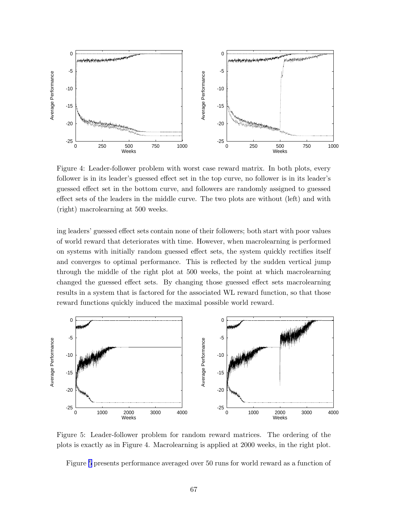<span id="page-66-0"></span>

Figure 4: Leader-follower problem with worst case reward matrix. In both plots, every follower is in its leader's guessed effect set in the top curve, no follower is in its leader's guessed effect set in the bottom curve, and followers are randomly assigned to guessed effect sets of the leaders in the middle curve. The two plots are without (left) and with (right) macrolearning at 500 weeks.

ing leaders' guessed effect sets contain none of their followers; both start with poor values of world reward that deteriorates with time. However, when macrolearning is performed on systems with initially random guessed effect sets, the system quickly rectifies itself and converges to optimal performance. This is reflected by the sudden vertical jump through the middle of the right plot at 500 weeks, the point at which macrolearning changed the guessed effect sets. By changing those guessed effect sets macrolearning results in a system that is factored for the associated WL reward function, so that those reward functions quickly induced the maximal possible world reward.



Figure 5: Leader-follower problem for random reward matrices. The ordering of the plots is exactly as in Figure 4. Macrolearning is applied at 2000 weeks, in the right plot.

Figure 5 presents performance averaged over 50 runs for world reward as a function of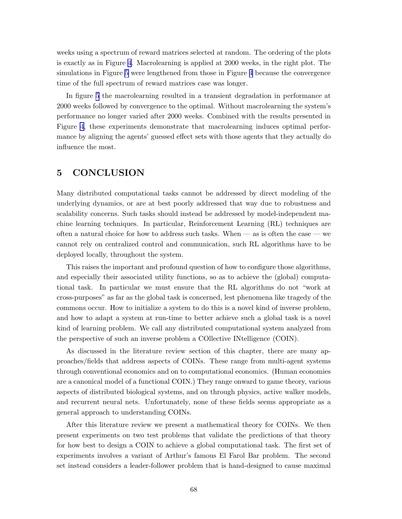weeks using a spectrum of reward matrices selected at random. The ordering of the plots is exactly as in Figure [4](#page-66-0). Macrolearning is applied at 2000 weeks, in the right plot. The simulations in Figure [5](#page-66-0) were lengthened from those in Figure [4](#page-66-0) because the convergence time of the full spectrum of reward matrices case was longer.

In figure [5](#page-66-0) the macrolearning resulted in a transient degradation in performance at 2000 weeks followed by convergence to the optimal. Without macrolearning the system's performance no longer varied after 2000 weeks. Combined with the results presented in Figure [4,](#page-66-0) these experiments demonstrate that macrolearning induces optimal performance by aligning the agents' guessed effect sets with those agents that they actually do influence the most.

# 5 CONCLUSION

Many distributed computational tasks cannot be addressed by direct modeling of the underlying dynamics, or are at best poorly addressed that way due to robustness and scalability concerns. Such tasks should instead be addressed by model-independent machine learning techniques. In particular, Reinforcement Learning (RL) techniques are often a natural choice for how to address such tasks. When  $-$  as is often the case  $-$  we cannot rely on centralized control and communication, such RL algorithms have to be deployed locally, throughout the system.

This raises the important and profound question of how to configure those algorithms, and especially their associated utility functions, so as to achieve the (global) computational task. In particular we must ensure that the RL algorithms do not "work at cross-purposes" as far as the global task is concerned, lest phenomena like tragedy of the commons occur. How to initialize a system to do this is a novel kind of inverse problem, and how to adapt a system at run-time to better achieve such a global task is a novel kind of learning problem. We call any distributed computational system analyzed from the perspective of such an inverse problem a COllective INtelligence (COIN).

As discussed in the literature review section of this chapter, there are many approaches/fields that address aspects of COINs. These range from multi-agent systems through conventional economics and on to computational economics. (Human economies are a canonical model of a functional COIN.) They range onward to game theory, various aspects of distributed biological systems, and on through physics, active walker models, and recurrent neural nets. Unfortunately, none of these fields seems appropriate as a general approach to understanding COINs.

After this literature review we present a mathematical theory for COINs. We then present experiments on two test problems that validate the predictions of that theory for how best to design a COIN to achieve a global computational task. The first set of experiments involves a variant of Arthur's famous El Farol Bar problem. The second set instead considers a leader-follower problem that is hand-designed to cause maximal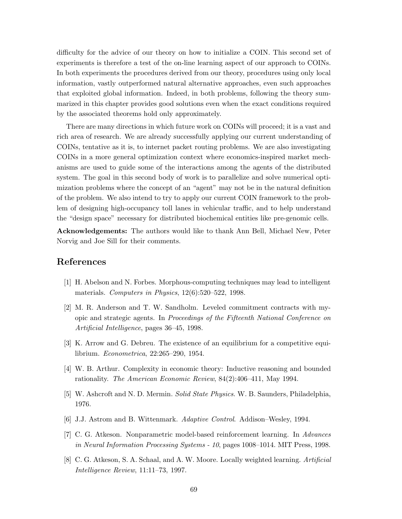<span id="page-68-0"></span>difficulty for the advice of our theory on how to initialize a COIN. This second set of experiments is therefore a test of the on-line learning aspect of our approach to COINs. In both experiments the procedures derived from our theory, procedures using only local information, vastly outperformed natural alternative approaches, even such approaches that exploited global information. Indeed, in both problems, following the theory summarized in this chapter provides good solutions even when the exact conditions required by the associated theorems hold only approximately.

There are many directions in which future work on COINs will proceed; it is a vast and rich area of research. We are already successfully applying our current understanding of COINs, tentative as it is, to internet packet routing problems. We are also investigating COINs in a more general optimization context where economics-inspired market mechanisms are used to guide some of the interactions among the agents of the distributed system. The goal in this second body of work is to parallelize and solve numerical optimization problems where the concept of an "agent" may not be in the natural definition of the problem. We also intend to try to apply our current COIN framework to the problem of designing high-occupancy toll lanes in vehicular traffic, and to help understand the "design space" necessary for distributed biochemical entities like pre-genomic cells.

Acknowledgements: The authors would like to thank Ann Bell, Michael New, Peter Norvig and Joe Sill for their comments.

# References

- [1] H. Abelson and N. Forbes. Morphous-computing techniques may lead to intelligent materials. Computers in Physics, 12(6):520–522, 1998.
- [2] M. R. Anderson and T. W. Sandholm. Leveled commitment contracts with myopic and strategic agents. In Proceedings of the Fifteenth National Conference on Artificial Intelligence, pages 36–45, 1998.
- [3] K. Arrow and G. Debreu. The existence of an equilibrium for a competitive equilibrium. Econometrica, 22:265–290, 1954.
- [4] W. B. Arthur. Complexity in economic theory: Inductive reasoning and bounded rationality. The American Economic Review, 84(2):406–411, May 1994.
- [5] W. Ashcroft and N. D. Mermin. Solid State Physics. W. B. Saunders, Philadelphia, 1976.
- [6] J.J. Astrom and B. Wittenmark. Adaptive Control. Addison–Wesley, 1994.
- [7] C. G. Atkeson. Nonparametric model-based reinforcement learning. In Advances in Neural Information Processing Systems - 10, pages 1008–1014. MIT Press, 1998.
- [8] C. G. Atkeson, S. A. Schaal, and A. W. Moore. Locally weighted learning. Artificial Intelligence Review, 11:11–73, 1997.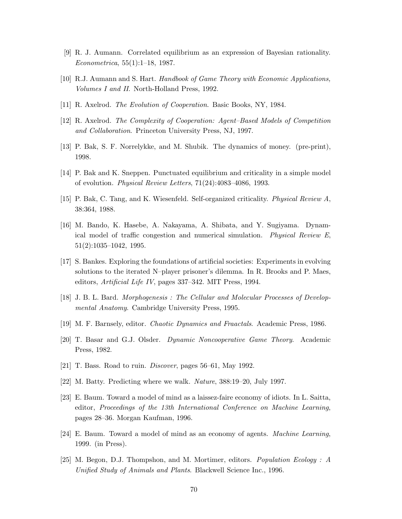- <span id="page-69-0"></span>[9] R. J. Aumann. Correlated equilibrium as an expression of Bayesian rationality. Econometrica, 55(1):1–18, 1987.
- [10] R.J. Aumann and S. Hart. Handbook of Game Theory with Economic Applications, Volumes I and II. North-Holland Press, 1992.
- [11] R. Axelrod. The Evolution of Cooperation. Basic Books, NY, 1984.
- [12] R. Axelrod. The Complexity of Cooperation: Agent–Based Models of Competition and Collaboration. Princeton University Press, NJ, 1997.
- [13] P. Bak, S. F. Norrelykke, and M. Shubik. The dynamics of money. (pre-print), 1998.
- [14] P. Bak and K. Sneppen. Punctuated equilibrium and criticality in a simple model of evolution. Physical Review Letters, 71(24):4083–4086, 1993.
- [15] P. Bak, C. Tang, and K. Wiesenfeld. Self-organized criticality. Physical Review A, 38:364, 1988.
- [16] M. Bando, K. Hasebe, A. Nakayama, A. Shibata, and Y. Sugiyama. Dynamical model of traffic congestion and numerical simulation. Physical Review E, 51(2):1035–1042, 1995.
- [17] S. Bankes. Exploring the foundations of artificial societies: Experiments in evolving solutions to the iterated N–player prisoner's dilemma. In R. Brooks and P. Maes, editors, Artificial Life IV, pages 337–342. MIT Press, 1994.
- [18] J. B. L. Bard. Morphogenesis : The Cellular and Molecular Processes of Developmental Anatomy. Cambridge University Press, 1995.
- [19] M. F. Barnsely, editor. Chaotic Dynamics and Fraactals. Academic Press, 1986.
- [20] T. Basar and G.J. Olsder. Dynamic Noncooperative Game Theory. Academic Press, 1982.
- [21] T. Bass. Road to ruin. Discover, pages 56–61, May 1992.
- [22] M. Batty. Predicting where we walk. Nature, 388:19–20, July 1997.
- [23] E. Baum. Toward a model of mind as a laissez-faire economy of idiots. In L. Saitta, editor, Proceedings of the 13th International Conference on Machine Learning, pages 28–36. Morgan Kaufman, 1996.
- [24] E. Baum. Toward a model of mind as an economy of agents. Machine Learning, 1999. (in Press).
- [25] M. Begon, D.J. Thompshon, and M. Mortimer, editors. Population Ecology : A Unified Study of Animals and Plants. Blackwell Science Inc., 1996.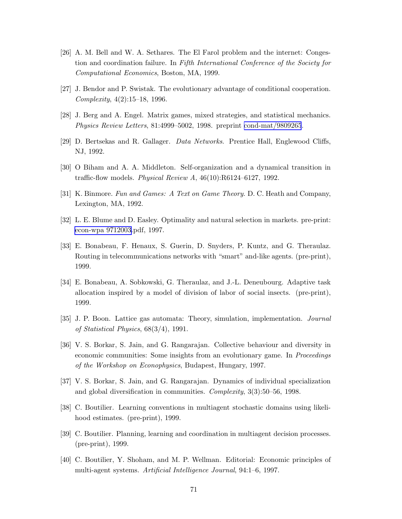- [26] A. M. Bell and W. A. Sethares. The El Farol problem and the internet: Congestion and coordination failure. In Fifth International Conference of the Society for Computational Economics, Boston, MA, 1999.
- [27] J. Bendor and P. Swistak. The evolutionary advantage of conditional cooperation. Complexity, 4(2):15–18, 1996.
- [28] J. Berg and A. Engel. Matrix games, mixed strategies, and statistical mechanics. Physics Review Letters, 81:4999–5002, 1998. preprint [cond-mat/9809265](http://lanl.arXiv.org/abs/cond-mat/9809265).
- [29] D. Bertsekas and R. Gallager. Data Networks. Prentice Hall, Englewood Cliffs, NJ, 1992.
- [30] O Biham and A. A. Middleton. Self-organization and a dynamical transition in traffic-flow models. Physical Review A, 46(10):R6124–6127, 1992.
- [31] K. Binmore. Fun and Games: A Text on Game Theory. D. C. Heath and Company, Lexington, MA, 1992.
- [32] L. E. Blume and D. Easley. Optimality and natural selection in markets. pre-print: [econ-wpa 9712003.](http://lanl.arXiv.org/abs/econ-wpa/9712003)pdf, 1997.
- [33] E. Bonabeau, F. Henaux, S. Guerin, D. Snyders, P. Kuntz, and G. Theraulaz. Routing in telecommunications networks with "smart" and-like agents. (pre-print), 1999.
- [34] E. Bonabeau, A. Sobkowski, G. Theraulaz, and J.-L. Deneubourg. Adaptive task allocation inspired by a model of division of labor of social insects. (pre-print), 1999.
- [35] J. P. Boon. Lattice gas automata: Theory, simulation, implementation. Journal of Statistical Physics, 68(3/4), 1991.
- [36] V. S. Borkar, S. Jain, and G. Rangarajan. Collective behaviour and diversity in economic communities: Some insights from an evolutionary game. In *Proceedings* of the Workshop on Econophysics, Budapest, Hungary, 1997.
- [37] V. S. Borkar, S. Jain, and G. Rangarajan. Dynamics of individual specialization and global diversification in communities. Complexity, 3(3):50–56, 1998.
- [38] C. Boutilier. Learning conventions in multiagent stochastic domains using likelihood estimates. (pre-print), 1999.
- [39] C. Boutilier. Planning, learning and coordination in multiagent decision processes. (pre-print), 1999.
- [40] C. Boutilier, Y. Shoham, and M. P. Wellman. Editorial: Economic principles of multi-agent systems. Artificial Intelligence Journal, 94:1–6, 1997.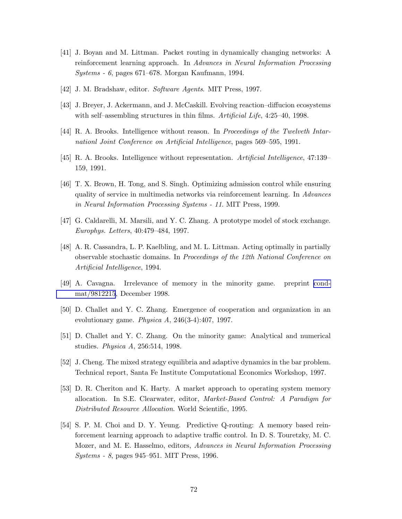- <span id="page-71-0"></span>[41] J. Boyan and M. Littman. Packet routing in dynamically changing networks: A reinforcement learning approach. In Advances in Neural Information Processing Systems - 6, pages 671–678. Morgan Kaufmann, 1994.
- [42] J. M. Bradshaw, editor. Software Agents. MIT Press, 1997.
- [43] J. Breyer, J. Ackermann, and J. McCaskill. Evolving reaction–diffucion ecosystems with self–assembling structures in thin films. Artificial Life, 4:25–40, 1998.
- [44] R. A. Brooks. Intelligence without reason. In Proceedings of the Twelveth Intarnationl Joint Conference on Artificial Intelligence, pages 569–595, 1991.
- [45] R. A. Brooks. Intelligence without representation. Artificial Intelligence, 47:139– 159, 1991.
- [46] T. X. Brown, H. Tong, and S. Singh. Optimizing admission control while ensuring quality of service in multimedia networks via reinforcement learning. In Advances in Neural Information Processing Systems - 11. MIT Press, 1999.
- [47] G. Caldarelli, M. Marsili, and Y. C. Zhang. A prototype model of stock exchange. Europhys. Letters, 40:479–484, 1997.
- [48] A. R. Cassandra, L. P. Kaelbling, and M. L. Littman. Acting optimally in partially observable stochastic domains. In Proceedings of the 12th National Conference on Artificial Intelligence, 1994.
- [49] A. Cavagna. Irrelevance of memory in the minority game. preprint [cond](http://lanl.arXiv.org/abs/cond-mat/9812215)[mat/9812215](http://lanl.arXiv.org/abs/cond-mat/9812215), December 1998.
- [50] D. Challet and Y. C. Zhang. Emergence of cooperation and organization in an evolutionary game. Physica  $A$ , 246(3-4):407, 1997.
- [51] D. Challet and Y. C. Zhang. On the minority game: Analytical and numerical studies. Physica A, 256:514, 1998.
- [52] J. Cheng. The mixed strategy equilibria and adaptive dynamics in the bar problem. Technical report, Santa Fe Institute Computational Economics Workshop, 1997.
- [53] D. R. Cheriton and K. Harty. A market approach to operating system memory allocation. In S.E. Clearwater, editor, Market-Based Control: A Paradigm for Distributed Resource Allocation. World Scientific, 1995.
- [54] S. P. M. Choi and D. Y. Yeung. Predictive Q-routing: A memory based reinforcement learning approach to adaptive traffic control. In D. S. Touretzky, M. C. Mozer, and M. E. Hasselmo, editors, Advances in Neural Information Processing Systems - 8, pages 945–951. MIT Press, 1996.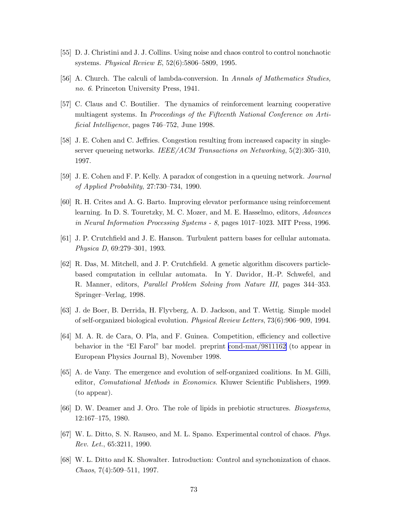- [55] D. J. Christini and J. J. Collins. Using noise and chaos control to control nonchaotic systems. Physical Review E, 52(6):5806–5809, 1995.
- [56] A. Church. The calculi of lambda-conversion. In Annals of Mathematics Studies, no. 6. Princeton University Press, 1941.
- [57] C. Claus and C. Boutilier. The dynamics of reinforcement learning cooperative multiagent systems. In Proceedings of the Fifteenth National Conference on Artificial Intelligence, pages 746–752, June 1998.
- [58] J. E. Cohen and C. Jeffries. Congestion resulting from increased capacity in singleserver queueing networks. IEEE/ACM Transactions on Networking, 5(2):305–310, 1997.
- [59] J. E. Cohen and F. P. Kelly. A paradox of congestion in a queuing network. Journal of Applied Probability, 27:730–734, 1990.
- [60] R. H. Crites and A. G. Barto. Improving elevator performance using reinforcement learning. In D. S. Touretzky, M. C. Mozer, and M. E. Hasselmo, editors, Advances in Neural Information Processing Systems - 8, pages 1017–1023. MIT Press, 1996.
- [61] J. P. Crutchfield and J. E. Hanson. Turbulent pattern bases for cellular automata. Physica D, 69:279–301, 1993.
- [62] R. Das, M. Mitchell, and J. P. Crutchfield. A genetic algorithm discovers particlebased computation in cellular automata. In Y. Davidor, H.-P. Schwefel, and R. Manner, editors, Parallel Problem Solving from Nature III, pages 344–353. Springer–Verlag, 1998.
- [63] J. de Boer, B. Derrida, H. Flyvberg, A. D. Jackson, and T. Wettig. Simple model of self-organized biological evolution. Physical Review Letters, 73(6):906–909, 1994.
- [64] M. A. R. de Cara, O. Pla, and F. Guinea. Competition, efficiency and collective behavior in the "El Farol" bar model. preprint [cond-mat/9811162](http://lanl.arXiv.org/abs/cond-mat/9811162) (to appear in European Physics Journal B), November 1998.
- [65] A. de Vany. The emergence and evolution of self-organized coalitions. In M. Gilli, editor, Comutational Methods in Economics. Kluwer Scientific Publishers, 1999. (to appear).
- [66] D. W. Deamer and J. Oro. The role of lipids in prebiotic structures. Biosystems, 12:167–175, 1980.
- [67] W. L. Ditto, S. N. Rauseo, and M. L. Spano. Experimental control of chaos. Phys. Rev. Let., 65:3211, 1990.
- [68] W. L. Ditto and K. Showalter. Introduction: Control and synchonization of chaos.  $Chaos, 7(4):509-511, 1997.$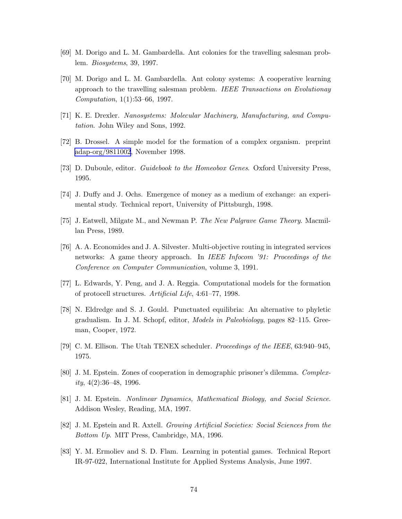- [69] M. Dorigo and L. M. Gambardella. Ant colonies for the travelling salesman problem. Biosystems, 39, 1997.
- [70] M. Dorigo and L. M. Gambardella. Ant colony systems: A cooperative learning approach to the travelling salesman problem. IEEE Transactions on Evolutionay Computation, 1(1):53–66, 1997.
- [71] K. E. Drexler. Nanosystems: Molecular Machinery, Manufacturing, and Computation. John Wiley and Sons, 1992.
- [72] B. Drossel. A simple model for the formation of a complex organism. preprint [adap-org/9811002](http://lanl.arXiv.org/abs/adap-org/9811002), November 1998.
- [73] D. Duboule, editor. Guidebook to the Homeobox Genes. Oxford University Press, 1995.
- [74] J. Duffy and J. Ochs. Emergence of money as a medium of exchange: an experimental study. Technical report, University of Pittsburgh, 1998.
- [75] J. Eatwell, Milgate M., and Newman P. The New Palgrave Game Theory. Macmillan Press, 1989.
- [76] A. A. Economides and J. A. Silvester. Multi-objective routing in integrated services networks: A game theory approach. In IEEE Infocom '91: Proceedings of the Conference on Computer Communication, volume 3, 1991.
- [77] L. Edwards, Y. Peng, and J. A. Reggia. Computational models for the formation of protocell structures. Artificial Life, 4:61–77, 1998.
- [78] N. Eldredge and S. J. Gould. Punctuated equilibria: An alternative to phyletic gradualism. In J. M. Schopf, editor, Models in Paleobiology, pages 82–115. Greeman, Cooper, 1972.
- [79] C. M. Ellison. The Utah TENEX scheduler. Proceedings of the IEEE, 63:940–945, 1975.
- [80] J. M. Epstein. Zones of cooperation in demographic prisoner's dilemma. Complexity,  $4(2):36-48$ , 1996.
- [81] J. M. Epstein. Nonlinear Dynamics, Mathematical Biology, and Social Science. Addison Wesley, Reading, MA, 1997.
- [82] J. M. Epstein and R. Axtell. Growing Artificial Societies: Social Sciences from the Bottom Up. MIT Press, Cambridge, MA, 1996.
- [83] Y. M. Ermoliev and S. D. Flam. Learning in potential games. Technical Report IR-97-022, International Institute for Applied Systems Analysis, June 1997.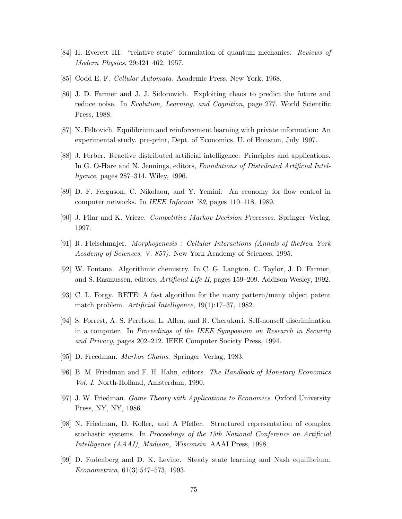- [84] H. Everett III. "relative state" formulation of quantum mechanics. Reviews of Modern Physics, 29:424–462, 1957.
- [85] Codd E. F. Cellular Automata. Academic Press, New York, 1968.
- [86] J. D. Farmer and J. J. Sidorowich. Exploiting chaos to predict the future and reduce noise. In Evolution, Learning, and Cognition, page 277. World Scientific Press, 1988.
- [87] N. Feltovich. Equilibrium and reinforcement learning with private information: An experimental study. pre-print, Dept. of Economics, U. of Houston, July 1997.
- [88] J. Ferber. Reactive distributed artificial intelligence: Principles and applications. In G. O-Hare and N. Jennings, editors, Foundations of Distributed Artificial Intelligence, pages 287–314. Wiley, 1996.
- [89] D. F. Ferguson, C. Nikolaou, and Y. Yemini. An economy for flow control in computer networks. In IEEE Infocom '89, pages 110–118, 1989.
- [90] J. Filar and K. Vrieze. Competitive Markov Decision Processes. Springer–Verlag, 1997.
- [91] R. Fleischmajer. Morphogenesis : Cellular Interactions (Annals of theNew York Academy of Sciences, V. 857). New York Academy of Sciences, 1995.
- [92] W. Fontana. Algorithmic chemistry. In C. G. Langton, C. Taylor, J. D. Farmer, and S. Rasmussen, editors, Artificial Life II, pages 159–209. Addison Wesley, 1992.
- [93] C. L. Forgy. RETE: A fast algorithm for the many pattern/many object patent match problem. Artificial Intelligence, 19(1):17–37, 1982.
- [94] S. Forrest, A. S. Perelson, L. Allen, and R. Cherukuri. Self-nonself discrimination in a computer. In Proceedings of the IEEE Symposium on Research in Security and Privacy, pages 202–212. IEEE Computer Society Press, 1994.
- [95] D. Freedman. Markov Chains. Springer–Verlag, 1983.
- [96] B. M. Friedman and F. H. Hahn, editors. The Handbook of Monetary Economics Vol. I. North-Holland, Amsterdam, 1990.
- [97] J. W. Friedman. Game Theory with Applications to Economics. Oxford University Press, NY, NY, 1986.
- [98] N. Friedman, D. Koller, and A Pfeffer. Structured representation of complex stochastic systems. In Proceedings of the 15th National Conference on Artificial Intelligence (AAAI), Madison, Wisconsin. AAAI Press, 1998.
- [99] D. Fudenberg and D. K. Levine. Steady state learning and Nash equilibrium. Econometrica, 61(3):547–573, 1993.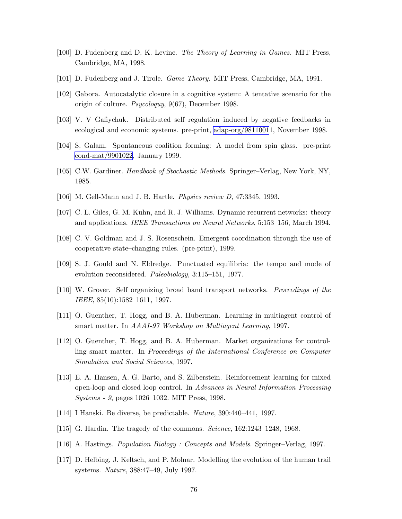- [100] D. Fudenberg and D. K. Levine. The Theory of Learning in Games. MIT Press, Cambridge, MA, 1998.
- [101] D. Fudenberg and J. Tirole. Game Theory. MIT Press, Cambridge, MA, 1991.
- [102] Gabora. Autocatalytic closure in a cognitive system: A tentative scenario for the origin of culture. Psycoloquy, 9(67), December 1998.
- [103] V. V Gafiychuk. Distributed self–regulation induced by negative feedbacks in ecological and economic systems. pre-print, [adap-org/9811001](http://lanl.arXiv.org/abs/adap-org/9811001)1, November 1998.
- [104] S. Galam. Spontaneous coalition forming: A model from spin glass. pre-print [cond-mat/9901022](http://lanl.arXiv.org/abs/cond-mat/9901022), January 1999.
- [105] C.W. Gardiner. Handbook of Stochastic Methods. Springer–Verlag, New York, NY, 1985.
- [106] M. Gell-Mann and J. B. Hartle. Physics review D, 47:3345, 1993.
- [107] C. L. Giles, G. M. Kuhn, and R. J. Williams. Dynamic recurrent networks: theory and applications. IEEE Transactions on Neural Networks, 5:153–156, March 1994.
- [108] C. V. Goldman and J. S. Rosenschein. Emergent coordination through the use of cooperative state–changing rules. (pre-print), 1999.
- [109] S. J. Gould and N. Eldredge. Punctuated equilibria: the tempo and mode of evolution reconsidered. Paleobiology, 3:115–151, 1977.
- [110] W. Grover. Self organizing broad band transport networks. Proceedings of the IEEE, 85(10):1582–1611, 1997.
- [111] O. Guenther, T. Hogg, and B. A. Huberman. Learning in multiagent control of smart matter. In AAAI-97 Workshop on Multiagent Learning, 1997.
- [112] O. Guenther, T. Hogg, and B. A. Huberman. Market organizations for controlling smart matter. In Proceedings of the International Conference on Computer Simulation and Social Sciences, 1997.
- [113] E. A. Hansen, A. G. Barto, and S. Zilberstein. Reinforcement learning for mixed open-loop and closed loop control. In Advances in Neural Information Processing Systems - 9, pages 1026–1032. MIT Press, 1998.
- [114] I Hanski. Be diverse, be predictable. Nature, 390:440–441, 1997.
- [115] G. Hardin. The tragedy of the commons. Science, 162:1243–1248, 1968.
- [116] A. Hastings. Population Biology : Concepts and Models. Springer–Verlag, 1997.
- [117] D. Helbing, J. Keltsch, and P. Molnar. Modelling the evolution of the human trail systems. Nature, 388:47–49, July 1997.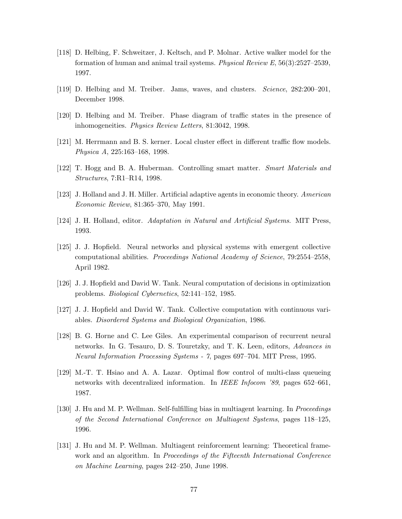- [118] D. Helbing, F. Schweitzer, J. Keltsch, and P. Molnar. Active walker model for the formation of human and animal trail systems. Physical Review E, 56(3):2527–2539, 1997.
- [119] D. Helbing and M. Treiber. Jams, waves, and clusters. Science, 282:200–201, December 1998.
- [120] D. Helbing and M. Treiber. Phase diagram of traffic states in the presence of inhomogeneities. Physics Review Letters, 81:3042, 1998.
- [121] M. Herrmann and B. S. kerner. Local cluster effect in different traffic flow models. Physica A, 225:163–168, 1998.
- [122] T. Hogg and B. A. Huberman. Controlling smart matter. Smart Materials and Structures, 7:R1–R14, 1998.
- [123] J. Holland and J. H. Miller. Artificial adaptive agents in economic theory. American Economic Review, 81:365–370, May 1991.
- [124] J. H. Holland, editor. Adaptation in Natural and Artificial Systems. MIT Press, 1993.
- [125] J. J. Hopfield. Neural networks and physical systems with emergent collective computational abilities. Proceedings National Academy of Science, 79:2554–2558, April 1982.
- [126] J. J. Hopfield and David W. Tank. Neural computation of decisions in optimization problems. Biological Cybernetics, 52:141–152, 1985.
- [127] J. J. Hopfield and David W. Tank. Collective computation with continuous variables. Disordered Systems and Biological Organization, 1986.
- [128] B. G. Horne and C. Lee Giles. An experimental comparison of recurrent neural networks. In G. Tesauro, D. S. Touretzky, and T. K. Leen, editors, Advances in Neural Information Processing Systems - 7, pages 697–704. MIT Press, 1995.
- [129] M.-T. T. Hsiao and A. A. Lazar. Optimal flow control of multi-class queueing networks with decentralized information. In IEEE Infocom '89, pages 652–661, 1987.
- [130] J. Hu and M. P. Wellman. Self-fulfilling bias in multiagent learning. In Proceedings of the Second International Conference on Multiagent Systems, pages 118–125, 1996.
- [131] J. Hu and M. P. Wellman. Multiagent reinforcement learning: Theoretical framework and an algorithm. In *Proceedings of the Fifteenth International Conference* on Machine Learning, pages 242–250, June 1998.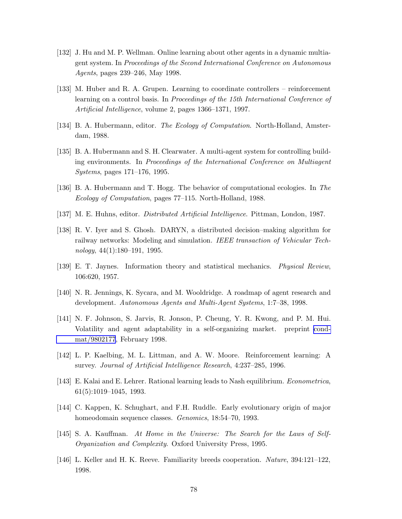- [132] J. Hu and M. P. Wellman. Online learning about other agents in a dynamic multiagent system. In Proceedings of the Second International Conference on Autonomous Agents, pages 239–246, May 1998.
- [133] M. Huber and R. A. Grupen. Learning to coordinate controllers reinforcement learning on a control basis. In Proceedings of the 15th International Conference of Artificial Intelligence, volume 2, pages 1366–1371, 1997.
- [134] B. A. Hubermann, editor. The Ecology of Computation. North-Holland, Amsterdam, 1988.
- [135] B. A. Hubermann and S. H. Clearwater. A multi-agent system for controlling building environments. In Proceedings of the International Conference on Multiagent Systems, pages 171–176, 1995.
- [136] B. A. Hubermann and T. Hogg. The behavior of computational ecologies. In The Ecology of Computation, pages 77–115. North-Holland, 1988.
- [137] M. E. Huhns, editor. Distributed Artificial Intelligence. Pittman, London, 1987.
- [138] R. V. Iyer and S. Ghosh. DARYN, a distributed decision–making algorithm for railway networks: Modeling and simulation. IEEE transaction of Vehicular Technology, 44(1):180–191, 1995.
- [139] E. T. Jaynes. Information theory and statistical mechanics. Physical Review, 106:620, 1957.
- [140] N. R. Jennings, K. Sycara, and M. Wooldridge. A roadmap of agent research and development. Autonomous Agents and Multi-Agent Systems, 1:7–38, 1998.
- [141] N. F. Johnson, S. Jarvis, R. Jonson, P. Cheung, Y. R. Kwong, and P. M. Hui. Volatility and agent adaptability in a self-organizing market. preprint [cond](http://lanl.arXiv.org/abs/cond-mat/9802177)[mat/9802177](http://lanl.arXiv.org/abs/cond-mat/9802177), February 1998.
- [142] L. P. Kaelbing, M. L. Littman, and A. W. Moore. Reinforcement learning: A survey. Journal of Artificial Intelligence Research, 4:237–285, 1996.
- [143] E. Kalai and E. Lehrer. Rational learning leads to Nash equilibrium. Econometrica, 61(5):1019–1045, 1993.
- [144] C. Kappen, K. Schughart, and F.H. Ruddle. Early evolutionary origin of major homeodomain sequence classes. Genomics, 18:54–70, 1993.
- [145] S. A. Kauffman. At Home in the Universe: The Search for the Laws of Self-Organization and Complexity. Oxford University Press, 1995.
- [146] L. Keller and H. K. Reeve. Familiarity breeds cooperation. Nature, 394:121–122, 1998.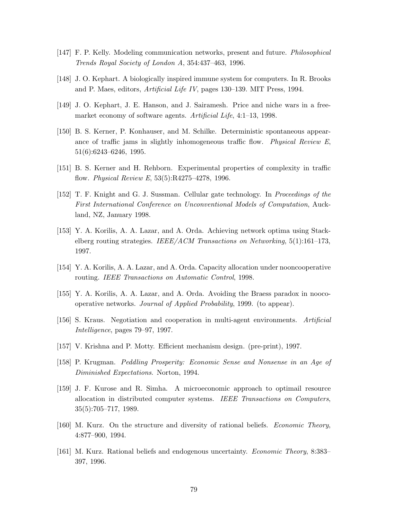- [147] F. P. Kelly. Modeling communication networks, present and future. Philosophical Trends Royal Society of London A, 354:437–463, 1996.
- [148] J. O. Kephart. A biologically inspired immune system for computers. In R. Brooks and P. Maes, editors, Artificial Life IV, pages 130–139. MIT Press, 1994.
- [149] J. O. Kephart, J. E. Hanson, and J. Sairamesh. Price and niche wars in a freemarket economy of software agents. Artificial Life, 4:1–13, 1998.
- [150] B. S. Kerner, P. Konhauser, and M. Schilke. Deterministic spontaneous appearance of traffic jams in slightly inhomogeneous traffic flow. Physical Review E, 51(6):6243–6246, 1995.
- [151] B. S. Kerner and H. Rehborn. Experimental properties of complexity in traffic flow. Physical Review E, 53(5):R4275–4278, 1996.
- [152] T. F. Knight and G. J. Sussman. Cellular gate technology. In Proceedings of the First International Conference on Unconventional Models of Computation, Auckland, NZ, January 1998.
- [153] Y. A. Korilis, A. A. Lazar, and A. Orda. Achieving network optima using Stackelberg routing strategies. IEEE/ACM Transactions on Networking, 5(1):161–173, 1997.
- [154] Y. A. Korilis, A. A. Lazar, and A. Orda. Capacity allocation under nooncooperative routing. IEEE Transactions on Automatic Control, 1998.
- [155] Y. A. Korilis, A. A. Lazar, and A. Orda. Avoiding the Braess paradox in noocooperative networks. Journal of Applied Probability, 1999. (to appear).
- [156] S. Kraus. Negotiation and cooperation in multi-agent environments. Artificial Intelligence, pages 79–97, 1997.
- [157] V. Krishna and P. Motty. Efficient mechanism design. (pre-print), 1997.
- [158] P. Krugman. Peddling Prosperity: Economic Sense and Nonsense in an Age of Diminished Expectations. Norton, 1994.
- [159] J. F. Kurose and R. Simha. A microeconomic approach to optimail resource allocation in distributed computer systems. IEEE Transactions on Computers, 35(5):705–717, 1989.
- [160] M. Kurz. On the structure and diversity of rational beliefs. Economic Theory, 4:877–900, 1994.
- [161] M. Kurz. Rational beliefs and endogenous uncertainty. Economic Theory, 8:383– 397, 1996.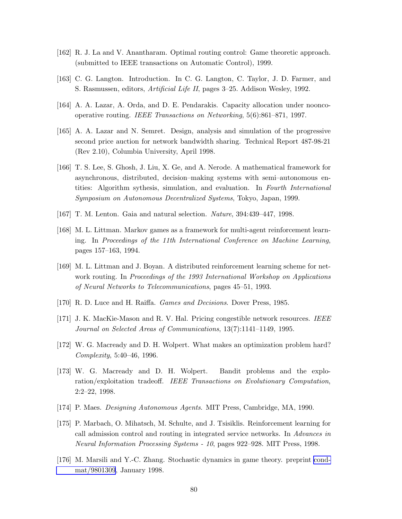- [162] R. J. La and V. Anantharam. Optimal routing control: Game theoretic approach. (submitted to IEEE transactions on Automatic Control), 1999.
- [163] C. G. Langton. Introduction. In C. G. Langton, C. Taylor, J. D. Farmer, and S. Rasmussen, editors, Artificial Life II, pages 3–25. Addison Wesley, 1992.
- [164] A. A. Lazar, A. Orda, and D. E. Pendarakis. Capacity allocation under nooncooperative routing. IEEE Transactions on Networking, 5(6):861–871, 1997.
- [165] A. A. Lazar and N. Semret. Design, analysis and simulation of the progressive second price auction for network bandwidth sharing. Technical Report 487-98-21 (Rev 2.10), Columbia University, April 1998.
- [166] T. S. Lee, S. Ghosh, J. Liu, X. Ge, and A. Nerode. A mathematical framework for asynchronous, distributed, decision–making systems with semi–autonomous entities: Algorithm sythesis, simulation, and evaluation. In Fourth International Symposium on Autonomous Decentralized Systems, Tokyo, Japan, 1999.
- [167] T. M. Lenton. Gaia and natural selection. Nature, 394:439–447, 1998.
- [168] M. L. Littman. Markov games as a framework for multi-agent reinforcement learning. In Proceedings of the 11th International Conference on Machine Learning, pages 157–163, 1994.
- [169] M. L. Littman and J. Boyan. A distributed reinforcement learning scheme for network routing. In Proceedings of the 1993 International Workshop on Applications of Neural Networks to Telecommunications, pages 45–51, 1993.
- [170] R. D. Luce and H. Raiffa. Games and Decisions. Dover Press, 1985.
- [171] J. K. MacKie-Mason and R. V. Hal. Pricing congestible network resources. IEEE Journal on Selected Areas of Communications, 13(7):1141–1149, 1995.
- [172] W. G. Macready and D. H. Wolpert. What makes an optimization problem hard? Complexity, 5:40–46, 1996.
- [173] W. G. Macready and D. H. Wolpert. Bandit problems and the exploration/exploitation tradeoff. IEEE Transactions on Evolutionary Computation, 2:2–22, 1998.
- [174] P. Maes. Designing Autonomous Agents. MIT Press, Cambridge, MA, 1990.
- [175] P. Marbach, O. Mihatsch, M. Schulte, and J. Tsisiklis. Reinforcement learning for call admission control and routing in integrated service networks. In Advances in Neural Information Processing Systems - 10, pages 922–928. MIT Press, 1998.
- [176] M. Marsili and Y.-C. Zhang. Stochastic dynamics in game theory. preprint [cond](http://lanl.arXiv.org/abs/cond-mat/9801309)[mat/9801309](http://lanl.arXiv.org/abs/cond-mat/9801309), January 1998.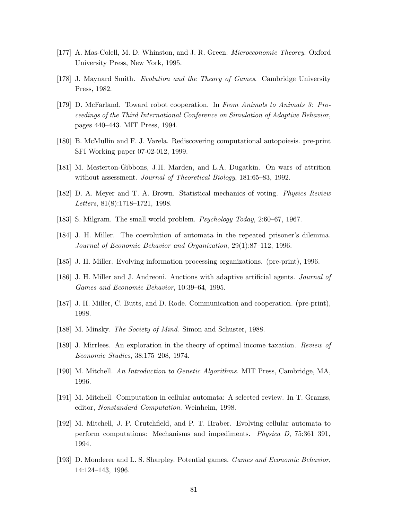- [177] A. Mas-Colell, M. D. Whinston, and J. R. Green. Microeconomic Theorey. Oxford University Press, New York, 1995.
- [178] J. Maynard Smith. Evolution and the Theory of Games. Cambridge University Press, 1982.
- [179] D. McFarland. Toward robot cooperation. In From Animals to Animats 3: Proceedings of the Third International Conference on Simulation of Adaptive Behavior, pages 440–443. MIT Press, 1994.
- [180] B. McMullin and F. J. Varela. Rediscovering computational autopoiesis. pre-print SFI Working paper 07-02-012, 1999.
- [181] M. Mesterton-Gibbons, J.H. Marden, and L.A. Dugatkin. On wars of attrition without assessment. *Journal of Theoretical Biology*, 181:65–83, 1992.
- [182] D. A. Meyer and T. A. Brown. Statistical mechanics of voting. Physics Review Letters, 81(8):1718–1721, 1998.
- [183] S. Milgram. The small world problem. Psychology Today, 2:60–67, 1967.
- [184] J. H. Miller. The coevolution of automata in the repeated prisoner's dilemma. Journal of Economic Behavior and Organization, 29(1):87–112, 1996.
- [185] J. H. Miller. Evolving information processing organizations. (pre-print), 1996.
- [186] J. H. Miller and J. Andreoni. Auctions with adaptive artificial agents. Journal of Games and Economic Behavior, 10:39–64, 1995.
- [187] J. H. Miller, C. Butts, and D. Rode. Communication and cooperation. (pre-print), 1998.
- [188] M. Minsky. The Society of Mind. Simon and Schuster, 1988.
- [189] J. Mirrlees. An exploration in the theory of optimal income taxation. Review of Economic Studies, 38:175–208, 1974.
- [190] M. Mitchell. An Introduction to Genetic Algorithms. MIT Press, Cambridge, MA, 1996.
- [191] M. Mitchell. Computation in cellular automata: A selected review. In T. Gramss, editor, Nonstandard Computation. Weinheim, 1998.
- [192] M. Mitchell, J. P. Crutchfield, and P. T. Hraber. Evolving cellular automata to perform computations: Mechanisms and impediments. Physica D, 75:361–391, 1994.
- [193] D. Monderer and L. S. Sharpley. Potential games. Games and Economic Behavior, 14:124–143, 1996.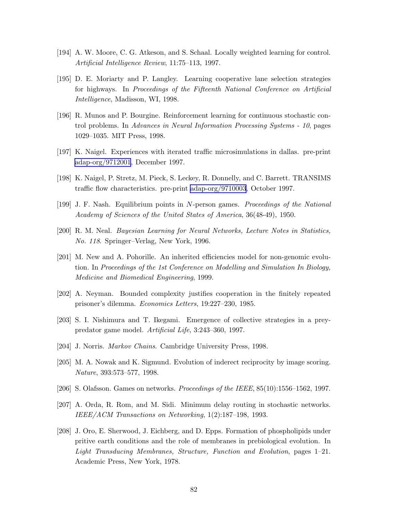- [194] A. W. Moore, C. G. Atkeson, and S. Schaal. Locally weighted learning for control. Artificial Intelligence Review, 11:75–113, 1997.
- [195] D. E. Moriarty and P. Langley. Learning cooperative lane selection strategies for highways. In Proceedings of the Fifteenth National Conference on Artificial Intelligence, Madisson, WI, 1998.
- [196] R. Munos and P. Bourgine. Reinforcement learning for continuous stochastic control problems. In Advances in Neural Information Processing Systems - 10, pages 1029–1035. MIT Press, 1998.
- [197] K. Naigel. Experiences with iterated traffic microsimulations in dallas. pre-print [adap-org/9712001](http://lanl.arXiv.org/abs/adap-org/9712001), December 1997.
- [198] K. Naigel, P. Stretz, M. Pieck, S. Leckey, R. Donnelly, and C. Barrett. TRANSIMS traffic flow characteristics. pre-print [adap-org/9710003](http://lanl.arXiv.org/abs/adap-org/9710003), October 1997.
- [199] J. F. Nash. Equilibrium points in N-person games. Proceedings of the National Academy of Sciences of the United States of America, 36(48-49), 1950.
- [200] R. M. Neal. Bayesian Learning for Neural Networks, Lecture Notes in Statistics, No. 118. Springer–Verlag, New York, 1996.
- [201] M. New and A. Pohorille. An inherited efficiencies model for non-genomic evolution. In Proceedings of the 1st Conference on Modelling and Simulation In Biology, Medicine and Biomedical Engineering, 1999.
- [202] A. Neyman. Bounded complexity justifies cooperation in the finitely repeated prisoner's dilemma. Economics Letters, 19:227–230, 1985.
- [203] S. I. Nishimura and T. Ikegami. Emergence of collective strategies in a preypredator game model. Artificial Life, 3:243–360, 1997.
- [204] J. Norris. Markov Chains. Cambridge University Press, 1998.
- [205] M. A. Nowak and K. Sigmund. Evolution of inderect reciprocity by image scoring. Nature, 393:573–577, 1998.
- [206] S. Olafsson. Games on networks. Proceedings of the IEEE, 85(10):1556–1562, 1997.
- [207] A. Orda, R. Rom, and M. Sidi. Minimum delay routing in stochastic networks. IEEE/ACM Transactions on Networking, 1(2):187–198, 1993.
- [208] J. Oro, E. Sherwood, J. Eichberg, and D. Epps. Formation of phospholipids under pritive earth conditions and the role of membranes in prebiological evolution. In Light Transducing Membranes, Structure, Function and Evolution, pages 1–21. Academic Press, New York, 1978.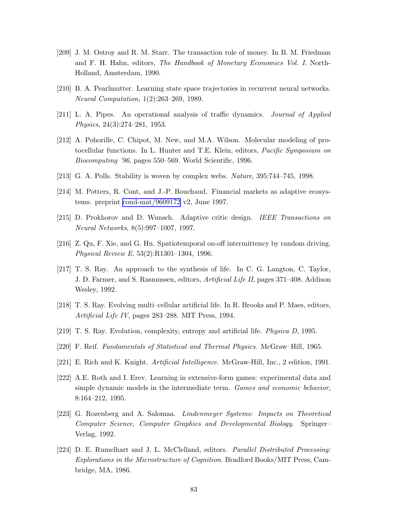- [209] J. M. Ostroy and R. M. Starr. The transaction role of money. In B. M. Friedman and F. H. Hahn, editors, The Handbook of Monetary Economics Vol. I. North-Holland, Amsterdam, 1990.
- [210] B. A. Pearlmutter. Learning state space trajectories in recurrent neural networks. Neural Computation, 1(2):263–269, 1989.
- [211] L. A. Pipes. An operational analysis of traffic dynamics. Journal of Applied Physics, 24(3):274–281, 1953.
- [212] A. Pohorille, C. Chipot, M. New, and M.A. Wilson. Molecular modeling of protocellular functions. In L. Hunter and T.E. Klein, editors, Pacific Symposium on Biocomputing '96, pages 550–569. World Scientific, 1996.
- [213] G. A. Polls. Stability is woven by complex webs. Nature, 395:744–745, 1998.
- [214] M. Potters, R. Cont, and J.-P. Bouchaud. Financial markets as adaptive ecosystems. preprint [cond-mat/9609172](http://lanl.arXiv.org/abs/cond-mat/9609172) v2, June 1997.
- [215] D. Prokhorov and D. Wunsch. Adaptive critic design. IEEE Transactions on Neural Networks, 8(5):997–1007, 1997.
- [216] Z. Qu, F. Xie, and G. Hu. Spatiotemporal on-off intermittency by random driving. Physical Review E, 53(2):R1301–1304, 1996.
- [217] T. S. Ray. An approach to the synthesis of life. In C. G. Langton, C. Taylor, J. D. Farmer, and S. Rasmussen, editors, Artificial Life II, pages 371–408. Addison Wesley, 1992.
- [218] T. S. Ray. Evolving multi–cellular artificial life. In R. Brooks and P. Maes, editors, Artificial Life IV, pages 283–288. MIT Press, 1994.
- [219] T. S. Ray. Evolution, complexity, entropy and artificial life. Physica D, 1995.
- [220] F. Reif. Fundamentals of Statistical and Thermal Physics. McGraw–Hill, 1965.
- [221] E. Rich and K. Knight. Artificial Intelligence. McGraw-Hill, Inc., 2 edition, 1991.
- [222] A.E. Roth and I. Erev. Learning in extensive-form games: experimental data and simple dynamic models in the intermediate term. Games and economic behavior, 8:164–212, 1995.
- [223] G. Rozenberg and A. Salomaa. Lindenmeyer Systems: Impacts on Theoretical Computer Science, Computer Graphics and Developmental Biology. Springer– Verlag, 1992.
- [224] D. E. Rumelhart and J. L. McClelland, editors. Parallel Distributed Processing: Explorations in the Microstructure of Cognition. Bradford Books/MIT Press, Cambridge, MA, 1986.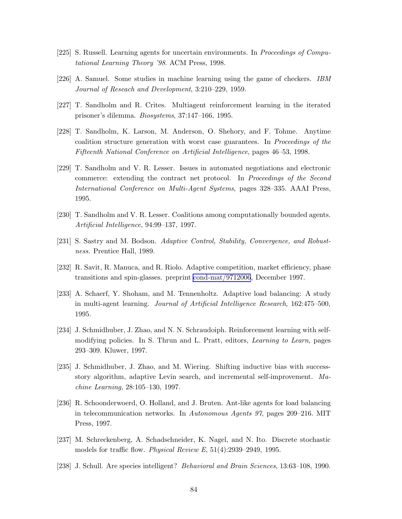- [225] S. Russell. Learning agents for uncertain environments. In Proceedings of Computational Learning Theory '98. ACM Press, 1998.
- [226] A. Samuel. Some studies in machine learning using the game of checkers. IBM Journal of Reseach and Development, 3:210–229, 1959.
- [227] T. Sandholm and R. Crites. Multiagent reinforcement learning in the iterated prisoner's dilemma. Biosystems, 37:147–166, 1995.
- [228] T. Sandholm, K. Larson, M. Anderson, O. Shehory, and F. Tohme. Anytime coalition structure generation with worst case guarantees. In Proceedings of the Fifteenth National Conference on Artificial Intelligence, pages 46–53, 1998.
- [229] T. Sandholm and V. R. Lesser. Issues in automated negotiations and electronic commerce: extending the contract net protocol. In Proceedings of the Second International Conference on Multi-Agent Systems, pages 328–335. AAAI Press, 1995.
- [230] T. Sandholm and V. R. Lesser. Coalitions among computationally bounded agents. Artificial Intelligence, 94:99–137, 1997.
- [231] S. Sastry and M. Bodson. Adaptive Control, Stability, Convergence, and Robustness. Prentice Hall, 1989.
- [232] R. Savit, R. Manuca, and R. Riolo. Adaptive competition, market efficiency, phase transitions and spin-glasses. preprint [cond-mat/9712006](http://lanl.arXiv.org/abs/cond-mat/9712006), December 1997.
- [233] A. Schaerf, Y. Shoham, and M. Tennenholtz. Adaptive load balancing: A study in multi-agent learning. Journal of Artificial Intelligence Research, 162:475–500, 1995.
- [234] J. Schmidhuber, J. Zhao, and N. N. Schraudoiph. Reinforcement learning with selfmodifying policies. In S. Thrun and L. Pratt, editors, *Learning to Learn*, pages 293–309. Kluwer, 1997.
- [235] J. Schmidhuber, J. Zhao, and M. Wiering. Shifting inductive bias with successstory algorithm, adaptive Levin search, and incremental self-improvement. Machine Learning, 28:105–130, 1997.
- [236] R. Schoonderwoerd, O. Holland, and J. Bruten. Ant-like agents for load balancing in telecommunication networks. In Autonomous Agents 97, pages 209–216. MIT Press, 1997.
- [237] M. Schreckenberg, A. Schadschneider, K. Nagel, and N. Ito. Discrete stochastic models for traffic flow. Physical Review E, 51(4):2939–2949, 1995.
- [238] J. Schull. Are species intelligent? Behavioral and Brain Sciences, 13:63–108, 1990.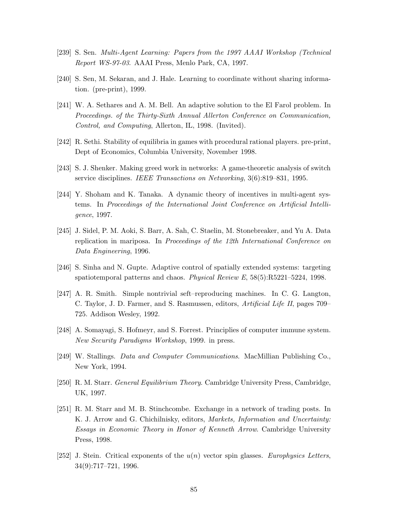- [239] S. Sen. Multi-Agent Learning: Papers from the 1997 AAAI Workshop (Technical Report WS-97-03. AAAI Press, Menlo Park, CA, 1997.
- [240] S. Sen, M. Sekaran, and J. Hale. Learning to coordinate without sharing information. (pre-print), 1999.
- [241] W. A. Sethares and A. M. Bell. An adaptive solution to the El Farol problem. In Proceedings. of the Thirty-Sixth Annual Allerton Conference on Communication, Control, and Computing, Allerton, IL, 1998. (Invited).
- [242] R. Sethi. Stability of equilibria in games with procedural rational players. pre-print, Dept of Economics, Columbia University, November 1998.
- [243] S. J. Shenker. Making greed work in networks: A game-theoretic analysis of switch service disciplines. IEEE Transactions on Networking, 3(6):819–831, 1995.
- [244] Y. Shoham and K. Tanaka. A dynamic theory of incentives in multi-agent systems. In Proceedings of the International Joint Conference on Artificial Intelligence, 1997.
- [245] J. Sidel, P. M. Aoki, S. Barr, A. Sah, C. Staelin, M. Stonebreaker, and Yu A. Data replication in mariposa. In Proceedings of the 12th International Conference on Data Engineering, 1996.
- [246] S. Sinha and N. Gupte. Adaptive control of spatially extended systems: targeting spatiotemporal patterns and chaos. Physical Review E, 58(5):R5221–5224, 1998.
- [247] A. R. Smith. Simple nontrivial seft–reproducing machines. In C. G. Langton, C. Taylor, J. D. Farmer, and S. Rasmussen, editors, Artificial Life II, pages 709– 725. Addison Wesley, 1992.
- [248] A. Somayagi, S. Hofmeyr, and S. Forrest. Principlies of computer immune system. New Security Paradigms Workshop, 1999. in press.
- [249] W. Stallings. Data and Computer Communications. MacMillian Publishing Co., New York, 1994.
- [250] R. M. Starr. General Equilibrium Theory. Cambridge University Press, Cambridge, UK, 1997.
- [251] R. M. Starr and M. B. Stinchcombe. Exchange in a network of trading posts. In K. J. Arrow and G. Chichilnisky, editors, Markets, Information and Uncertainty: Essays in Economic Theory in Honor of Kenneth Arrow. Cambridge University Press, 1998.
- [252] J. Stein. Critical exponents of the  $u(n)$  vector spin glasses. Europhysics Letters, 34(9):717–721, 1996.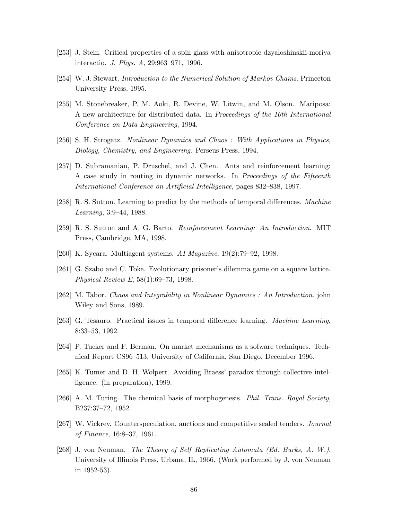- [253] J. Stein. Critical properties of a spin glass with anisotropic dzyaloshinskii-moriya interactio. J. Phys. A, 29:963–971, 1996.
- [254] W. J. Stewart. Introduction to the Numerical Solution of Markov Chains. Princeton University Press, 1995.
- [255] M. Stonebreaker, P. M. Aoki, R. Devine, W. Litwin, and M. Olson. Mariposa: A new architecture for distributed data. In Proceedings of the 10th International Conference on Data Engineering, 1994.
- [256] S. H. Strogatz. Nonlinear Dynamics and Chaos : With Applications in Physics, Biology, Chemistry, and Engineering. Perseus Press, 1994.
- [257] D. Subramanian, P. Druschel, and J. Chen. Ants and reinforcement learning: A case study in routing in dynamic networks. In Proceedings of the Fifteenth International Conference on Artificial Intelligence, pages 832–838, 1997.
- [258] R. S. Sutton. Learning to predict by the methods of temporal differences. Machine Learning, 3:9–44, 1988.
- [259] R. S. Sutton and A. G. Barto. Reinforcement Learning: An Introduction. MIT Press, Cambridge, MA, 1998.
- [260] K. Sycara. Multiagent systems. AI Magazine, 19(2):79–92, 1998.
- [261] G. Szabo and C. Toke. Evolutionary prisoner's dilemma game on a square lattice. Physical Review E, 58(1):69–73, 1998.
- [262] M. Tabor. Chaos and Integrability in Nonlinear Dynamics : An Introduction. john Wiley and Sons, 1989.
- [263] G. Tesauro. Practical issues in temporal difference learning. Machine Learning, 8:33–53, 1992.
- [264] P. Tucker and F. Berman. On market mechanisms as a sofware techniques. Technical Report CS96–513, University of California, San Diego, December 1996.
- [265] K. Tumer and D. H. Wolpert. Avoiding Braess' paradox through collective intelligence. (in preparation), 1999.
- [266] A. M. Turing. The chemical basis of morphogenesis. Phil. Trans. Royal Society, B237:37–72, 1952.
- [267] W. Vickrey. Counterspeculation, auctions and competitive sealed tenders. Journal of Finance, 16:8–37, 1961.
- [268] J. von Neuman. The Theory of Self–Replicating Automata (Ed. Burks, A. W.). University of Illinois Press, Urbana, IL, 1966. (Work performed by J. von Neuman in 1952-53).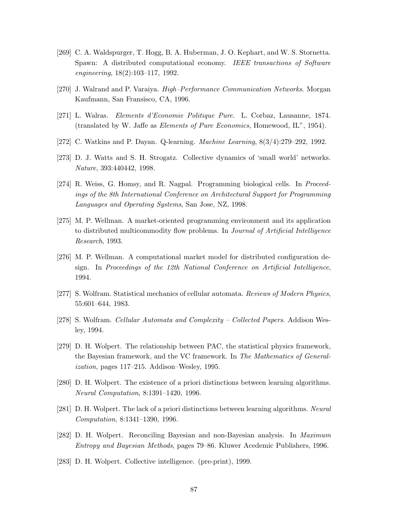- [269] C. A. Waldspurger, T. Hogg, B. A. Huberman, J. O. Kephart, and W. S. Stornetta. Spawn: A distributed computational economy. IEEE transactions of Software engineering, 18(2):103–117, 1992.
- [270] J. Walrand and P. Varaiya. High–Performance Communication Networks. Morgan Kaufmann, San Fransisco, CA, 1996.
- [271] L. Walras. Elements d'Economie Politique Pure. L. Corbaz, Lausanne, 1874. (translated by W. Jaffe as Elements of Pure Economics, Homewood, IL", 1954).
- [272] C. Watkins and P. Dayan. Q-learning. Machine Learning, 8(3/4):279–292, 1992.
- [273] D. J. Watts and S. H. Strogatz. Collective dynamics of 'small world' networks. Nature, 393:440442, 1998.
- [274] R. Weiss, G. Homsy, and R. Nagpal. Programming biological cells. In Proceedings of the 8th International Conference on Architectural Support for Programming Languages and Operating Systems, San Jose, NZ, 1998.
- [275] M. P. Wellman. A market-oriented programming environment and its application to distributed multicommodity flow problems. In *Journal of Artificial Intelligence* Research, 1993.
- [276] M. P. Wellman. A computational market model for distributed configuration design. In Proceedings of the 12th National Conference on Artificial Intelligence, 1994.
- [277] S. Wolfram. Statistical mechanics of cellular automata. Reviews of Modern Physics, 55:601–644, 1983.
- [278] S. Wolfram. Cellular Automata and Complexity Collected Papers. Addison Wesley, 1994.
- [279] D. H. Wolpert. The relationship between PAC, the statistical physics framework, the Bayesian framework, and the VC framework. In The Mathematics of Generalization, pages 117–215. Addison–Wesley, 1995.
- [280] D. H. Wolpert. The existence of a priori distinctions between learning algorithms. Neural Computation, 8:1391–1420, 1996.
- [281] D. H. Wolpert. The lack of a priori distinctions between learning algorithms. Neural Computation, 8:1341–1390, 1996.
- [282] D. H. Wolpert. Reconciling Bayesian and non-Bayesian analysis. In Maximum Entropy and Bayesian Methods, pages 79–86. Kluwer Acedemic Publishers, 1996.
- [283] D. H. Wolpert. Collective intelligence. (pre-print), 1999.